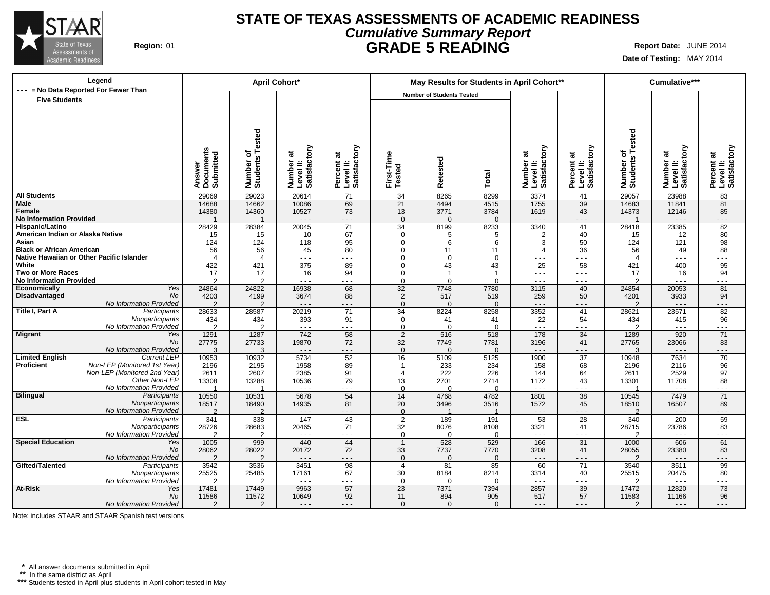

### **STATE OF TEXAS ASSESSMENTS OF ACADEMIC READINESS Cumulative Summary Report Region:** 01 **GRADE 5 READING Report Date:** JUNE 2014

**Date of Testing:** MAY 2014

| Legend                                             |                                  | April Cohort*                       |                                        |                                         |                         | May Results for Students in April Cohort** |                  |                                                                                                                                                                                                                                                                                                                                                                                              |                                           |                                         | Cumulative***                                                                                                                                                                                                                                                                                                                                                                                |                                         |
|----------------------------------------------------|----------------------------------|-------------------------------------|----------------------------------------|-----------------------------------------|-------------------------|--------------------------------------------|------------------|----------------------------------------------------------------------------------------------------------------------------------------------------------------------------------------------------------------------------------------------------------------------------------------------------------------------------------------------------------------------------------------------|-------------------------------------------|-----------------------------------------|----------------------------------------------------------------------------------------------------------------------------------------------------------------------------------------------------------------------------------------------------------------------------------------------------------------------------------------------------------------------------------------------|-----------------------------------------|
| --- = No Data Reported For Fewer Than              |                                  |                                     |                                        |                                         |                         | <b>Number of Students Tested</b>           |                  |                                                                                                                                                                                                                                                                                                                                                                                              |                                           |                                         |                                                                                                                                                                                                                                                                                                                                                                                              |                                         |
| <b>Five Students</b>                               | Answer<br>Documents<br>Submitted | Tested<br>৳<br>Number o<br>Students | Number at<br>Level II:<br>Satisfactory | Percent at<br>Level II:<br>Satisfactory | First-Time<br>Tested    | etested<br>œ                               | Total            | Number at<br>Level II:<br>Satisfactory                                                                                                                                                                                                                                                                                                                                                       | Level II:<br>Satisfactory<br>ಕ<br>Percent | ested<br>۴<br>৳<br>Number o<br>Students | Number at<br>Level II:<br>Satisfactory                                                                                                                                                                                                                                                                                                                                                       | Percent at<br>Level II:<br>Satisfactory |
| <b>All Students</b>                                | 29069                            | 29023                               | 20614                                  | 71                                      | 34                      | 8265                                       | 8299             | 3374                                                                                                                                                                                                                                                                                                                                                                                         | 41                                        | 29057                                   | 23988                                                                                                                                                                                                                                                                                                                                                                                        | 83                                      |
| <b>Male</b>                                        | 14688                            | 14662                               | 10086                                  | 69                                      | 21                      | 4494                                       | 4515             | 1755                                                                                                                                                                                                                                                                                                                                                                                         | 39                                        | 14683                                   | 11841                                                                                                                                                                                                                                                                                                                                                                                        | 81                                      |
| Female                                             | 14380                            | 14360                               | 10527                                  | 73                                      | 13                      | 3771                                       | 3784             | 1619                                                                                                                                                                                                                                                                                                                                                                                         | 43                                        | 14373                                   | 12146                                                                                                                                                                                                                                                                                                                                                                                        | 85                                      |
| <b>No Information Provided</b>                     |                                  | $\blacktriangleleft$                | $\sim$ $\sim$ $\sim$                   | - - -                                   | $\Omega$                | $\Omega$                                   | $\Omega$         | $- - -$                                                                                                                                                                                                                                                                                                                                                                                      | $- - -$                                   | $\overline{1}$                          | $\sim$ $\sim$ $\sim$                                                                                                                                                                                                                                                                                                                                                                         | .                                       |
| Hispanic/Latino                                    | 28429                            | 28384                               | 20045                                  | $\overline{71}$                         | $\overline{34}$         | 8199                                       | 8233             | 3340                                                                                                                                                                                                                                                                                                                                                                                         | 41                                        | 28418                                   | 23385                                                                                                                                                                                                                                                                                                                                                                                        | 82                                      |
| American Indian or Alaska Native                   | 15                               | 15                                  | 10                                     | 67                                      | $\mathbf 0$             | 5                                          | 5                | 2                                                                                                                                                                                                                                                                                                                                                                                            | 40                                        | 15                                      | 12                                                                                                                                                                                                                                                                                                                                                                                           | 80                                      |
| Asian                                              | 124                              | 124                                 | 118                                    | 95                                      | $\mathbf 0$             | 6                                          | 6                | 3                                                                                                                                                                                                                                                                                                                                                                                            | 50                                        | 124                                     | 121                                                                                                                                                                                                                                                                                                                                                                                          | 98                                      |
| <b>Black or African American</b>                   | 56<br>$\boldsymbol{\Delta}$      | 56<br>$\overline{4}$                | 45<br>$\sim$ $\sim$ $\sim$             | 80<br>- - -                             | 0<br>$\Omega$           | 11<br>$\Omega$                             | 11<br>$\Omega$   | $\overline{4}$<br>$\sim$ $\sim$ $\sim$                                                                                                                                                                                                                                                                                                                                                       | 36<br>$  -$                               | 56<br>$\overline{4}$                    | 49<br>$\sim$ $\sim$ $\sim$                                                                                                                                                                                                                                                                                                                                                                   | 88<br>$\sim$ $\sim$ $\sim$              |
| Native Hawaiian or Other Pacific Islander<br>White | 422                              | 421                                 | 375                                    | 89                                      | $\Omega$                | 43                                         | 43               | 25                                                                                                                                                                                                                                                                                                                                                                                           | 58                                        | 421                                     | 400                                                                                                                                                                                                                                                                                                                                                                                          | 95                                      |
| Two or More Races                                  | 17                               | 17                                  | 16                                     | 94                                      | 0                       | $\overline{1}$                             | -1               | $\sim$ $\sim$ $\sim$                                                                                                                                                                                                                                                                                                                                                                         | $ -$                                      | 17                                      | 16                                                                                                                                                                                                                                                                                                                                                                                           | 94                                      |
| <b>No Information Provided</b>                     | $\mathfrak{p}$                   | $\mathfrak{p}$                      | $\sim$ $\sim$ $\sim$                   | - - -                                   | $\Omega$                | $\Omega$                                   | U                | $\sim$ $\sim$ $\sim$                                                                                                                                                                                                                                                                                                                                                                         | - - -                                     | $\overline{2}$                          | $  -$                                                                                                                                                                                                                                                                                                                                                                                        | - - -                                   |
| Yes<br>Economically                                | 24864                            | 24822                               | 16938                                  | 68                                      | $\overline{32}$         | 7748                                       | 7780             | 3115                                                                                                                                                                                                                                                                                                                                                                                         | 40                                        | 24854                                   | 20053                                                                                                                                                                                                                                                                                                                                                                                        | 81                                      |
| No<br>Disadvantaged                                | 4203                             | 4199                                | 3674                                   | 88                                      | 2                       | 517                                        | 519              | 259                                                                                                                                                                                                                                                                                                                                                                                          | 50                                        | 4201                                    | 3933                                                                                                                                                                                                                                                                                                                                                                                         | 94                                      |
| No Information Provided                            | $\mathfrak{p}$                   | $\mathcal{P}$                       | $\sim$ $\sim$ $\sim$                   | - - -                                   | $\Omega$                | $\Omega$                                   | $\Omega$         | $  -$                                                                                                                                                                                                                                                                                                                                                                                        | $- - -$                                   | $\mathcal{P}$                           | $\sim$ $\sim$ $\sim$                                                                                                                                                                                                                                                                                                                                                                         | .                                       |
| Title I, Part A<br>Participants                    | 28633                            | 28587                               | 20219                                  | 71                                      | 34                      | 8224                                       | 8258             | 3352                                                                                                                                                                                                                                                                                                                                                                                         | 41                                        | 28621                                   | 23571                                                                                                                                                                                                                                                                                                                                                                                        | 82                                      |
| Nonparticipants                                    | 434                              | 434                                 | 393                                    | 91                                      | 0                       | 41                                         | 41               | 22                                                                                                                                                                                                                                                                                                                                                                                           | 54                                        | 434                                     | 415                                                                                                                                                                                                                                                                                                                                                                                          | 96                                      |
| No Information Provided                            | $\mathfrak{p}$                   | $\mathcal{P}$                       | $\sim$ $\sim$ $\sim$                   | - - -                                   | $\Omega$                | $\Omega$                                   | $\Omega$         | $\sim$ $\sim$ $\sim$                                                                                                                                                                                                                                                                                                                                                                         | $ -$                                      | $\mathcal{P}$                           | $\sim$ $\sim$ $\sim$                                                                                                                                                                                                                                                                                                                                                                         | $- - -$                                 |
| <b>Migrant</b><br>Yes                              | 1291                             | 1287                                | 742                                    | 58                                      | $\overline{2}$          | 516                                        | 518              | 178                                                                                                                                                                                                                                                                                                                                                                                          | $\overline{34}$                           | 1289                                    | 920                                                                                                                                                                                                                                                                                                                                                                                          | $\overline{71}$                         |
| No                                                 | 27775                            | 27733                               | 19870                                  | 72                                      | 32                      | 7749                                       | 7781             | 3196                                                                                                                                                                                                                                                                                                                                                                                         | 41                                        | 27765                                   | 23066                                                                                                                                                                                                                                                                                                                                                                                        | 83                                      |
| No Information Provided                            | 3                                | 3                                   | $\sim$ $\sim$ $\sim$                   | $- - -$                                 | $\Omega$                | $\Omega$                                   | $\Omega$         | $  -$                                                                                                                                                                                                                                                                                                                                                                                        | $  -$                                     | 3                                       | $\sim$ $\sim$ $\sim$                                                                                                                                                                                                                                                                                                                                                                         | - - -                                   |
| <b>Limited English</b><br><b>Current LEP</b>       | 10953                            | 10932                               | 5734                                   | 52                                      | 16                      | 5109                                       | 5125             | 1900                                                                                                                                                                                                                                                                                                                                                                                         | 37                                        | 10948                                   | 7634                                                                                                                                                                                                                                                                                                                                                                                         | 70                                      |
| Proficient<br>Non-LEP (Monitored 1st Year)         | 2196                             | 2195                                | 1958                                   | 89                                      | -1                      | 233                                        | 234              | 158                                                                                                                                                                                                                                                                                                                                                                                          | 68                                        | 2196                                    | 2116                                                                                                                                                                                                                                                                                                                                                                                         | 96                                      |
| Non-LEP (Monitored 2nd Year)                       | 2611                             | 2607                                | 2385                                   | 91                                      | $\overline{\mathbf{A}}$ | 222                                        | 226              | 144                                                                                                                                                                                                                                                                                                                                                                                          | 64                                        | 2611                                    | 2529                                                                                                                                                                                                                                                                                                                                                                                         | 97                                      |
| Other Non-LEP<br>No Information Provided           | 13308                            | 13288                               | 10536                                  | 79                                      | 13                      | 2701                                       | 2714             | 1172                                                                                                                                                                                                                                                                                                                                                                                         | 43                                        | 13301                                   | 11708                                                                                                                                                                                                                                                                                                                                                                                        | 88                                      |
| Bilingual<br>Participants                          | -1<br>10550                      | -1                                  | $\sim$ $\sim$ $\sim$<br>5678           | .<br>54                                 | $\Omega$<br>14          | $\Omega$<br>4768                           | $\Omega$<br>4782 | $\sim$ $\sim$ $\sim$<br>1801                                                                                                                                                                                                                                                                                                                                                                 | .<br>38                                   | -1                                      | $\sim$ $\sim$ $\sim$<br>7479                                                                                                                                                                                                                                                                                                                                                                 | .                                       |
| Nonparticipants                                    | 18517                            | 10531<br>18490                      | 14935                                  | 81                                      | 20                      | 3496                                       | 3516             | 1572                                                                                                                                                                                                                                                                                                                                                                                         | 45                                        | 10545<br>18510                          | 16507                                                                                                                                                                                                                                                                                                                                                                                        | 71<br>89                                |
| No Information Provided                            | $\mathcal{D}$                    | $\mathcal{L}$                       | $  -$                                  | - - -                                   | $\Omega$                |                                            |                  | $  -$                                                                                                                                                                                                                                                                                                                                                                                        | $\overline{\phantom{a}}$                  | $\mathcal{D}$                           | $\sim$ $\sim$ $\sim$                                                                                                                                                                                                                                                                                                                                                                         | .                                       |
| <b>ESL</b><br>Participants                         | 341                              | 338                                 | 147                                    | 43                                      | 2                       | 189                                        | 191              | 53                                                                                                                                                                                                                                                                                                                                                                                           | 28                                        | 340                                     | 200                                                                                                                                                                                                                                                                                                                                                                                          | 59                                      |
| Nonparticipants                                    | 28726                            | 28683                               | 20465                                  | 71                                      | 32                      | 8076                                       | 8108             | 3321                                                                                                                                                                                                                                                                                                                                                                                         | 41                                        | 28715                                   | 23786                                                                                                                                                                                                                                                                                                                                                                                        | 83                                      |
| No Information Provided                            | $\overline{2}$                   | 2                                   | $\sim$ $\sim$ $\sim$                   | - - -                                   | $\Omega$                | $\Omega$                                   | $\Omega$         | $\sim$ $\sim$ $\sim$                                                                                                                                                                                                                                                                                                                                                                         | $\sim$ $\sim$ $\sim$                      | 2                                       | $\sim$ $\sim$ $\sim$                                                                                                                                                                                                                                                                                                                                                                         | .                                       |
| <b>Special Education</b><br>Yes                    | 1005                             | 999                                 | 440                                    | 44                                      | $\overline{1}$          | 528                                        | 529              | 166                                                                                                                                                                                                                                                                                                                                                                                          | 31                                        | 1000                                    | 606                                                                                                                                                                                                                                                                                                                                                                                          | 61                                      |
| No                                                 | 28062                            | 28022                               | 20172                                  | 72                                      | 33                      | 7737                                       | 7770             | 3208                                                                                                                                                                                                                                                                                                                                                                                         | 41                                        | 28055                                   | 23380                                                                                                                                                                                                                                                                                                                                                                                        | 83                                      |
| No Information Provided                            | $\overline{2}$                   | 2                                   | $\sim$ $\sim$ $\sim$                   | - - -                                   | $\mathbf{0}$            | $\Omega$                                   | $\Omega$         | $- - -$                                                                                                                                                                                                                                                                                                                                                                                      | $  -$                                     | 2                                       | $\sim$ $\sim$ $\sim$                                                                                                                                                                                                                                                                                                                                                                         | .                                       |
| Gifted/Talented<br>Participants                    | 3542                             | 3536                                | 3451                                   | 98                                      | 4                       | 81                                         | 85               | 60                                                                                                                                                                                                                                                                                                                                                                                           | 71                                        | 3540                                    | 3511                                                                                                                                                                                                                                                                                                                                                                                         | 99                                      |
| Nonparticipants                                    | 25525                            | 25485                               | 17161                                  | 67                                      | 30                      | 8184                                       | 8214             | 3314                                                                                                                                                                                                                                                                                                                                                                                         | 40                                        | 25515                                   | 20475                                                                                                                                                                                                                                                                                                                                                                                        | 80                                      |
| No Information Provided                            | $\overline{2}$                   | $\overline{2}$                      | $\sim$ $\sim$ $\sim$                   | .                                       | $\Omega$                | $\Omega$                                   | 0                | $\sim$ $\sim$ $\sim$                                                                                                                                                                                                                                                                                                                                                                         | $\sim$ $\sim$ $\sim$                      | $\overline{2}$                          | $\sim$ $\sim$ $\sim$                                                                                                                                                                                                                                                                                                                                                                         | .                                       |
| At-Risk<br>Yes                                     | 17481                            | 17449                               | 9963                                   | 57                                      | 23                      | 7371                                       | 7394             | 2857                                                                                                                                                                                                                                                                                                                                                                                         | 39                                        | 17472                                   | 12820                                                                                                                                                                                                                                                                                                                                                                                        | 73                                      |
| No                                                 | 11586                            | 11572                               | 10649                                  | 92                                      | 11                      | 894                                        | 905              | 517                                                                                                                                                                                                                                                                                                                                                                                          | 57                                        | 11583                                   | 11166                                                                                                                                                                                                                                                                                                                                                                                        | 96                                      |
| No Information Provided                            | 2                                | $\overline{2}$                      | $- - -$                                | .                                       | $\mathbf{0}$            | $\mathbf{0}$                               | $\mathbf{0}$     | $\frac{1}{2} \frac{1}{2} \frac{1}{2} \frac{1}{2} \frac{1}{2} \frac{1}{2} \frac{1}{2} \frac{1}{2} \frac{1}{2} \frac{1}{2} \frac{1}{2} \frac{1}{2} \frac{1}{2} \frac{1}{2} \frac{1}{2} \frac{1}{2} \frac{1}{2} \frac{1}{2} \frac{1}{2} \frac{1}{2} \frac{1}{2} \frac{1}{2} \frac{1}{2} \frac{1}{2} \frac{1}{2} \frac{1}{2} \frac{1}{2} \frac{1}{2} \frac{1}{2} \frac{1}{2} \frac{1}{2} \frac{$ | .                                         | $\overline{2}$                          | $\frac{1}{2} \frac{1}{2} \frac{1}{2} \frac{1}{2} \frac{1}{2} \frac{1}{2} \frac{1}{2} \frac{1}{2} \frac{1}{2} \frac{1}{2} \frac{1}{2} \frac{1}{2} \frac{1}{2} \frac{1}{2} \frac{1}{2} \frac{1}{2} \frac{1}{2} \frac{1}{2} \frac{1}{2} \frac{1}{2} \frac{1}{2} \frac{1}{2} \frac{1}{2} \frac{1}{2} \frac{1}{2} \frac{1}{2} \frac{1}{2} \frac{1}{2} \frac{1}{2} \frac{1}{2} \frac{1}{2} \frac{$ | - - -                                   |

Note: includes STAAR and STAAR Spanish test versions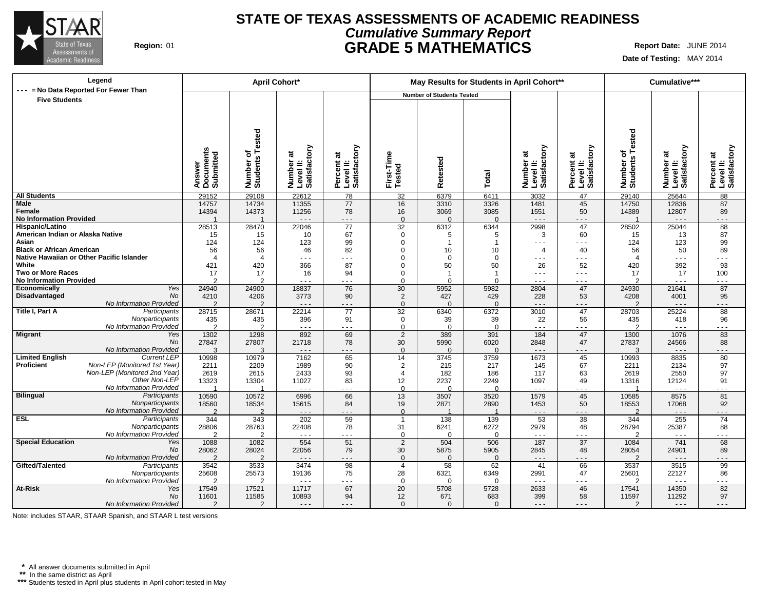

### **STATE OF TEXAS ASSESSMENTS OF ACADEMIC READINESS Cumulative Summary Report Region:** 01 **GRADE 5 MATHEMATICS Report Date:** JUNE 2014

**Date of Testing:** MAY 2014

| Legend                                                    | April Cohort*                    |                                             |                                        |                                         |                                  | May Results for Students in April Cohort** |                     |                                                                                                                                                                                                                                                                                                                                                                                              |                                                   |                                      | Cumulative***                          |                                         |
|-----------------------------------------------------------|----------------------------------|---------------------------------------------|----------------------------------------|-----------------------------------------|----------------------------------|--------------------------------------------|---------------------|----------------------------------------------------------------------------------------------------------------------------------------------------------------------------------------------------------------------------------------------------------------------------------------------------------------------------------------------------------------------------------------------|---------------------------------------------------|--------------------------------------|----------------------------------------|-----------------------------------------|
| --- = No Data Reported For Fewer Than                     |                                  |                                             |                                        |                                         |                                  | <b>Number of Students Tested</b>           |                     |                                                                                                                                                                                                                                                                                                                                                                                              |                                                   |                                      |                                        |                                         |
| <b>Five Students</b>                                      | Answer<br>Documents<br>Submitted | <b>Tested</b><br>৳<br>Number of<br>Students | Number at<br>Level II:<br>Satisfactory | Percent at<br>Level II:<br>Satisfactory | First-Time<br>Tested             | etested<br>œ                               | Total               | Number at<br>Level II:<br>Satisfactory                                                                                                                                                                                                                                                                                                                                                       | Level II:<br>Satisfactory<br>$\vec{a}$<br>Percent | Tested<br>৳<br>Number of<br>Students | Number at<br>Level II:<br>Satisfactory | Percent at<br>Level II:<br>Satisfactory |
| <b>All Students</b>                                       | 29152                            | 29108                                       | 22612                                  | 78                                      | 32                               | 6379                                       | 6411                | 3032                                                                                                                                                                                                                                                                                                                                                                                         | 47                                                | 29140                                | 25644                                  | 88                                      |
| <b>Male</b>                                               | 14757                            | 14734                                       | 11355                                  | 77                                      | 16                               | 3310                                       | 3326                | 1481                                                                                                                                                                                                                                                                                                                                                                                         | 45                                                | 14750                                | 12836                                  | 87                                      |
| Female                                                    | 14394                            | 14373                                       | 11256                                  | 78                                      | 16                               | 3069                                       | 3085                | 1551                                                                                                                                                                                                                                                                                                                                                                                         | 50                                                | 14389                                | 12807                                  | 89                                      |
| <b>No Information Provided</b>                            |                                  |                                             | $\ddotsc$                              | - - -                                   | $\Omega$                         | $\Omega$                                   | $\Omega$            | $  -$                                                                                                                                                                                                                                                                                                                                                                                        | $- - -$                                           |                                      | $\sim$ $\sim$ $\sim$                   | - - -                                   |
| Hispanic/Latino                                           | 28513                            | 28470                                       | 22046                                  | 77                                      | 32                               | 6312                                       | 6344                | 2998                                                                                                                                                                                                                                                                                                                                                                                         | 47                                                | 28502                                | 25044                                  | 88                                      |
| American Indian or Alaska Native<br>Asian                 | 15                               | 15                                          | 10                                     | 67                                      | $\mathbf 0$                      | 5<br>$\overline{1}$                        | 5<br>$\overline{1}$ | 3                                                                                                                                                                                                                                                                                                                                                                                            | 60<br>$\sim$ $\sim$ $\sim$                        | 15                                   | 13                                     | 87                                      |
| <b>Black or African American</b>                          | 124<br>56                        | 124<br>56                                   | 123<br>46                              | 99<br>82                                | $\mathbf 0$<br>$\Omega$          | 10                                         | 10                  | $\sim$ $\sim$ $\sim$<br>$\overline{4}$                                                                                                                                                                                                                                                                                                                                                       | 40                                                | 124<br>56                            | 123<br>50                              | 99<br>89                                |
| Native Hawaiian or Other Pacific Islander                 | $\overline{4}$                   | $\overline{4}$                              | $\sim$ $\sim$ $\sim$                   | .                                       | $\Omega$                         | $\mathbf 0$                                | $\Omega$            | $\frac{1}{2} \frac{1}{2} \frac{1}{2} \frac{1}{2} \frac{1}{2} \frac{1}{2} \frac{1}{2} \frac{1}{2} \frac{1}{2} \frac{1}{2} \frac{1}{2} \frac{1}{2} \frac{1}{2} \frac{1}{2} \frac{1}{2} \frac{1}{2} \frac{1}{2} \frac{1}{2} \frac{1}{2} \frac{1}{2} \frac{1}{2} \frac{1}{2} \frac{1}{2} \frac{1}{2} \frac{1}{2} \frac{1}{2} \frac{1}{2} \frac{1}{2} \frac{1}{2} \frac{1}{2} \frac{1}{2} \frac{$ | - - -                                             | $\overline{4}$                       | $\sim$ $\sim$ $\sim$                   | $- - -$                                 |
| White                                                     | 421                              | 420                                         | 366                                    | 87                                      | $\Omega$                         | 50                                         | 50                  | 26                                                                                                                                                                                                                                                                                                                                                                                           | 52                                                | 420                                  | 392                                    | 93                                      |
| <b>Two or More Races</b>                                  | 17                               | 17                                          | 16                                     | 94                                      | $\mathbf 0$                      | $\overline{1}$                             | -1                  | $- - -$                                                                                                                                                                                                                                                                                                                                                                                      | $  -$                                             | 17                                   | 17                                     | 100                                     |
| <b>No Information Provided</b>                            | $\overline{2}$                   | $\mathfrak{p}$                              | $  -$                                  | $- - -$                                 | $\Omega$                         | $\Omega$                                   | U                   | $- - -$                                                                                                                                                                                                                                                                                                                                                                                      | $ -$                                              | $\mathcal{P}$                        | $  -$                                  | $- - -$                                 |
| Economically<br>Yes                                       | 24940                            | 24900                                       | 18837                                  | 76                                      | 30                               | 5952                                       | 5982                | 2804                                                                                                                                                                                                                                                                                                                                                                                         | 47                                                | 24930                                | 21641                                  | 87                                      |
| No<br>Disadvantaged                                       | 4210                             | 4206                                        | 3773                                   | 90                                      | 2                                | 427                                        | 429                 | 228                                                                                                                                                                                                                                                                                                                                                                                          | 53                                                | 4208                                 | 4001                                   | 95                                      |
| No Information Provided                                   | $\overline{2}$                   | $\mathcal{P}$                               | $\sim$ $\sim$ $\sim$                   | $- - -$                                 | $\Omega$                         | $\Omega$                                   | $\Omega$            | $  -$                                                                                                                                                                                                                                                                                                                                                                                        | $- - -$                                           | $\mathcal{P}$                        | $\sim$ $\sim$ $\sim$                   | $- - -$                                 |
| Title I, Part A<br>Participants                           | 28715                            | 28671                                       | 22214                                  | 77                                      | 32                               | 6340                                       | 6372                | 3010                                                                                                                                                                                                                                                                                                                                                                                         | 47                                                | 28703                                | 25224                                  | 88                                      |
| Nonparticipants                                           | 435                              | 435                                         | 396                                    | 91                                      | 0                                | 39                                         | 39                  | 22                                                                                                                                                                                                                                                                                                                                                                                           | 56                                                | 435                                  | 418                                    | 96                                      |
| No Information Provided                                   | $\overline{2}$                   | $\overline{2}$                              | $\sim$ $\sim$ $\sim$                   | .                                       | $\Omega$                         | $\Omega$                                   | $\Omega$            | $\sim$ $\sim$ $\sim$                                                                                                                                                                                                                                                                                                                                                                         | $\sim$ $\sim$ $\sim$                              | $\mathcal{P}$                        | $\sim$ $\sim$ $\sim$                   | $  -$                                   |
| Migrant<br>Yes                                            | 1302                             | 1298                                        | 892                                    | 69                                      | $\overline{2}$                   | 389                                        | 391                 | 184                                                                                                                                                                                                                                                                                                                                                                                          | 47                                                | 1300                                 | 1076                                   | 83                                      |
| No                                                        | 27847                            | 27807                                       | 21718                                  | 78                                      | 30                               | 5990                                       | 6020                | 2848                                                                                                                                                                                                                                                                                                                                                                                         | 47                                                | 27837                                | 24566                                  | 88                                      |
| No Information Provided<br><b>Limited English</b>         | 3                                | 3                                           | $\sim$ $\sim$ $\sim$                   | $- - -$                                 | $\mathbf{0}$                     | $\Omega$                                   | $\Omega$            | $\sim$ $\sim$ $\sim$                                                                                                                                                                                                                                                                                                                                                                         | $- - -$                                           | 3                                    | $\sim$ $\sim$ $\sim$                   | $- - -$                                 |
| Current LEP<br>Proficient<br>Non-LEP (Monitored 1st Year) | 10998                            | 10979<br>2209                               | 7162<br>1989                           | 65<br>90                                | 14                               | 3745                                       | 3759                | 1673                                                                                                                                                                                                                                                                                                                                                                                         | 45<br>67                                          | 10993                                | 8835<br>2134                           | 80<br>97                                |
| Non-LEP (Monitored 2nd Year)                              | 2211<br>2619                     | 2615                                        | 2433                                   | 93                                      | $\overline{2}$<br>$\overline{4}$ | 215<br>182                                 | 217<br>186          | 145<br>117                                                                                                                                                                                                                                                                                                                                                                                   | 63                                                | 2211<br>2619                         | 2550                                   | 97                                      |
| Other Non-LEP                                             | 13323                            | 13304                                       | 11027                                  | 83                                      | 12                               | 2237                                       | 2249                | 1097                                                                                                                                                                                                                                                                                                                                                                                         | 49                                                | 13316                                | 12124                                  | 91                                      |
| No Information Provided                                   | -1                               | $\overline{1}$                              | $\sim$ $\sim$ $\sim$                   | .                                       | $\Omega$                         | $\Omega$                                   | U                   | $\sim$ $\sim$ $\sim$                                                                                                                                                                                                                                                                                                                                                                         | .                                                 | -1                                   | $\sim$ $\sim$ $\sim$                   | .                                       |
| Bilingual<br>Participants                                 | 10590                            | 10572                                       | 6996                                   | 66                                      | 13                               | 3507                                       | 3520                | 1579                                                                                                                                                                                                                                                                                                                                                                                         | 45                                                | 10585                                | 8575                                   | 81                                      |
| Nonparticipants                                           | 18560                            | 18534                                       | 15615                                  | 84                                      | 19                               | 2871                                       | 2890                | 1453                                                                                                                                                                                                                                                                                                                                                                                         | 50                                                | 18553                                | 17068                                  | 92                                      |
| No Information Provided                                   | $\mathcal{P}$                    | $\mathcal{P}$                               | $\sim$ $\sim$ $\sim$                   | - - -                                   | $\Omega$                         |                                            | $\overline{1}$      | $\sim$ $\sim$ $\sim$                                                                                                                                                                                                                                                                                                                                                                         | $  -$                                             | $\mathcal{P}$                        | $\sim$ $\sim$ $\sim$                   | .                                       |
| ESL<br>Participants                                       | 344                              | 343                                         | 202                                    | 59                                      | $\overline{1}$                   | 138                                        | 139                 | 53                                                                                                                                                                                                                                                                                                                                                                                           | 38                                                | 344                                  | 255                                    | $\overline{74}$                         |
| Nonparticipants                                           | 28806                            | 28763                                       | 22408                                  | 78                                      | 31                               | 6241                                       | 6272                | 2979                                                                                                                                                                                                                                                                                                                                                                                         | 48                                                | 28794                                | 25387                                  | 88                                      |
| No Information Provided                                   | $\overline{2}$                   | 2                                           | $\sim$ $\sim$ $\sim$                   | .                                       | $\mathbf 0$                      | $\Omega$                                   | $\Omega$            | $\sim$ $\sim$ $\sim$                                                                                                                                                                                                                                                                                                                                                                         | .                                                 | $\overline{2}$                       | $\sim$ $\sim$ $\sim$                   |                                         |
| <b>Special Education</b><br>Yes                           | 1088                             | 1082                                        | 554                                    | 51                                      | 2                                | 504                                        | 506                 | 187                                                                                                                                                                                                                                                                                                                                                                                          | 37                                                | 1084                                 | 741                                    | 68                                      |
| <b>No</b>                                                 | 28062                            | 28024                                       | 22056                                  | 79                                      | 30                               | 5875                                       | 5905                | 2845                                                                                                                                                                                                                                                                                                                                                                                         | 48                                                | 28054                                | 24901                                  | 89                                      |
| No Information Provided                                   | $\overline{2}$                   | 2                                           | $  -$                                  | - - -                                   | $\mathbf{0}$                     | $\Omega$                                   | $\Omega$            | $  -$                                                                                                                                                                                                                                                                                                                                                                                        | $  -$                                             | 2                                    | $  -$                                  |                                         |
| Gifted/Talented<br>Participants                           | 3542                             | 3533                                        | 3474                                   | 98                                      | $\overline{4}$                   | $\overline{58}$                            | 62                  | 41                                                                                                                                                                                                                                                                                                                                                                                           | 66                                                | 3537                                 | 3515                                   | 99                                      |
| Nonparticipants                                           | 25608<br>$\overline{2}$          | 25573                                       | 19136<br>$\sim$ $\sim$ $\sim$          | 75<br>- - -                             | 28<br>$\Omega$                   | 6321<br>$\Omega$                           | 6349<br>0           | 2991<br>$\sim$ $\sim$ $\sim$                                                                                                                                                                                                                                                                                                                                                                 | 47<br>$\sim$ $\sim$ $\sim$                        | 25601                                | 22127<br>$\sim$ $\sim$ $\sim$          | 86<br>$\sim$ $\sim$ $\sim$              |
| No Information Provided<br>At-Risk                        | 17549                            | $\overline{2}$<br>17521                     | 11717                                  | 67                                      | 20                               | 5708                                       | 5728                | 2633                                                                                                                                                                                                                                                                                                                                                                                         | 46                                                | $\overline{2}$<br>17541              | 14350                                  | 82                                      |
| Yes<br>No                                                 | 11601                            | 11585                                       | 10893                                  | 94                                      | 12                               | 671                                        | 683                 | 399                                                                                                                                                                                                                                                                                                                                                                                          | 58                                                | 11597                                | 11292                                  | 97                                      |
| No Information Provided                                   | $\overline{2}$                   | $\overline{2}$                              | $\cdots$                               | .                                       | $\mathbf{0}$                     | $\mathbf{0}$                               | $\mathbf{0}$        | $\frac{1}{2} \frac{1}{2} \frac{1}{2} \frac{1}{2} \frac{1}{2} \frac{1}{2} \frac{1}{2} \frac{1}{2} \frac{1}{2} \frac{1}{2} \frac{1}{2} \frac{1}{2} \frac{1}{2} \frac{1}{2} \frac{1}{2} \frac{1}{2} \frac{1}{2} \frac{1}{2} \frac{1}{2} \frac{1}{2} \frac{1}{2} \frac{1}{2} \frac{1}{2} \frac{1}{2} \frac{1}{2} \frac{1}{2} \frac{1}{2} \frac{1}{2} \frac{1}{2} \frac{1}{2} \frac{1}{2} \frac{$ | .                                                 | $\overline{2}$                       | $\cdots$                               | - - -                                   |

Note: includes STAAR, STAAR Spanish, and STAAR L test versions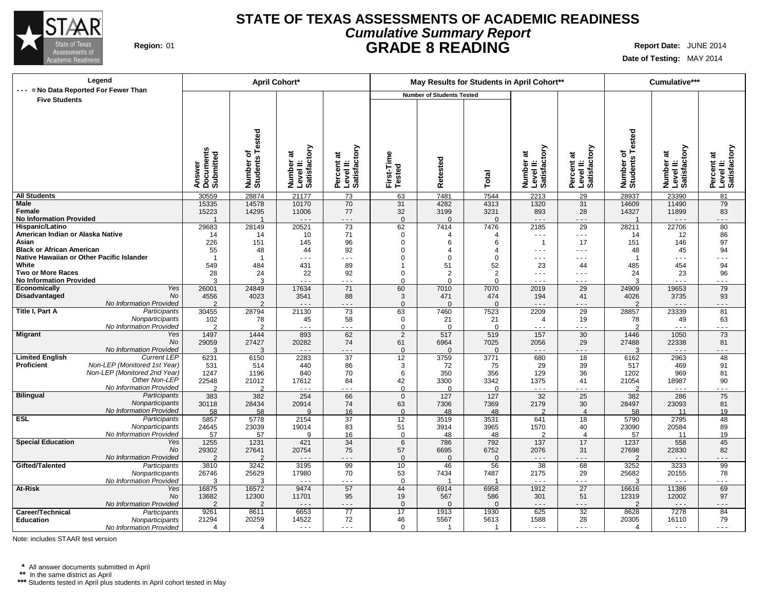

### **STATE OF TEXAS ASSESSMENTS OF ACADEMIC READINESS Cumulative Summary Report Region:** 01 **GRADE 8 READING Report Date:** JUNE 2014

**Date of Testing:** MAY 2014

| Legend                                                                  | <b>April Cohort*</b>             |                        |                                        |                                         |                      | May Results for Students in April Cohort** |                  |                                        |                                         |                       | Cumulative***                          |                                         |
|-------------------------------------------------------------------------|----------------------------------|------------------------|----------------------------------------|-----------------------------------------|----------------------|--------------------------------------------|------------------|----------------------------------------|-----------------------------------------|-----------------------|----------------------------------------|-----------------------------------------|
| --- = No Data Reported For Fewer Than                                   |                                  |                        |                                        |                                         |                      | <b>Number of Students Tested</b>           |                  |                                        |                                         |                       |                                        |                                         |
| <b>Five Students</b>                                                    |                                  |                        |                                        |                                         |                      |                                            |                  |                                        |                                         |                       |                                        |                                         |
|                                                                         |                                  |                        |                                        |                                         |                      |                                            |                  |                                        |                                         |                       |                                        |                                         |
|                                                                         |                                  |                        |                                        |                                         |                      |                                            |                  |                                        |                                         |                       |                                        |                                         |
|                                                                         |                                  |                        |                                        |                                         |                      |                                            |                  |                                        |                                         |                       |                                        |                                         |
|                                                                         |                                  | Tested                 |                                        |                                         |                      |                                            |                  |                                        |                                         | Tested                |                                        |                                         |
|                                                                         |                                  |                        |                                        |                                         |                      |                                            |                  |                                        |                                         |                       |                                        |                                         |
|                                                                         |                                  | ৳                      |                                        |                                         |                      |                                            |                  |                                        |                                         | ৳                     |                                        |                                         |
|                                                                         |                                  |                        |                                        |                                         |                      |                                            |                  |                                        |                                         |                       |                                        |                                         |
|                                                                         |                                  |                        |                                        |                                         |                      |                                            |                  |                                        |                                         |                       |                                        |                                         |
|                                                                         | Documents<br>Submitted<br>Answer | Number of<br>Students  | Number at<br>Level II:<br>Satisfactory | Percent at<br>Level II:<br>Satisfactory | First-Time<br>Tested | Retested                                   | Total            | Number at<br>Level II:<br>Satisfactory | Percent at<br>Level II:<br>Satisfactory | Number of<br>Students | Number at<br>Level II:<br>Satisfactory | Percent at<br>Level II:<br>Satisfactory |
| <b>All Students</b>                                                     | 30559                            | 28874                  | 21177                                  | 73                                      | 63                   | 7481                                       | 7544             | 2213                                   | 29                                      | 28937                 | 23390                                  | 81                                      |
| Male                                                                    | 15335                            | 14578                  | 10170                                  | 70                                      | 31                   | 4282                                       | 4313             | 1320                                   | 31                                      | 14609                 | 11490                                  | 79                                      |
| Female                                                                  | 15223                            | 14295                  | 11006                                  | 77                                      | 32                   | 3199                                       | 3231             | 893                                    | 28                                      | 14327                 | 11899                                  | 83                                      |
| <b>No Information Provided</b>                                          |                                  |                        | $\sim$ $\sim$ $\sim$                   | $- - -$                                 | $\mathbf{0}$         | $\Omega$                                   | $\Omega$         | $  -$                                  | $  -$                                   | $\overline{1}$        | $\sim$ $\sim$ $\sim$                   | - - -                                   |
| Hispanic/Latino                                                         | 29683                            | 28149                  | 20521                                  | 73                                      | 62                   | 7414                                       | 7476             | 2185                                   | 29                                      | 28211                 | 22706                                  | 80                                      |
| American Indian or Alaska Native<br>Asian                               | 14<br>226                        | 14<br>151              | 10<br>145                              | 71<br>96                                | 0<br>$\Omega$        | 4<br>6                                     | 4<br>6           | $  -$<br>$\overline{1}$                | $  -$<br>17                             | 14<br>151             | 12<br>146                              | 86<br>97                                |
| <b>Black or African American</b>                                        | 55                               | 48                     | 44                                     | 92                                      | $\Omega$             | $\overline{4}$                             | $\overline{4}$   | $  -$                                  | $ -$                                    | 48                    | 45                                     | 94                                      |
| Native Hawaiian or Other Pacific Islander                               | $\overline{1}$                   |                        | .                                      | .                                       | $\Omega$             | $\Omega$                                   | $\Omega$         | $\sim$ $\sim$ $\sim$                   | $ -$                                    |                       | .                                      | .                                       |
| White                                                                   | 549                              | 484                    | 431                                    | 89                                      | 1                    | 51                                         | 52               | 23                                     | 44                                      | 485                   | 454                                    | 94                                      |
| <b>Two or More Races</b>                                                | 28                               | 24                     | 22                                     | 92                                      | $\Omega$             | $\overline{2}$                             | 2                | $\sim$ $\sim$ $\sim$                   | $ -$                                    | 24                    | 23                                     | 96                                      |
| <b>No Information Provided</b>                                          | 3                                | 3                      | $\sim$ $\sim$ $\sim$                   | .                                       | $\Omega$             | $\Omega$                                   | $\Omega$         | $\sim$ $\sim$ $\sim$                   | $  -$                                   | $\mathcal{A}$         | $\sim$ $\sim$ $\sim$                   | $\sim$ $\sim$ $\sim$                    |
| Yes<br>Economically<br><b>No</b>                                        | 26001                            | 24849                  | 17634                                  | 71                                      | 60                   | 7010                                       | 7070             | 2019                                   | 29                                      | 24909                 | 19653                                  | 79                                      |
| Disadvantaged<br>No Information Provided                                | 4556<br>$\overline{2}$           | 4023<br>$\overline{2}$ | 3541<br>$\sim$ $\sim$ $\sim$           | 88<br>- - -                             | 3<br>$\Omega$        | 471<br>$\Omega$                            | 474<br>$\Omega$  | 194<br>$- - -$                         | 41<br>$  -$                             | 4026<br>2             | 3735<br>$\sim$ $\sim$ $\sim$           | 93<br>.                                 |
| Title I, Part A<br>Participants                                         | 30455                            | 28794                  | 21130                                  | 73                                      | 63                   | 7460                                       | 7523             | 2209                                   | 29                                      | 28857                 | 23339                                  | 81                                      |
| Nonparticipants                                                         | 102                              | 78                     | 45                                     | 58                                      | $\mathbf 0$          | 21                                         | 21               | $\overline{4}$                         | 19                                      | 78                    | 49                                     | 63                                      |
| No Information Provided                                                 | $\overline{2}$                   | $\overline{2}$         | $\sim$ $\sim$ $\sim$                   | .                                       | $\mathbf 0$          | $\mathbf 0$                                | $\Omega$         | $\sim$ $\sim$ $\sim$                   | .                                       | $\overline{2}$        | $\ddotsc$                              | $- - -$                                 |
| <b>Migrant</b><br>Yes                                                   | 1497                             | 1444                   | 893                                    | 62                                      | $\overline{2}$       | 517                                        | 519              | 157                                    | 30                                      | 1446                  | 1050                                   | 73                                      |
| No                                                                      | 29059                            | 27427                  | 20282                                  | 74                                      | 61                   | 6964                                       | 7025             | 2056                                   | 29                                      | 27488                 | 22338                                  | 81                                      |
| No Information Provided<br><b>Limited English</b><br><b>Current LEP</b> | 3<br>6231                        | 3<br>6150              | $\sim$ $\sim$ $\sim$<br>2283           | .<br>37                                 | $\mathbf{0}$<br>12   | $\overline{0}$<br>3759                     | $\Omega$<br>3771 | $  -$<br>680                           | - - -<br>18                             | $\mathcal{A}$<br>6162 | $\sim$ $\sim$ $\sim$<br>2963           | 48                                      |
| Proficient<br>Non-LEP (Monitored 1st Year)                              | 531                              | 514                    | 440                                    | 86                                      | 3                    | 72                                         | 75               | 29                                     | 39                                      | 517                   | 469                                    | 91                                      |
| Non-LEP (Monitored 2nd Year)                                            | 1247                             | 1196                   | 840                                    | 70                                      | 6                    | 350                                        | 356              | 129                                    | 36                                      | 1202                  | 969                                    | 81                                      |
| Other Non-LEP                                                           | 22548                            | 21012                  | 17612                                  | 84                                      | 42                   | 3300                                       | 3342             | 1375                                   | 41                                      | 21054                 | 18987                                  | 90                                      |
| No Information Provided                                                 | C                                | ົ                      |                                        |                                         | $\Omega$             | $\Omega$                                   | $\Omega$         | .                                      |                                         | - 2                   |                                        |                                         |
| <b>Bilingual</b><br>Participants                                        | 383                              | 382                    | 254                                    | 66                                      | $\mathbf{0}$         | 127                                        | 127              | 32                                     | 25                                      | 382                   | 286                                    | 75                                      |
| Nonparticipants<br>No Information Provided                              | 30118                            | 28434                  | 20914<br>q                             | 74                                      | 63                   | 7306                                       | 7369             | 2179<br>$\mathcal{P}$                  | 30<br>$\boldsymbol{\varDelta}$          | 28497                 | 23093                                  | 81                                      |
| <b>ESL</b><br>Participants                                              | 58<br>5857                       | 58<br>5778             | 2154                                   | 16<br>37                                | $\Omega$<br>12       | 48<br>3519                                 | 48<br>3531       | 641                                    | 18                                      | 58<br>5790            | 11<br>2795                             | 19<br>48                                |
| Nonparticipants                                                         | 24645                            | 23039                  | 19014                                  | 83                                      | 51                   | 3914                                       | 3965             | 1570                                   | 40                                      | 23090                 | 20584                                  | 89                                      |
| No Information Provided                                                 | 57                               | 57                     | 9                                      | 16                                      | $\mathbf 0$          | 48                                         | 48               | $\overline{2}$                         | $\overline{4}$                          | 57                    | 11                                     | 19                                      |
| <b>Special Education</b><br>Yes                                         | 1255                             | 1231                   | 421                                    | 34                                      | 6                    | 786                                        | 792              | 137                                    | 17                                      | 1237                  | 558                                    | 45                                      |
| No                                                                      | 29302                            | 27641                  | 20754                                  | 75                                      | 57                   | 6695                                       | 6752             | 2076                                   | 31                                      | 27698                 | 22830                                  | 82                                      |
| No Information Provided                                                 | $\overline{2}$                   | $\overline{2}$         | $  -$                                  | - - -                                   | $\mathbf{0}$         | $\mathbf{0}$                               | $\mathbf{0}$     | $  -$                                  | $- - -$                                 | $\overline{2}$        | $\ddotsc$                              | .                                       |
| Gifted/Talented<br>Participants                                         | 3810<br>26746                    | 3242<br>25629          | 3195<br>17980                          | 99<br>70                                | 10<br>53             | 46<br>7434                                 | 56<br>7487       | 38<br>2175                             | 68<br>29                                | 3252<br>25682         | 3233<br>20155                          | 99<br>78                                |
| Nonparticipants<br>No Information Provided                              | 3                                | 3                      | $\sim$ $\sim$ $\sim$                   | .                                       | $\Omega$             | -1                                         | -1               | $  -$                                  | $- - -$                                 | 3                     | $\sim$ $\sim$ $\sim$                   | .                                       |
| <b>At-Risk</b><br>Yes                                                   | 16875                            | 16572                  | 9474                                   | 57                                      | 44                   | 6914                                       | 6958             | 1912                                   | $\overline{27}$                         | 16616                 | 11386                                  | 69                                      |
| <b>No</b>                                                               | 13682                            | 12300                  | 11701                                  | 95                                      | 19                   | 567                                        | 586              | 301                                    | 51                                      | 12319                 | 12002                                  | 97                                      |
| No Information Provided                                                 | $\overline{2}$                   | $\overline{2}$         | $\sim$ $\sim$ $\sim$                   | $- - -$                                 | $\Omega$             | $\Omega$                                   | $\Omega$         | $\sim$ $\sim$ $\sim$                   | $- - -$                                 | $\overline{2}$        | $\sim$ $\sim$ $\sim$                   | $- - -$                                 |
| Career/Technical<br>Participants                                        | 9261                             | 8611                   | 6653                                   | $\overline{77}$                         | 17                   | 1913                                       | 1930             | 625                                    | 32                                      | 8628                  | 7278                                   | 84                                      |
| Education<br>Nonparticipants                                            | 21294                            | 20259                  | 14522                                  | 72                                      | 46                   | 5567                                       | 5613             | 1588                                   | 28                                      | 20305                 | 16110                                  | 79                                      |
| No Information Provided                                                 | $\boldsymbol{\Delta}$            | Δ                      | $\sim$ $\sim$ $\sim$                   | $\sim$ $\sim$ $\sim$                    | $\Omega$             | -1                                         | -1               | $\sim$ $\sim$ $\sim$                   | $- - -$                                 | 4                     | $  -$                                  | $\sim$ $\sim$ $\sim$                    |

Note: includes STAAR test version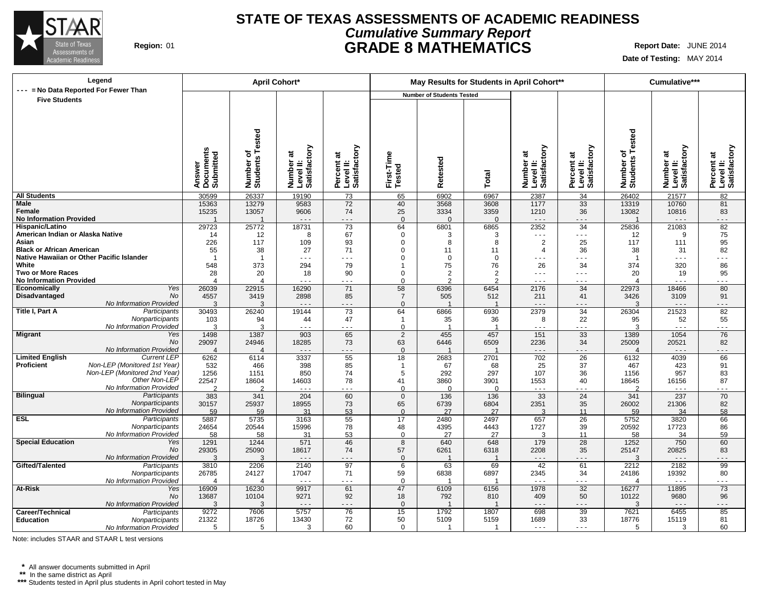

### **STATE OF TEXAS ASSESSMENTS OF ACADEMIC READINESS Cumulative Summary Report Region:** 01 **GRADE 8 MATHEMATICS Report Date:** JUNE 2014

**Date of Testing:** MAY 2014

| Legend                                                                        | <b>April Cohort*</b>             |                          |                                                                                                                                                                                                                                                                                                                                                                                                       |                                         |                            | May Results for Students in April Cohort** |                       |                                        |                                         |                               | Cumulative***                          |                                         |
|-------------------------------------------------------------------------------|----------------------------------|--------------------------|-------------------------------------------------------------------------------------------------------------------------------------------------------------------------------------------------------------------------------------------------------------------------------------------------------------------------------------------------------------------------------------------------------|-----------------------------------------|----------------------------|--------------------------------------------|-----------------------|----------------------------------------|-----------------------------------------|-------------------------------|----------------------------------------|-----------------------------------------|
| --- = No Data Reported For Fewer Than                                         |                                  |                          |                                                                                                                                                                                                                                                                                                                                                                                                       |                                         |                            | <b>Number of Students Tested</b>           |                       |                                        |                                         |                               |                                        |                                         |
| <b>Five Students</b>                                                          |                                  |                          |                                                                                                                                                                                                                                                                                                                                                                                                       |                                         |                            |                                            |                       |                                        |                                         |                               |                                        |                                         |
|                                                                               |                                  |                          |                                                                                                                                                                                                                                                                                                                                                                                                       |                                         |                            |                                            |                       |                                        |                                         |                               |                                        |                                         |
|                                                                               |                                  |                          |                                                                                                                                                                                                                                                                                                                                                                                                       |                                         |                            |                                            |                       |                                        |                                         |                               |                                        |                                         |
|                                                                               |                                  | Tested                   |                                                                                                                                                                                                                                                                                                                                                                                                       |                                         |                            |                                            |                       |                                        |                                         | Tested                        |                                        |                                         |
|                                                                               |                                  |                          |                                                                                                                                                                                                                                                                                                                                                                                                       |                                         |                            |                                            |                       |                                        |                                         |                               |                                        |                                         |
|                                                                               |                                  | ъ                        |                                                                                                                                                                                                                                                                                                                                                                                                       |                                         |                            |                                            |                       |                                        |                                         | ৳                             |                                        |                                         |
|                                                                               |                                  |                          |                                                                                                                                                                                                                                                                                                                                                                                                       |                                         |                            |                                            |                       |                                        |                                         |                               |                                        |                                         |
|                                                                               |                                  |                          |                                                                                                                                                                                                                                                                                                                                                                                                       |                                         |                            |                                            |                       |                                        |                                         |                               |                                        |                                         |
|                                                                               | Answer<br>Documents<br>Submitted | Number of<br>Students    | Number at<br>Level II:<br>Satisfactory                                                                                                                                                                                                                                                                                                                                                                | Percent at<br>Level II:<br>Satisfactory | First-Time<br>Tested       | Retested                                   | Total                 | Number at<br>Level II:<br>Satisfactory | Percent at<br>Level II:<br>Satisfactory | Number of<br>Students         | Number at<br>Level II:<br>Satisfactory | Percent at<br>Level II:<br>Satisfactory |
|                                                                               |                                  |                          |                                                                                                                                                                                                                                                                                                                                                                                                       |                                         |                            |                                            |                       |                                        |                                         |                               |                                        |                                         |
| <b>All Students</b>                                                           | 30599                            | 26337                    | 19190                                                                                                                                                                                                                                                                                                                                                                                                 | 73                                      | 65                         | 6902                                       | 6967                  | 2387                                   | 34                                      | 26402                         | 21577                                  | 82                                      |
| Male<br>Female                                                                | 15363<br>15235                   | 13279<br>13057           | 9583<br>9606                                                                                                                                                                                                                                                                                                                                                                                          | 72<br>74                                | 40<br>25                   | 3568<br>3334                               | 3608<br>3359          | 1177<br>1210                           | 33<br>36                                | 13319<br>13082                | 10760<br>10816                         | 81<br>83                                |
| <b>No Information Provided</b>                                                |                                  | $\overline{\phantom{a}}$ | $  -$                                                                                                                                                                                                                                                                                                                                                                                                 | - - -                                   | $\Omega$                   | $\Omega$                                   | $\Omega$              | $- - -$                                | .                                       | $\overline{1}$                | $\sim$ $\sim$ $\sim$                   | - - -                                   |
| Hispanic/Latino                                                               | 29723                            | 25772                    | 18731                                                                                                                                                                                                                                                                                                                                                                                                 | 73                                      | 64                         | 6801                                       | 6865                  | 2352                                   | 34                                      | 25836                         | 21083                                  | 82                                      |
| American Indian or Alaska Native                                              | 14                               | 12                       | 8                                                                                                                                                                                                                                                                                                                                                                                                     | 67                                      | 0                          | 3                                          | 3                     | $\sim$ $\sim$ $\sim$                   | $  -$                                   | 12                            | 9                                      | 75                                      |
| Asian                                                                         | 226                              | 117                      | 109                                                                                                                                                                                                                                                                                                                                                                                                   | 93                                      | $\mathbf 0$                | 8                                          | 8                     | $\overline{2}$                         | 25                                      | 117                           | 111                                    | 95                                      |
| <b>Black or African American</b><br>Native Hawaiian or Other Pacific Islander | 55<br>-1                         | 38                       | 27<br>$- - -$                                                                                                                                                                                                                                                                                                                                                                                         | 71<br>.                                 | $\Omega$<br>$\Omega$       | 11<br>$\mathbf 0$                          | 11<br>$\Omega$        | $\overline{4}$<br>$\sim$ $\sim$ $\sim$ | 36<br>$\sim$ $\sim$ $\sim$              | 38                            | 31<br>.                                | 82<br>.                                 |
| White                                                                         | 548                              | 373                      | 294                                                                                                                                                                                                                                                                                                                                                                                                   | 79                                      | 1                          | 75                                         | 76                    | 26                                     | 34                                      | 374                           | 320                                    | 86                                      |
| <b>Two or More Races</b>                                                      | 28                               | 20                       | 18                                                                                                                                                                                                                                                                                                                                                                                                    | 90                                      | $\mathbf 0$                | $\boldsymbol{2}$                           | $\overline{2}$        | $\sim$ $\sim$ $\sim$                   | $\sim$ $\sim$ $\sim$                    | 20                            | 19                                     | 95                                      |
| <b>No Information Provided</b>                                                | $\Delta$                         | $\overline{4}$           | .                                                                                                                                                                                                                                                                                                                                                                                                     | $\sim$ $\sim$ $\sim$                    | $\Omega$                   | $\mathfrak{p}$                             | $\mathfrak{p}$        | $\sim$ $\sim$ $\sim$                   | $  -$                                   | $\boldsymbol{\Delta}$         | $\sim$ $\sim$ $\sim$                   | $\sim$ $\sim$ $\sim$                    |
| Yes<br><b>Economically</b>                                                    | 26039                            | 22915                    | 16290                                                                                                                                                                                                                                                                                                                                                                                                 | 71                                      | 58                         | 6396                                       | 6454                  | 2176                                   | 34                                      | 22973                         | 18466                                  | 80                                      |
| <b>No</b><br>Disadvantaged<br>No Information Provided                         | 4557<br>3                        | 3419<br>3                | 2898                                                                                                                                                                                                                                                                                                                                                                                                  | 85<br>$- - -$                           | $\overline{7}$<br>$\Omega$ | 505<br>$\overline{1}$                      | 512<br>$\overline{1}$ | 211                                    | 41                                      | 3426<br>3                     | 3109                                   | 91                                      |
| Title I, Part A<br>Participants                                               | 30493                            | 26240                    | $\frac{1}{2} \frac{1}{2} \frac{1}{2} \frac{1}{2} \frac{1}{2} \frac{1}{2} \frac{1}{2} \frac{1}{2} \frac{1}{2} \frac{1}{2} \frac{1}{2} \frac{1}{2} \frac{1}{2} \frac{1}{2} \frac{1}{2} \frac{1}{2} \frac{1}{2} \frac{1}{2} \frac{1}{2} \frac{1}{2} \frac{1}{2} \frac{1}{2} \frac{1}{2} \frac{1}{2} \frac{1}{2} \frac{1}{2} \frac{1}{2} \frac{1}{2} \frac{1}{2} \frac{1}{2} \frac{1}{2} \frac{$<br>19144 | 73                                      | 64                         | 6866                                       | 6930                  | $- - -$<br>2379                        | $ -$<br>34                              | 26304                         | $\sim$ $\sim$ $\sim$<br>21523          | - - -<br>82                             |
| Nonparticipants                                                               | 103                              | 94                       | 44                                                                                                                                                                                                                                                                                                                                                                                                    | 47                                      | -1                         | 35                                         | 36                    | 8                                      | 22                                      | 95                            | 52                                     | 55                                      |
| No Information Provided                                                       | 3                                | 3                        | $\sim$ $\sim$ $\sim$                                                                                                                                                                                                                                                                                                                                                                                  | $\sim$ $\sim$ $\sim$                    | $\mathbf 0$                | $\overline{1}$                             | $\overline{1}$        | $  -$                                  | .                                       | 3                             | $\sim$ $\sim$ $\sim$                   | $\sim$ $\sim$ $\sim$                    |
| <b>Migrant</b><br>Yes                                                         | 1498                             | 1387                     | 903                                                                                                                                                                                                                                                                                                                                                                                                   | 65                                      | 2                          | 455                                        | 457                   | 151                                    | 33                                      | 1389                          | 1054                                   | 76                                      |
| No                                                                            | 29097                            | 24946                    | 18285                                                                                                                                                                                                                                                                                                                                                                                                 | 73                                      | 63                         | 6446                                       | 6509                  | 2236                                   | 34                                      | 25009                         | 20521                                  | 82                                      |
| No Information Provided<br><b>Limited English</b><br><b>Current LEP</b>       | $\Delta$<br>6262                 | $\Delta$<br>6114         | $- - -$<br>3337                                                                                                                                                                                                                                                                                                                                                                                       | .<br>55                                 | $\mathbf{0}$<br>18         | 2683                                       | 2701                  | $- - -$<br>702                         | - - -<br>26                             | $\boldsymbol{\Delta}$<br>6132 | $\sim$ $\sim$ $\sim$<br>4039           | .<br>66                                 |
| Proficient<br>Non-LEP (Monitored 1st Year)                                    | 532                              | 466                      | 398                                                                                                                                                                                                                                                                                                                                                                                                   | 85                                      | -1                         | 67                                         | 68                    | 25                                     | 37                                      | 467                           | 423                                    | 91                                      |
| Non-LEP (Monitored 2nd Year)                                                  | 1256                             | 1151                     | 850                                                                                                                                                                                                                                                                                                                                                                                                   | 74                                      | 5                          | 292                                        | 297                   | 107                                    | 36                                      | 1156                          | 957                                    | 83                                      |
| Other Non-LEP                                                                 | 22547                            | 18604                    | 14603                                                                                                                                                                                                                                                                                                                                                                                                 | 78                                      | 41                         | 3860                                       | 3901                  | 1553                                   | 40                                      | 18645                         | 16156                                  | 87                                      |
| No Information Provided                                                       | ◠                                | ົ                        |                                                                                                                                                                                                                                                                                                                                                                                                       |                                         | $\Omega$                   | $\Omega$                                   | $\Omega$              | $\sim$ $\sim$ $\sim$                   |                                         | ◠                             |                                        | .                                       |
| <b>Bilingual</b><br>Participants<br>Nonparticipants                           | 383<br>30157                     | 341<br>25937             | 204<br>18955                                                                                                                                                                                                                                                                                                                                                                                          | 60<br>73                                | $\mathbf 0$<br>65          | 136<br>6739                                | 136<br>6804           | 33<br>2351                             | 24<br>35                                | 341<br>26002                  | 237<br>21306                           | 70<br>82                                |
| No Information Provided                                                       | 59                               | 59                       | 31                                                                                                                                                                                                                                                                                                                                                                                                    | 53                                      | $\Omega$                   | 27                                         | 27                    | 3                                      | 11                                      | 59                            | 34                                     | 58                                      |
| <b>ESL</b><br>Participants                                                    | 5887                             | 5735                     | 3163                                                                                                                                                                                                                                                                                                                                                                                                  | 55                                      | 17                         | 2480                                       | 2497                  | 657                                    | 26                                      | 5752                          | 3820                                   | 66                                      |
| Nonparticipants                                                               | 24654                            | 20544                    | 15996                                                                                                                                                                                                                                                                                                                                                                                                 | 78                                      | 48                         | 4395                                       | 4443                  | 1727                                   | 39                                      | 20592                         | 17723                                  | 86                                      |
| No Information Provided                                                       | 58                               | 58                       | 31                                                                                                                                                                                                                                                                                                                                                                                                    | 53                                      | $\mathbf 0$                | 27                                         | 27                    | 3                                      | 11                                      | 58                            | 34                                     | 59                                      |
| <b>Special Education</b><br>Yes<br>No                                         | 1291<br>29305                    | 1244<br>25090            | 571<br>18617                                                                                                                                                                                                                                                                                                                                                                                          | 46<br>74                                | 8<br>57                    | 640<br>6261                                | 648<br>6318           | 179<br>2208                            | 28<br>35                                | 1252<br>25147                 | 750<br>20825                           | 60<br>83                                |
| No Information Provided                                                       | 3                                | 3                        | $\sim$ $\sim$ $\sim$                                                                                                                                                                                                                                                                                                                                                                                  | - - -                                   | $\mathbf{0}$               | $\overline{1}$                             |                       | $  -$                                  | $- - -$                                 | 3                             | $\ddotsc$                              | - - -                                   |
| Gifted/Talented<br>Participants                                               | 3810                             | 2206                     | 2140                                                                                                                                                                                                                                                                                                                                                                                                  | 97                                      | 6                          | 63                                         | 69                    | 42                                     | 61                                      | 2212                          | 2182                                   | 99                                      |
| Nonparticipants                                                               | 26785                            | 24127                    | 17047                                                                                                                                                                                                                                                                                                                                                                                                 | 71                                      | 59                         | 6838                                       | 6897                  | 2345                                   | 34                                      | 24186                         | 19392                                  | 80                                      |
| No Information Provided                                                       | $\overline{4}$                   | $\overline{4}$           | $\sim$ $\sim$ $\sim$                                                                                                                                                                                                                                                                                                                                                                                  | $\sim$ $\sim$ $\sim$                    | $\Omega$                   | -1                                         | -1                    | $\sim$ $\sim$ $\sim$                   | $\sim$ $\sim$ $\sim$                    | $\Delta$                      | $\sim$ $\sim$ $\sim$                   | .                                       |
| At-Risk<br>Yes                                                                | 16909<br>13687                   | 16230                    | 9917                                                                                                                                                                                                                                                                                                                                                                                                  | 61                                      | 47                         | 6109<br>792                                | 6156                  | 1978                                   | $\overline{32}$<br>50                   | 16277                         | 11895                                  | $\overline{73}$                         |
| <b>No</b><br>No Information Provided                                          | 3                                | 10104<br>3               | 9271<br>$\sim$ $\sim$ $\sim$                                                                                                                                                                                                                                                                                                                                                                          | 92<br>$\sim$ $\sim$ $\sim$              | 18<br>$\mathbf{0}$         | $\overline{1}$                             | 810<br>$\overline{1}$ | 409<br>$\sim$ $\sim$ $\sim$            | $- - -$                                 | 10122<br>3                    | 9680<br>$\sim$ $\sim$ $\sim$           | 96<br>$- - -$                           |
| Career/Technical<br>Participants                                              | 9272                             | 7606                     | 5757                                                                                                                                                                                                                                                                                                                                                                                                  | 76                                      | $\overline{15}$            | 1792                                       | 1807                  | 698                                    | 39                                      | 7621                          | 6455                                   | 85                                      |
| Education<br>Nonparticipants                                                  | 21322                            | 18726                    | 13430                                                                                                                                                                                                                                                                                                                                                                                                 | 72                                      | 50                         | 5109                                       | 5159                  | 1689                                   | 33                                      | 18776                         | 15119                                  | 81                                      |
| No Information Provided                                                       | 5                                | 5                        | 3                                                                                                                                                                                                                                                                                                                                                                                                     | 60                                      | $\Omega$                   | -1                                         | -1                    | $\sim$ $\sim$ $\sim$                   | - - -                                   | 5                             | 3                                      | 60                                      |

Note: includes STAAR and STAAR L test versions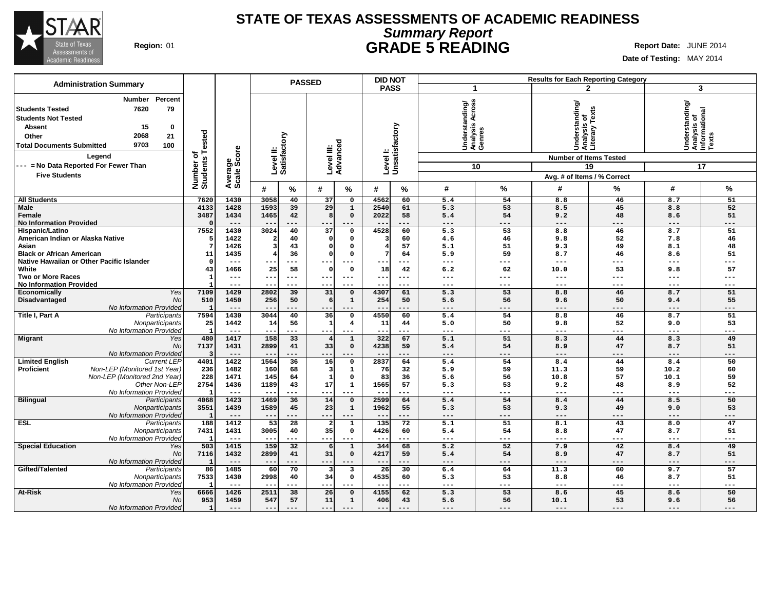

# **Summary Report STATE OF TEXAS ASSESSMENTS OF ACADEMIC READINESS Region:** 01 **GRADE 5 READING Report Date:** JUNE 2014

| <b>Administration Summary</b>                                                                                                                                                                                                                                            |                                      |                             |                                          |                              | <b>PASSED</b>   |                                     | <b>DID NOT</b>        |                            |                                             |                   | <b>Results for Each Reporting Category</b>                                                                      |                 |                                                              |                 |
|--------------------------------------------------------------------------------------------------------------------------------------------------------------------------------------------------------------------------------------------------------------------------|--------------------------------------|-----------------------------|------------------------------------------|------------------------------|-----------------|-------------------------------------|-----------------------|----------------------------|---------------------------------------------|-------------------|-----------------------------------------------------------------------------------------------------------------|-----------------|--------------------------------------------------------------|-----------------|
|                                                                                                                                                                                                                                                                          |                                      |                             |                                          |                              |                 |                                     | <b>PASS</b>           |                            | -1                                          |                   |                                                                                                                 | $\mathbf{2}$    | 3                                                            |                 |
| Percent<br>Number<br>7620<br>79<br><b>Students Tested</b><br><b>Students Not Tested</b><br>15<br><b>Absent</b><br>0<br>2068<br>21<br>Other<br>9703<br>100<br><b>Total Documents Submitted</b><br>Legend<br>--- = No Data Reported For Fewer Than<br><b>Five Students</b> | Tested<br>৳<br>Number of<br>Students | ige<br>Score                | Level II:<br>Satisfactory                |                              | Level III:      | Advanced                            |                       | Level I:<br>Unsatisfactory | Understanding/<br>Analysis Across<br>Genres | 10                | Understanding/<br>Analysis of<br>Literary Texts<br><b>Number of Items Tested</b><br>Avg. # of Items / % Correct | 19              | Understanding/<br> Analysis of<br>  Informational<br>  Texts | 17              |
|                                                                                                                                                                                                                                                                          |                                      | Average:                    | #                                        | %                            | #               | %                                   | #                     | %                          | #                                           | %                 | #                                                                                                               | %               | #                                                            | %               |
| <b>All Students</b>                                                                                                                                                                                                                                                      | 7620                                 | 1430                        | 3058                                     | 40                           | 37              | $\mathbf 0$                         | 4562                  | 60                         | 5.4                                         | 54                | 8.8                                                                                                             | 46              | 8.7                                                          | 51              |
| Male<br>Female<br><b>No Information Provided</b>                                                                                                                                                                                                                         | 4133<br>3487                         | 1428<br>1434<br>$---$       | 1593<br>1465<br>$\overline{\phantom{m}}$ | 39<br>42<br>---              | 29<br>$- -$     | $\mathbf 1$<br>$\mathbf 0$<br>$---$ | 2540<br>2022<br>$- -$ | 61<br>58<br>---            | 5.3<br>5.4<br>$---$                         | 53<br>54<br>$---$ | 8.5<br>9.2<br>$---$                                                                                             | 45<br>48<br>--- | 8.8<br>8.6<br>$---$                                          | 52<br>51<br>--- |
| Hispanic/Latino                                                                                                                                                                                                                                                          | 7552                                 | 1430                        | 3024                                     | 40                           | $\overline{37}$ | $\mathsf{o}\,$                      | 4528                  | 60                         | $\overline{5.3}$                            | 53                | 8.8                                                                                                             | 46              | 8.7                                                          | 51              |
| American Indian or Alaska Native                                                                                                                                                                                                                                         |                                      | 1422                        |                                          | 40                           |                 | 0                                   | 3                     | 60                         | 4.6                                         | 46                | 9.8                                                                                                             | 52              | 7.8                                                          | 46              |
| Asian                                                                                                                                                                                                                                                                    |                                      | 1426                        |                                          | 43                           | O               | $\mathbf 0$                         |                       | 57                         | 5.1                                         | 51                | 9.3                                                                                                             | 49              | 8.1                                                          | 48              |
| <b>Black or African American</b>                                                                                                                                                                                                                                         | 11                                   | 1435                        |                                          | 36                           |                 | $\mathbf 0$                         | $7\phantom{.0}$       | 64                         | 5.9                                         | 59                | 8.7                                                                                                             | 46              | 8.6                                                          | 51              |
| Native Hawaiian or Other Pacific Islander                                                                                                                                                                                                                                | $\Omega$                             | $---$                       |                                          | $---$                        | --              | ---                                 |                       | $---$                      | $---$                                       | $---$             | ---                                                                                                             | ---             | $---$                                                        | ---             |
| White                                                                                                                                                                                                                                                                    | 43                                   | 1466                        | 25                                       | 58                           | $\Omega$        | $\mathbf 0$                         | 18                    | 42                         | 6.2                                         | 62                | 10.0                                                                                                            | 53              | 9.8                                                          | 57              |
| <b>Two or More Races</b><br><b>No Information Provided</b>                                                                                                                                                                                                               |                                      | $---$<br>$---$              | ---                                      | $\qquad \qquad - -$<br>$---$ | ---<br>$- -$    | $---$                               | $---$                 | $---$<br>---               | $---$<br>$---$                              | $---$<br>$---$    | ---<br>---                                                                                                      | ---<br>---      | $---$<br>$---$                                               | ---<br>---      |
| Yes<br>Economically                                                                                                                                                                                                                                                      | 7109                                 | 1429                        | 2802                                     | 39                           | 31              | $\mathbf 0$                         | 4307                  | 61                         | 5.3                                         | 53                | 8.8                                                                                                             | 46              | 8.7                                                          | 51              |
| Disadvantaged<br>No                                                                                                                                                                                                                                                      | 510                                  | 1450                        | 256                                      | 50                           | -6              | $\mathbf{1}$                        | 254                   | 50                         | 5.6                                         | 56                | 9.6                                                                                                             | 50              | 9.4                                                          | 55              |
| No Information Provided                                                                                                                                                                                                                                                  | - 1                                  | $---$                       |                                          | ---                          | --              |                                     |                       | ---                        | $---$                                       | ---               | ---                                                                                                             | ---             | $---$                                                        | ---             |
| Title I, Part A<br>Participants                                                                                                                                                                                                                                          | 7594                                 | 1430                        | 3044                                     | 40                           | 36              | $\mathsf{o}\,$                      | 4550                  | 60                         | 5.4                                         | 54                | 8.8                                                                                                             | 46              | 8.7                                                          | 51              |
| Nonparticipants                                                                                                                                                                                                                                                          | 25                                   | 1442                        | 14                                       | 56                           | $\mathbf{1}$    | $\overline{\mathbf{4}}$             | 11                    | 44                         | 5.0                                         | 50                | 9.8                                                                                                             | 52              | 9.0                                                          | 53              |
| No Information Provided                                                                                                                                                                                                                                                  | г.                                   | $\qquad \qquad - -$         | $--$                                     | ---                          | $- -$           | ---                                 | $- -$                 | ---                        | $---$                                       | $---$             | ---                                                                                                             | ---             | $---$                                                        | ---             |
| <b>Migrant</b><br>Yes                                                                                                                                                                                                                                                    | 480                                  | 1417                        | 158                                      | 33                           |                 | $\mathbf{1}$                        | 322                   | 67                         | 5.1                                         | 51                | 8.3                                                                                                             | 44              | 8.3                                                          | 49              |
| No                                                                                                                                                                                                                                                                       | 7137                                 | 1431<br>$\qquad \qquad - -$ | 2899                                     | 41<br>$---$                  | 33 <sub>1</sub> | $\mathbf 0$                         | 4238                  | 59<br>$---$                | 5.4<br>$---$                                | 54<br>$---$       | 8.9<br>$---$                                                                                                    | 47<br>---       | 8.7<br>$---$                                                 | 51<br>---       |
| No Information Provided<br><b>Limited English</b><br><b>Current LEP</b>                                                                                                                                                                                                  | 4401                                 | 1422                        | $---$<br>1564                            | 36                           | $- -$<br>16     | $---$<br>$\mathsf{o}\,$             | $- -$<br>2837         | 64                         | 5.4                                         | 54                | 8.4                                                                                                             | 44              | 8.4                                                          | 50              |
| <b>Proficient</b><br>Non-LEP (Monitored 1st Year)                                                                                                                                                                                                                        | 236                                  | 1482                        | 160                                      | 68                           | 3               | $\mathbf{1}$                        | 76                    | 32                         | 5.9                                         | 59                | 11.3                                                                                                            | 59              | 10.2                                                         | 60              |
| Non-LEP (Monitored 2nd Year)                                                                                                                                                                                                                                             | 228                                  | 1471                        | 145                                      | 64                           |                 | $\mathbf 0$                         | 83                    | 36                         | 5.6                                         | 56                | 10.8                                                                                                            | 57              | 10.1                                                         | 59              |
| Other Non-LEP                                                                                                                                                                                                                                                            | 2754                                 | 1436                        | 1189                                     | 43                           | 17              | $\mathbf 1$                         | 1565                  | 57                         | 5.3                                         | 53                | 9.2                                                                                                             | 48              | 8.9                                                          | 52              |
| No Information Provided                                                                                                                                                                                                                                                  | г.                                   | $---$                       | $- -$                                    | ---                          | $--$            | $---$                               | $- -$                 | ---                        | $\frac{1}{2}$                               | $---$             | $---$                                                                                                           | ---             | $---$                                                        | ---             |
| <b>Bilingual</b><br>Participants                                                                                                                                                                                                                                         | 4068                                 | 1423                        | 1469                                     | 36                           | 14              | $\mathbf 0$                         | 2599                  | 64                         | 5.4                                         | 54                | 8.4                                                                                                             | 44              | 8.5                                                          | 50              |
| Nonparticipants                                                                                                                                                                                                                                                          | 3551                                 | 1439                        | 1589                                     | 45                           | 23              | $\mathbf 1$                         | 1962                  | 55                         | 5.3                                         | 53                | 9.3                                                                                                             | 49              | 9.0                                                          | 53              |
| No Information Provided                                                                                                                                                                                                                                                  | г.                                   | $---$                       | $- -$                                    | ---                          | $- -$           | $---$                               | $ -$                  | ---                        | $---$                                       | $---$             | $---$                                                                                                           | $---$           | $---$                                                        | ---             |
| <b>ESL</b><br>Participants                                                                                                                                                                                                                                               | 188                                  | 1412                        | $\overline{53}$                          | $\overline{28}$              |                 | $\mathbf{1}$                        | 135                   | 72                         | 5.1                                         | 51                | 8.1                                                                                                             | 43              | 8.0                                                          | 47              |
| Nonparticipants<br>No Information Provided                                                                                                                                                                                                                               | 7431                                 | 1431<br>$---$               | 3005<br>$- -$                            | 40<br>---                    | 35<br>$- -$     | $\mathbf 0$<br>$---$                | 4426<br>$- -$         | 60<br>---                  | 5.4<br>$\frac{1}{2}$                        | 54<br>$---$       | 8.8<br>$---$                                                                                                    | 47<br>$---$     | 8.7<br>$\qquad \qquad - -$                                   | 51<br>---       |
| <b>Special Education</b><br>Yes                                                                                                                                                                                                                                          | 503                                  | 1415                        | 159                                      | 32                           |                 | $\mathbf{1}$                        | 344                   | 68                         | 5.2                                         | 52                | 7.9                                                                                                             | 42              | 8.4                                                          | 49              |
| <b>No</b>                                                                                                                                                                                                                                                                | 7116                                 | 1432                        | 2899                                     | 41                           | 31              | $\mathbf 0$                         | 4217                  | 59                         | 5.4                                         | 54                | 8.9                                                                                                             | 47              | 8.7                                                          | 51              |
| No Information Provided                                                                                                                                                                                                                                                  | г.                                   | $---$                       | $- -$                                    | ---                          | $--$            | $---$                               | $- -$                 | ---                        | $---$                                       | $---$             | $---$                                                                                                           | ---             | $---$                                                        | ---             |
| Gifted/Talented<br>Participants                                                                                                                                                                                                                                          | 86                                   | 1485                        | 60                                       | 70                           |                 | 3                                   | 26                    | 30                         | 6.4                                         | 64                | 11.3                                                                                                            | 60              | 9.7                                                          | 57              |
| Nonparticipants                                                                                                                                                                                                                                                          | 7533                                 | 1430                        | 2998                                     | 40                           | 34              | $\mathbf 0$                         | 4535                  | 60                         | 5.3                                         | 53                | 8.8                                                                                                             | 46              | 8.7                                                          | 51              |
| No Information Provided                                                                                                                                                                                                                                                  |                                      | $---$                       |                                          | ---                          | $- -$           | ---                                 |                       | ---                        | $---$                                       | $---$             | $---$                                                                                                           | ---             | $\qquad \qquad - -$                                          | ---             |
| <b>At-Risk</b><br>Yes                                                                                                                                                                                                                                                    | 6666                                 | 1426                        | 2511                                     | 38                           | 26              | $\mathbf 0$                         | 4155                  | 62                         | 5.3                                         | 53                | 8.6                                                                                                             | 45              | 8.6                                                          | 50              |
| <b>No</b>                                                                                                                                                                                                                                                                | 953                                  | 1459                        | 547                                      | 57                           | 11              | $\mathbf{1}$                        | 406                   | 43                         | 5.6                                         | 56                | 10.1                                                                                                            | 53              | 9.6                                                          | 56              |
| No Information Provided                                                                                                                                                                                                                                                  | $\mathbf{1}$                         | $---$                       | $---$                                    |                              | $- -$           |                                     |                       | $---$                      | $---$                                       | ---               | ---                                                                                                             | ---             | $---$                                                        | ---             |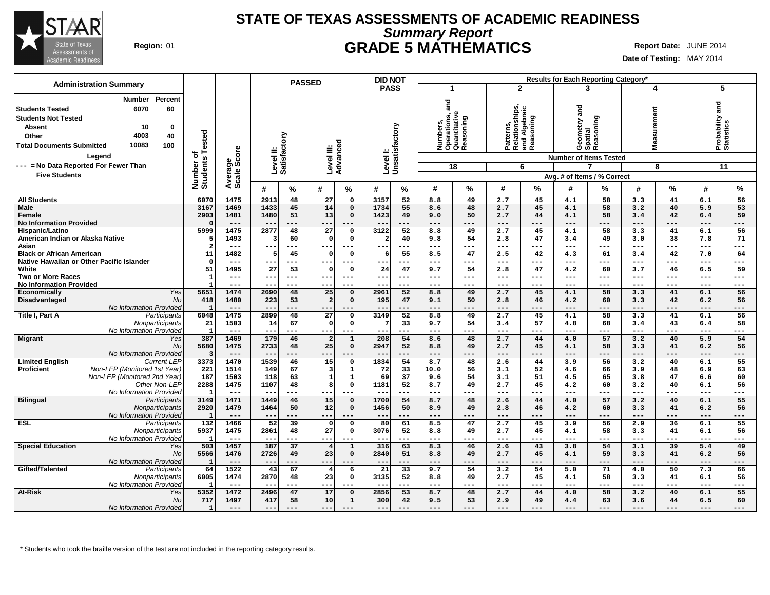

# **Summary Report STATE OF TEXAS ASSESSMENTS OF ACADEMIC READINESS Region:** 01 **GRADE 5 MATHEMATICS Report Date:** JUNE 2014

**Date of Testing:** MAY 2014

|                                                                                                                                                                                                       |                              |                        | <b>PASSED</b>                                          |                                                                        | <b>DID NOT</b>                          |                                                                        |                                                           | Results for Each Reporting Category*               |                                        |                                           |
|-------------------------------------------------------------------------------------------------------------------------------------------------------------------------------------------------------|------------------------------|------------------------|--------------------------------------------------------|------------------------------------------------------------------------|-----------------------------------------|------------------------------------------------------------------------|-----------------------------------------------------------|----------------------------------------------------|----------------------------------------|-------------------------------------------|
| <b>Administration Summary</b>                                                                                                                                                                         |                              |                        |                                                        |                                                                        | <b>PASS</b>                             | $\mathbf 1$                                                            | $\mathbf{2}$                                              | 3                                                  | 4                                      | 5                                         |
| Percent<br><b>Number</b><br>60<br><b>Students Tested</b><br>6070<br><b>Students Not Tested</b><br><b>Absent</b><br>10<br>0<br>4003<br>40<br>Other<br>10083<br><b>Total Documents Submitted</b><br>100 | Number of<br>Students Tested |                        | Level II:<br>Satisfactory                              | Level III:<br>Advanceo                                                 | Level I:<br>Unsatisfactory              | and<br>Numbers,<br>Operations, a<br>Quantitative<br>Reasoning<br>oning | Patterns,<br>Relationships,<br>and Algebraic<br>Reasoning | <b>Pare</b><br>Geometry ar<br>Spatial<br>Reasoning | urement<br>ō,<br>Ñ<br>Mea              | and<br>Probability a<br>Statistics        |
| Legend                                                                                                                                                                                                |                              |                        |                                                        |                                                                        |                                         |                                                                        |                                                           | <b>Number of Items Tested</b>                      |                                        |                                           |
| --- = No Data Reported For Fewer Than                                                                                                                                                                 |                              |                        |                                                        |                                                                        |                                         | 18                                                                     | 6                                                         | 7                                                  | 8                                      | 11                                        |
| <b>Five Students</b>                                                                                                                                                                                  |                              | Average<br>Scale Score |                                                        |                                                                        |                                         |                                                                        |                                                           | Avg. # of Items / % Correct                        |                                        |                                           |
|                                                                                                                                                                                                       |                              |                        | $\%$<br>#                                              | #<br>%                                                                 | #<br>%                                  | #<br>%                                                                 | #<br>%                                                    | ℅<br>#                                             | %<br>#                                 | %<br>#                                    |
| <b>All Students</b>                                                                                                                                                                                   | 6070                         | 1475                   | 2913<br>48                                             | 27<br>$\mathbf 0$                                                      | 3157<br>52                              | 8.8<br>49                                                              | 2.7<br>45                                                 | 4.1<br>58                                          | 3.3<br>41                              | 6.1<br>56                                 |
| <b>Male</b><br>Female<br><b>No Information Provided</b>                                                                                                                                               | 3167<br>2903                 | 1469<br>1481<br>$---$  | 1433<br>45<br>1480<br>51<br>$\qquad \qquad -$<br>$---$ | 14<br>$\Omega$<br>13<br>$\mathbf 0$<br>---                             | 1734<br>55<br>1423<br>49<br>$--$<br>--- | 8.6<br>48<br>9.0<br>50<br>$\qquad \qquad - -$<br>---                   | 2.7<br>45<br>44<br>2.7<br>$---$<br>---                    | 4.1<br>58<br>4.1<br>58<br>$---$<br>---             | 3.2<br>40<br>3.4<br>42<br>$---$<br>--- | 5.9<br>53<br>59<br>6.4<br>---<br>---      |
| Hispanic/Latino                                                                                                                                                                                       | 5999                         | 1475                   | 2877<br>48                                             | $\overline{27}$<br>$\mathbf 0$                                         | 3122<br>52                              | 8.8<br>49                                                              | 45<br>2.7                                                 | 58<br>4.1                                          | 41<br>3.3                              | 56<br>6.1                                 |
| American Indian or Alaska Native<br>Asian                                                                                                                                                             | $\overline{2}$               | 1493<br>$---$          | 60<br>з<br>$- -$<br>$---$                              | $\Omega$<br>$\mathbf 0$<br>$---$                                       | $\overline{2}$<br>40<br>$---$<br>---    | 9.8<br>54<br>$---$<br>---                                              | 2.8<br>47<br>---<br>$\qquad \qquad - -$                   | 3.4<br>49<br>$\qquad \qquad - -$<br>$---$          | 38<br>3.0<br>$---$<br>$---$            | 7.8<br>71<br>$---$<br>$\qquad \qquad - -$ |
| <b>Black or African American</b>                                                                                                                                                                      | 11                           | 1482                   | 45                                                     | $\mathbf{0}$<br>$\Omega$                                               | 55<br>6                                 | 47<br>8.5                                                              | 42<br>2.5                                                 | 4.3<br>61                                          | 42<br>3.4                              | 7.0<br>64                                 |
| Native Hawaiian or Other Pacific Islander                                                                                                                                                             |                              | $---$                  | $---$<br>--                                            | ---<br>$--$                                                            | $---$<br>---                            | $---$<br>---                                                           | ---<br>$---$                                              | $---$<br>---                                       | $---$<br>---                           | ---<br>---                                |
| White<br><b>Two or More Races</b>                                                                                                                                                                     | 51<br>$\mathbf{1}$           | 1495<br>$---$          | 27<br>53<br>--<br>$- - -$                              | $\mathbf 0$<br>0<br>$---$<br>---                                       | 47<br>24<br>---<br>$--$                 | 9.7<br>54<br>$--$<br>---                                               | 2.8<br>47<br>$---$<br>---                                 | 60<br>4.2<br>$--$<br>$- - -$                       | 46<br>3.7<br>$---$<br>---              | 59<br>6.5<br>---<br>---                   |
| <b>No Information Provided</b>                                                                                                                                                                        |                              | $---$                  | $---$<br>$-$                                           | $---$<br>$- -$                                                         | $---$<br>$---$                          | $---$<br>---                                                           | $---$<br>---                                              | $---$<br>$- - -$                                   | $---$<br>$---$                         | $---$<br>$\qquad \qquad - -$              |
| Economically<br>Yes                                                                                                                                                                                   | 5651                         | 1474                   | 2690<br>48                                             | 25<br>$\mathbf 0$                                                      | 52<br>2961                              | 8.8<br>49                                                              | 45<br>2.7                                                 | 58<br>4.1                                          | 41<br>3.3                              | 56<br>6.1                                 |
| Disadvantaged<br><b>No</b><br>No Information Provided                                                                                                                                                 | 418<br>$\mathbf{1}$          | 1480<br>$- - -$        | 223<br>53<br>$- -$<br>$- - -$                          | $\mathbf{2}$<br>$\mathbf 0$<br>$- - -$                                 | 195<br>47<br>$- -$<br>---               | 50<br>9.1<br>$---$<br>---                                              | 46<br>2.8<br>---<br>---                                   | 4.2<br>60<br>$---$<br>---                          | 42<br>3.3<br>$---$<br>---              | 56<br>6.2<br>$---$<br>---                 |
| Title I, Part A<br>Participants<br>Nonparticipants                                                                                                                                                    | 6048<br>21                   | 1475<br>1503           | 2899<br>48<br>14<br>67                                 | 27<br>$\mathbf 0$<br>$\Omega$<br>$\mathbf 0$                           | 52<br>3149<br>33                        | 8.8<br>49<br>9.7<br>54                                                 | 2.7<br>45<br>57<br>3.4                                    | 4.1<br>58<br>4.8<br>68                             | 3.3<br>41<br>43<br>3.4                 | 56<br>6.1<br>6.4<br>58                    |
| No Information Provided                                                                                                                                                                               | $\overline{1}$               | $--$                   | $- -$<br>$---$                                         | $---$<br>$- -$                                                         | ---<br>$\sim$ $\sim$                    | $---$<br>---                                                           | $---$<br>---                                              | $---$<br>---                                       | $---$<br>$---$                         | ---<br>$---$                              |
| Migrant<br>Yes<br><b>No</b>                                                                                                                                                                           | 387<br>5680                  | 1469<br>1475           | 46<br>179<br>2733<br>48                                | $\mathbf 1$<br>$\overline{2}$<br>25<br>$\mathbf 0$                     | 208<br>54<br>52<br>2947                 | 48<br>8.6<br>8.8<br>49                                                 | 44<br>2.7<br>45<br>2.7                                    | 57<br>4.0<br>4.1<br>58                             | 3.2<br>40<br>3.3<br>41                 | 5.9<br>54<br>6.2<br>56                    |
| No Information Provided                                                                                                                                                                               | 3                            | $---$                  | $\overline{\phantom{m}}$<br>---                        | $- -$                                                                  | ---                                     | $---$<br>---                                                           | $---$<br>---                                              | $---$<br>---                                       | $---$<br>---                           | $---$<br>---                              |
| <b>Limited English</b><br><b>Current LEP</b><br>Non-LEP (Monitored 1st Year)<br>Proficient                                                                                                            | 3373<br>221                  | 1470<br>1514           | 1539<br>46<br>149<br>67                                | $\overline{15}$<br>$\mathbf 0$<br>$\overline{\mathbf{3}}$<br>${\bf 1}$ | 1834<br>54<br>72<br>33                  | 8.7<br>48<br>10.0<br>56                                                | 2.6<br>44<br>3.1<br>52                                    | 3.9<br>56<br>66<br>4.6                             | $\overline{3.2}$<br>40<br>3.9<br>48    | 55<br>6.1<br>6.9<br>63                    |
| Non-LEP (Monitored 2nd Year)                                                                                                                                                                          | 187                          | 1503                   | 118<br>63                                              | 1<br>${\bf 1}$                                                         | 69<br>37                                | 9.6<br>54                                                              | 51<br>3.1                                                 | 4.5<br>65                                          | 47<br>3.8                              | 60<br>6.6                                 |
| Other Non-LEP                                                                                                                                                                                         | 2288                         | 1475                   | 1107<br>48                                             | 8 <sup>1</sup><br>$\mathbf 0$                                          | 1181<br>52                              | 8.7<br>49                                                              | 45<br>2.7                                                 | 4.2<br>60                                          | 3.2<br>40                              | 56<br>6.1                                 |
| No Information Provideo                                                                                                                                                                               | $\mathbf{I}$<br>3149         | $---$<br>1471          | $- -$<br>$---$<br>1449<br>46                           | ---<br>---<br>15<br>$\mathbf{0}$                                       | $ -$<br>---<br>1700<br>54               | $---$<br>---<br>8.7<br>48                                              | $---$<br>---<br>2.6<br>44                                 | $---$<br>---<br>57<br>4.0                          | $---$<br>$---$<br>3.2<br>40            | $---$<br>---<br>55<br>6.1                 |
| <b>Bilingual</b><br>Participants<br>Nonparticipants                                                                                                                                                   | 2920                         | 1479                   | 1464<br>50                                             | 12<br>$\mathbf 0$                                                      | 1456<br>50                              | 8.9<br>49                                                              | 2.8<br>46                                                 | 4.2<br>60                                          | 3.3<br>41                              | 6.2<br>56                                 |
| No Information Provided                                                                                                                                                                               | -1                           | $---$                  | $\qquad \qquad -$                                      | ---<br>---                                                             | $\qquad \qquad -$<br>---                | $---$<br>---                                                           | ---<br>$---$                                              | $---$<br>---                                       | $---$<br>---                           | . – –<br>---                              |
| <b>ESL</b><br>Participants                                                                                                                                                                            | 132<br>5937                  | 1466<br>1475           | $\overline{52}$<br>39<br>2861<br>48                    | $\mathbf 0$<br>$\Omega$<br>27<br>$\mathbf 0$                           | 61<br>80<br>52<br>3076                  | 8.5<br>47<br>8.8<br>49                                                 | 2.7<br>45<br>45<br>2.7                                    | 3.9<br>56<br>58<br>4.1                             | 2.9<br>36<br>41<br>3.3                 | 55<br>6.1<br>56<br>6.1                    |
| Nonparticipants<br>No Information Provided                                                                                                                                                            |                              | $- - -$                | $- -$<br>$- - -$                                       | $- -$<br>---                                                           | $- -$<br>---                            | $---$<br>---                                                           | ---<br>$---$                                              | $---$<br>---                                       | $---$<br>$---$                         | $---$<br>---                              |
| <b>Special Education</b><br>Yes                                                                                                                                                                       | 503                          | 1457                   | 187<br>37                                              | $\mathbf{1}$<br>$\overline{4}$                                         | 316<br>63                               | 8.3<br>46                                                              | 2.6<br>43                                                 | 3.8<br>54                                          | 3.1<br>39                              | 5.4<br>49                                 |
| <b>No</b>                                                                                                                                                                                             | 5566<br>$\mathbf{1}$         | 1476<br>$---$          | 2726<br>49<br>$\overline{\phantom{m}}$<br>$---$        | $\mathbf 0$<br>23<br>$- -$<br>---                                      | 51<br>2840<br>$ -$<br>---               | 49<br>8.8<br>$---$<br>---                                              | 45<br>2.7<br>---<br>---                                   | 59<br>4.1<br>---<br>---                            | 41<br>3.3<br>$---$<br>---              | 6.2<br>56<br>---<br>---                   |
| No Information Provided<br>Gifted/Talented<br>Participants                                                                                                                                            | 64                           | 1522                   | 43<br>67                                               | $\overline{4}$<br>6                                                    | 21<br>33                                | 9.7<br>54                                                              | 54<br>3.2                                                 | 71<br>5.0                                          | 50<br>4.0                              | 7.3<br>66                                 |
| Nonparticipants                                                                                                                                                                                       | 6005                         | 1474                   | 2870<br>48                                             | 23<br>$\mathsf{o}$                                                     | 3135<br>52                              | 8.8<br>49                                                              | 2.7<br>45                                                 | 4.1<br>58                                          | 3.3<br>41                              | 6.1<br>56                                 |
| No Information Provided                                                                                                                                                                               | 5352                         | $---$                  | $--$<br>$---$                                          | ---<br>$-- -$                                                          | ---<br>$- -$                            | $--$<br>---                                                            | $---$<br>---<br>44                                        | $---$<br>---                                       | $---$<br>---                           | ---<br>---                                |
| <b>At-Risk</b><br>Yes<br><b>No</b>                                                                                                                                                                    | 717                          | 1472<br>1497           | 47<br>2496<br>417<br>58                                | 17<br>$\mathbf 0$<br>10<br>$\mathbf{1}$                                | 53<br>2856<br>42<br>300                 | 8.7<br>48<br>53<br>9.5                                                 | 2.7<br>49<br>2.9                                          | 58<br>4.0<br>4.4<br>63                             | 3.2<br>40<br>3.6<br>44                 | 55<br>6.1<br>6.5<br>60                    |
| No Information Provided                                                                                                                                                                               | $\mathbf{1}$                 | $- - -$                | $---$<br>$- - -$                                       | $- - -$                                                                | $---$<br>$- - -$                        | $- - -$<br>---                                                         | $- - -$<br>---                                            | $- - -$<br>---                                     | $---$<br>$- - -$                       | $- - -$<br>$---$                          |

\* Students who took the braille version of the test are not included in the reporting category results.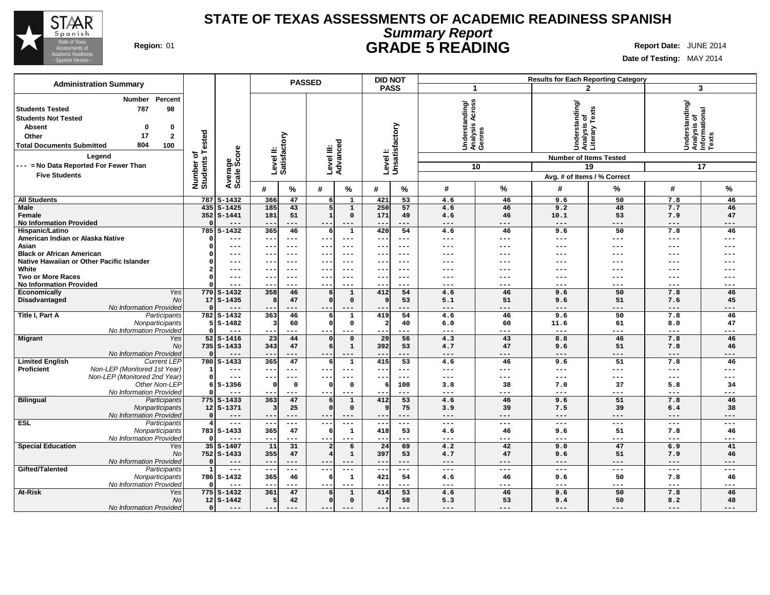

# **Summary Report STATE OF TEXAS ASSESSMENTS OF ACADEMIC READINESS SPANISH Region:** 01 **GRADE 5 READING Report Date:** JUNE 2014

| <b>Administration Summary</b>                                                                                                                                                                                                                         |                                      |                            |                                 | <b>PASSED</b>        |                          |                       | <b>DID NOT</b> |                             |                                             |                              | <b>Results for Each Reporting Category</b>                                       |              |                                                              |            |
|-------------------------------------------------------------------------------------------------------------------------------------------------------------------------------------------------------------------------------------------------------|--------------------------------------|----------------------------|---------------------------------|----------------------|--------------------------|-----------------------|----------------|-----------------------------|---------------------------------------------|------------------------------|----------------------------------------------------------------------------------|--------------|--------------------------------------------------------------|------------|
|                                                                                                                                                                                                                                                       |                                      |                            |                                 |                      |                          |                       | <b>PASS</b>    |                             | -1                                          |                              |                                                                                  | $\mathbf{2}$ | 3                                                            |            |
| Percent<br>Number<br>98<br>787<br><b>Students Tested</b><br><b>Students Not Tested</b><br><b>Absent</b><br>0<br>0<br>17<br>$\mathbf{2}$<br>Other<br>804<br><b>Total Documents Submitted</b><br>100<br>Legend<br>--- = No Data Reported For Fewer Than | Tested<br>৳<br>Number of<br>Students | Average<br>Scale Score     | Level II:<br>Satisfactory       |                      | Level III:               | Advanced              |                | Levell:<br>Unsatisfactory   | Understanding/<br>Analysis Across<br>Genres | 10                           | Understanding/<br>Analysis of<br>Literary Texts<br><b>Number of Items Tested</b> | 19           | Understanding/<br> Analysis of<br>  Informational<br>  Texts | 17         |
| <b>Five Students</b>                                                                                                                                                                                                                                  |                                      |                            |                                 |                      |                          |                       |                |                             |                                             |                              | Avg. # of Items / % Correct                                                      |              |                                                              |            |
|                                                                                                                                                                                                                                                       |                                      |                            | #                               | %                    | #                        | $\%$                  | #              | %                           | #                                           | %                            | #                                                                                | %            | #                                                            | %          |
| <b>All Students</b>                                                                                                                                                                                                                                   | 787                                  | $S - 1432$                 | 366                             | 47                   | $6 \mid$                 | $\mathbf{1}$          | 421            | 53                          | 4.6                                         | 46                           | 9.6                                                                              | 50           | 7.8                                                          | 46         |
| <b>Male</b>                                                                                                                                                                                                                                           |                                      | $435$ $S-1425$             | 185                             | 43                   | 5                        | $\mathbf 1$           | 250            | 57                          | 4.6                                         | 46                           | 9.2                                                                              | 48           | 7.7                                                          | 46         |
| Female                                                                                                                                                                                                                                                |                                      | $352$ S-1441               | 181                             | 51                   | $\mathbf{1}$             | $\mathbf 0$           | 171            | 49                          | 4.6                                         | 46                           | 10.1                                                                             | 53           | 7.9                                                          | 47         |
| <b>No Information Provided</b>                                                                                                                                                                                                                        |                                      | $---$                      | $- -$                           | ---                  | $ -$                     | $---$                 | $ -$           | $---$                       | $\qquad \qquad - -$                         | $---$                        | $---$                                                                            | $---$        | $---$                                                        | ---        |
| Hispanic/Latino                                                                                                                                                                                                                                       | 785                                  | $S-1432$                   | 365                             | 46                   | 6                        | $\mathbf{1}$          | 420            | 54                          | 4.6                                         | 46                           | 9.6                                                                              | 50           | 7.8                                                          | 46         |
| American Indian or Alaska Native                                                                                                                                                                                                                      |                                      | $---$                      | $- -$                           | $\qquad \qquad - -$  | $- -$                    | $---$                 | $- -$          | $\qquad \qquad - -$         | $---$                                       | $---$                        | ---                                                                              | ---          | $\qquad \qquad - -$                                          | ---        |
| Asian                                                                                                                                                                                                                                                 |                                      | $---$                      | $--$                            | $---$                | $- -$                    | $---$                 | $- -$          | $---$                       | ---                                         | $---$                        | ---                                                                              | ---          | $---$                                                        |            |
| <b>Black or African American</b>                                                                                                                                                                                                                      |                                      | $---$                      | $\overline{\phantom{a}}$        | $\qquad \qquad - -$  | $- -$                    | $---$                 | $- -$          | $- - -$                     | ---                                         | ---                          | ---                                                                              | $- - -$      | $---$                                                        |            |
| Native Hawaiian or Other Pacific Islander                                                                                                                                                                                                             |                                      | $---$<br>$---$             | $- -$                           | $---$                | --                       | $- -$<br>$---$        |                | $---$<br>$- - -$            | ---                                         | ---                          | ---                                                                              | ---          | ---                                                          | ---        |
| White<br><b>Two or More Races</b>                                                                                                                                                                                                                     |                                      | $---$                      | $--$<br>$- -$                   | $---$<br>$- - -$     | $- -$<br>$- -$           | $- - -$               | $- -$<br>$- -$ | $- - -$                     | $---$<br>$- - -$                            | $--$<br>$- - -$              | ---<br>---                                                                       | ---          | $---$<br>$- - -$                                             |            |
| <b>No Information Provided</b>                                                                                                                                                                                                                        |                                      | ---                        | $\qquad \qquad -$               | ---                  | $- -$                    |                       | --             | ---                         | $---$                                       | $---$                        | ---                                                                              | ---          | $---$                                                        | ---        |
| <b>Yes</b><br>Economically                                                                                                                                                                                                                            |                                      | $770$ S-1432               | 358                             | 46                   |                          | $\overline{1}$        | 412            | 54                          | 4.6                                         | 46                           | 9.6                                                                              | 50           | 7.8                                                          | 46         |
| Disadvantaged<br>No                                                                                                                                                                                                                                   |                                      | $17S - 1435$               | Я                               | 47                   |                          | $\mathbf 0$           | 9              | 53                          | 5.1                                         | 51                           | 9.6                                                                              | 51           | 7.6                                                          | 45         |
| No Information Provided                                                                                                                                                                                                                               |                                      | ---                        | $\qquad \qquad -$               | ---                  | $\qquad \qquad -$        | ---                   |                | ---                         | $---$                                       | $---$                        | ---                                                                              | ---          | $---$                                                        | ---        |
| Title I, Part A<br>Participants                                                                                                                                                                                                                       |                                      | 782 S-1432                 | 363                             | 46                   |                          | $\mathbf{1}$          | 419            | 54                          | 4.6                                         | 46                           | 9.6                                                                              | 50           | 7.8                                                          | 46         |
| Nonparticipants                                                                                                                                                                                                                                       |                                      | $5S - 1482$                | 3                               | 60                   |                          | 0                     | $\overline{2}$ | 40                          | 6.0                                         | 60                           | 11.6                                                                             | 61           | 8.0                                                          | 47         |
| No Information Provided                                                                                                                                                                                                                               |                                      | $---$                      | $- - -$                         | $---$                | $- -$                    | $---$                 | $- -$          | ---                         | $---$                                       | $---$                        | $---$                                                                            | ---          | $---$                                                        | ---        |
| Migrant<br>Yes                                                                                                                                                                                                                                        | 52                                   | $S - 1416$                 | 23                              | 44                   |                          | $\mathsf{o}\,$        | 29             | 56                          | 4.3                                         | 43                           | 8.8                                                                              | 46           | 7.8                                                          | 46         |
| No                                                                                                                                                                                                                                                    |                                      | $735$ $S-1433$             | 343                             | 47                   |                          | $\mathbf 1$           | 392            | 53                          | 4.7                                         | 47                           | 9.6                                                                              | 51           | 7.8                                                          | 46         |
| No Information Provided                                                                                                                                                                                                                               |                                      | $---$                      | $--$                            | $---$                | $- -$                    | $---$                 | $- -$          | $---$                       | $\qquad \qquad - -$                         | $---$                        | $---$                                                                            | ---          | $---$                                                        | ---        |
| <b>Limited English</b><br><b>Current LEP</b>                                                                                                                                                                                                          |                                      | 780 S-1433                 | 365                             | 47                   |                          | $\mathbf{1}$          | 415            | 53                          | 4.6                                         | 46                           | 9.6                                                                              | 51           | 7.8                                                          | 46         |
| Proficient<br>Non-LEP (Monitored 1st Year)<br>Non-LEP (Monitored 2nd Year)                                                                                                                                                                            | $\Omega$                             | ---<br>$\qquad \qquad - -$ | $\qquad \qquad -$<br>$--$       | ---                  |                          | ---                   |                | $--$<br>$\qquad \qquad - -$ | $---$<br>$\qquad \qquad - -$                | $---$<br>$\qquad \qquad - -$ | ---<br>$\qquad \qquad - -$                                                       | ---<br>$---$ | $---$                                                        | ---<br>--- |
| Other Non-LEP                                                                                                                                                                                                                                         |                                      | $6S - 1356$                | $\Omega$                        | $---$<br>$\mathbf 0$ | $- -$<br>$\Omega$        | $---$<br>0            | $- -$<br>6     | 100                         | 3.8                                         | 38                           | 7.0                                                                              | 37           | $---$<br>5.8                                                 | 34         |
| No Information Provided                                                                                                                                                                                                                               |                                      | $---$                      | $- -$                           | $---$                | $\overline{\phantom{m}}$ | $--$                  |                | $---$                       | $---$                                       | $---$                        | ---                                                                              | $---$        | $---$                                                        | ---        |
| <b>Bilingual</b><br>Participants                                                                                                                                                                                                                      |                                      | $775$ $S-1433$             | 363                             | 47                   |                          | $\mathbf{1}$          | 412            | 53                          | 4.6                                         | 46                           | 9.6                                                                              | 51           | 7.8                                                          | 46         |
| Nonparticipants                                                                                                                                                                                                                                       |                                      | $12 S-1371$                | p                               | 25                   |                          | $\mathbf 0$           | 9              | 75                          | 3.9                                         | 39                           | 7.5                                                                              | 39           | 6.4                                                          | 38         |
| No Information Provided                                                                                                                                                                                                                               |                                      | $---$                      | $- -$                           | $---$                | $- -$                    | $---$                 | $- -$          | $---$                       | $---$                                       | $---$                        | $---$                                                                            | $---$        | $---$                                                        | ---        |
| <b>ESL</b><br>Participants                                                                                                                                                                                                                            | $\overline{4}$                       | $\qquad \qquad - -$        | $--$                            | $\qquad \qquad - -$  | $--$                     | ---                   | ---            | $- - -$                     | $---$                                       | $\qquad \qquad - -$          | ---                                                                              | ---          | $---$                                                        | ---        |
| Nonparticipants                                                                                                                                                                                                                                       |                                      | 783 S-1433                 | 365                             | 47                   | -6                       | $\mathbf{1}$          | 418            | 53                          | 4.6                                         | 46                           | 9.6                                                                              | 51           | 7.8                                                          | 46         |
| No Information Provided                                                                                                                                                                                                                               | $\Omega$                             | $---$                      | $- -$                           | $---$                | $- -$                    | $---$                 | $- -$          | $---$                       | $---$                                       | $---$                        | $---$                                                                            | $---$        | $---$                                                        | ---        |
| <b>Special Education</b><br>Yes                                                                                                                                                                                                                       |                                      | $35S - 1407$               | 11                              | 31                   |                          | 6                     | 24             | 69                          | 4.2                                         | 42                           | 9.0                                                                              | 47           | 6.9                                                          | 41         |
| No                                                                                                                                                                                                                                                    |                                      | 752 S-1433                 | 355                             | 47                   |                          | $\mathbf{1}$          | 397            | 53                          | 4.7                                         | 47                           | 9.6                                                                              | 51           | 7.9                                                          | 46         |
| No Information Provided                                                                                                                                                                                                                               | $\Omega$                             | $---$                      | $- -$                           | $---$                | $- -$                    | ---                   | $- -$          | $---$                       | $---$                                       | $---$                        | $---$                                                                            | ---          | $---$                                                        | ---        |
| Gifted/Talented<br>Participants                                                                                                                                                                                                                       | $\mathbf{1}$                         | $\frac{1}{2}$              | $- -$                           | $---$                | $- -$                    | $---$                 | $- -$          | $- - -$                     | $\frac{1}{2}$                               | $---$                        | $---$                                                                            | ---          | $\cdots$                                                     | ---        |
| Nonparticipants                                                                                                                                                                                                                                       |                                      | 786 S-1432                 | 365                             | 46<br>---            | -6                       | $\mathbf{1}$          | 421<br>$- -$   | 54<br>$---$                 | 4.6<br>$---$                                | 46<br>$---$                  | 9.6                                                                              | 50<br>---    | 7.8                                                          | 46         |
| No Information Provided<br>At-Risk<br>Yes                                                                                                                                                                                                             |                                      | $775$ $S-1432$             | $\overline{\phantom{a}}$<br>361 | 47                   | $- -$                    | $---$<br>$\mathbf{1}$ | 414            | 53                          | 4.6                                         | 46                           | $\qquad \qquad - -$<br>9.6                                                       | 50           | $\qquad \qquad - -$<br>7.8                                   | ---<br>46  |
| No                                                                                                                                                                                                                                                    |                                      | $12 S-1442$                | 5                               | 42                   | $\Omega$                 | $\mathbf 0$           | 7              | 58                          | 5.3                                         | 53                           | 9.4                                                                              | 50           | 8.2                                                          | 48         |
| No Information Provided                                                                                                                                                                                                                               | $\Omega$                             |                            | $---$                           |                      |                          | $---$                 | $--$           | $---$                       | $---$                                       | ---                          | ---                                                                              | ---          | $---$                                                        | ---        |
|                                                                                                                                                                                                                                                       |                                      |                            |                                 |                      |                          |                       |                |                             |                                             |                              |                                                                                  |              |                                                              |            |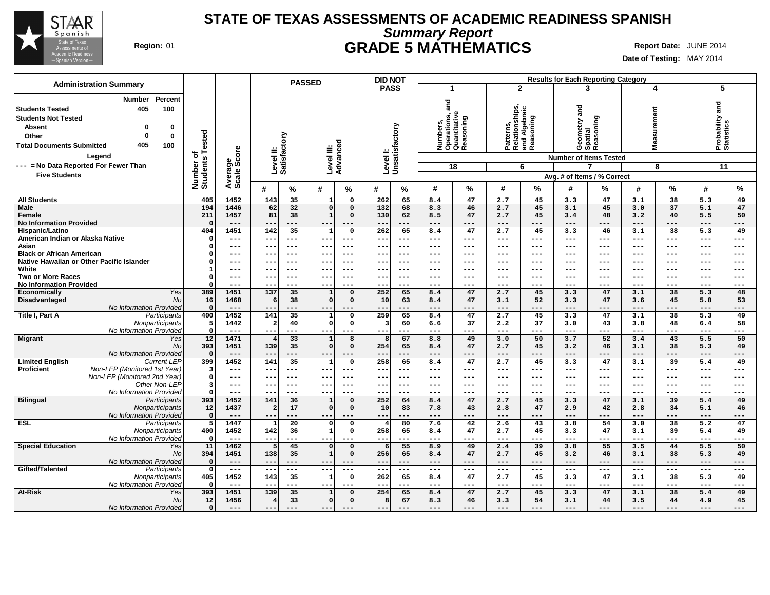

# **Summary Report STATE OF TEXAS ASSESSMENTS OF ACADEMIC READINESS SPANISH Region:** 01 **GRADE 5 MATHEMATICS Report Date:** JUNE 2014

| <b>Administration Summary</b>                                                                                                                                                                |                              |                     | <b>PASSED</b>                   |                                  | <b>DID NOT</b>             |                                                               |                                                           | <b>Results for Each Reporting Category</b> |                                  |                                    |
|----------------------------------------------------------------------------------------------------------------------------------------------------------------------------------------------|------------------------------|---------------------|---------------------------------|----------------------------------|----------------------------|---------------------------------------------------------------|-----------------------------------------------------------|--------------------------------------------|----------------------------------|------------------------------------|
|                                                                                                                                                                                              |                              |                     |                                 |                                  | <b>PASS</b>                | -1                                                            | $\mathbf{2}$                                              | 3                                          | 4                                | 5                                  |
| Percent<br>Number<br>405<br>100<br>  Students Tested<br><b>Students Not Tested</b><br><b>Absent</b><br>0<br>0<br>Other<br>0<br>$\mathbf 0$<br>405<br><b>Total Documents Submitted</b><br>100 | Number of<br>Students Tested | ige<br>Score        | Level II:<br>Satisfactory       | ত<br>Level III:<br>Advanceo      | Level I:<br>Unsatisfactory | and<br>Numbers,<br>Operations, a<br>Quantitative<br>Reasoning | Patterns,<br>Relationships,<br>and Algebraic<br>Reasoning | and<br>Reasoning<br>Geometry a<br>Spatial  | surement<br>Ñea                  | and<br>Probability a<br>Statistics |
| Legend                                                                                                                                                                                       |                              |                     |                                 |                                  |                            |                                                               |                                                           | <b>Number of Items Tested</b>              |                                  |                                    |
| --- = No Data Reported For Fewer Than                                                                                                                                                        |                              |                     |                                 |                                  |                            | 18                                                            | 6                                                         |                                            | 8                                | 11                                 |
| <b>Five Students</b>                                                                                                                                                                         |                              | Average:            |                                 |                                  |                            |                                                               |                                                           | Avg. # of Items / % Correct                |                                  |                                    |
|                                                                                                                                                                                              |                              |                     | $\%$<br>#                       | %<br>#                           | #<br>℅                     | ℅<br>#                                                        | %<br>#                                                    | ℅<br>#                                     | %<br>#                           | %<br>#                             |
| <b>All Students</b>                                                                                                                                                                          | 405                          | 1452                | 143<br>35                       | $\mathbf 0$<br>-1                | 262<br>65                  | 47<br>8.4                                                     | 2.7<br>45                                                 | 47<br>3.3                                  | 38<br>3.1                        | 5.3<br>49                          |
| Male                                                                                                                                                                                         | 194                          | 1446                | 32<br>62                        | $\mathbf 0$<br>$\Omega$          | 132<br>68                  | 46<br>8.3                                                     | 45<br>2.7                                                 | 45<br>3.1                                  | 37<br>3.0                        | 47<br>5.1                          |
| Female                                                                                                                                                                                       | 211                          | 1457                | 81<br>38                        | $\mathbf{1}$<br>$\mathbf 0$      | 62<br>130                  | 8.5<br>47                                                     | 45<br>2.7                                                 | 3.4<br>48                                  | 3.2<br>40                        | 5.5<br>50                          |
| <b>No Information Provided</b>                                                                                                                                                               | $\Omega$                     | $---$               | $--$<br>$---$                   | ---<br>$--$                      | $\qquad \qquad -$<br>$---$ | $---$<br>---                                                  | ---<br>$---$                                              | $---$<br>---                               | $---$<br>$---$                   | ---<br>---                         |
| Hispanic/Latino                                                                                                                                                                              | 404                          | 1451                | 142<br>35                       | $\mathbf{1}$<br>$\mathbf 0$      | 262<br>65                  | 8.4<br>47                                                     | 2.7<br>45                                                 | 3.3<br>46                                  | 38<br>3.1                        | 5.3<br>49                          |
| American Indian or Alaska Native                                                                                                                                                             | $\Omega$                     | $---$               | $- -$<br>$---$                  | $-- -$<br>$- - -$                | $ -$<br>---                | $- - -$<br>---                                                | ---<br>$---$                                              | $---$<br>---                               | $---$<br>$---$                   | ---<br>$---$                       |
| Asian                                                                                                                                                                                        | $\Omega$                     | ---                 | --<br>$--$                      | $- -$<br>$--$                    | --<br>---                  | $\qquad \qquad - -$<br>---                                    | ---<br>$---$                                              | $---$<br>---                               | ---<br>$---$                     | ---<br>---                         |
| <b>Black or African American</b>                                                                                                                                                             | $\Omega$                     | ---                 | $--$<br>$- -$                   | $---$<br>$- -$                   | $--$<br>$--$               | $---$<br>---                                                  | $---$<br>---                                              | $--$<br>---                                | $---$<br>$---$                   | $---$<br>---                       |
| Native Hawaiian or Other Pacific Islander                                                                                                                                                    | $\Omega$                     | ---                 | $- -$<br>$--$                   | $- - \cdot$<br>$-- -$            | $- -$<br>$--$              | $--$<br>---                                                   | ---<br>$---$                                              | $--$<br>---                                | $---$<br>$---$                   | ---<br>$---$                       |
| White                                                                                                                                                                                        | -1                           | ---                 | $- -$<br>$---$                  | $- - -$<br>$- -$                 | $- -$<br>$- - -$           | $- - -$<br>---                                                | $---$<br>$---$                                            | $- - -$<br>---                             | $- - -$<br>$---$                 | ---<br>$---$                       |
| <b>Two or More Races</b>                                                                                                                                                                     | $\Omega$<br>$\Omega$         | $---$<br>---        | $---$<br>$\qquad \qquad -$      | $---$<br>$- -$<br>$- -$          | $--$<br>$--$<br>--         | $- - -$<br>---<br>---<br>---                                  | $---$<br>$---$<br>$---$<br>---                            | $---$<br>$- - -$<br>---<br>---             | $---$<br>$---$<br>$---$<br>$---$ | ---<br>$---$<br>---<br>---         |
| <b>No Information Provided</b><br>Economically<br>Yes                                                                                                                                        | 389                          | 1451                | 137<br>35                       | $\mathbf 0$<br>$\mathbf{1}$      | 252<br>65                  | 8.4<br>47                                                     | 2.7<br>45                                                 | 3.3<br>47                                  | 38<br>3.1                        | 5.3<br>48                          |
| Disadvantaged<br>No                                                                                                                                                                          | 16                           | 1468                | 38<br>6                         | $\mathbf 0$<br>$\mathbf 0$       | 10<br>63                   | 47<br>8.4                                                     | 52<br>3.1                                                 | 3.3<br>47                                  | 45<br>3.6                        | 5.8<br>53                          |
| No Information Provided                                                                                                                                                                      | $\mathbf 0$                  | $---$               |                                 |                                  | ---                        | $---$<br>---                                                  | ---<br>$---$                                              | $---$<br>---                               | $---$<br>---                     | ---<br>---                         |
| Title I, Part A<br>Participants                                                                                                                                                              | 400                          | 1452                | 35<br>141                       | $\mathbf{o}$<br>$\mathbf{1}$     | 65<br>259                  | 8.4<br>47                                                     | 45<br>2.7                                                 | 47<br>3.3                                  | 3.1<br>38                        | 49<br>5.3                          |
| Nonparticipants                                                                                                                                                                              | 5                            | 1442                | $\overline{\mathbf{2}}$<br>40   | $\mathbf 0$<br>$\mathbf 0$       | 60<br>3                    | 6.6<br>37                                                     | 2.2<br>37                                                 | 3.0<br>43                                  | 3.8<br>48                        | 6.4<br>58                          |
| No Information Provided                                                                                                                                                                      | $\mathbf 0$                  | $---$               | ---<br>---                      | $--$<br>---                      | $--$<br>---                | $---$<br>---                                                  | ---<br>$\qquad \qquad -$                                  | $--$<br>---                                | $---$<br>---                     | ---<br>---                         |
| Yes<br><b>Migrant</b>                                                                                                                                                                        | 12                           | 1471                | 33<br>$\overline{4}$            | 8<br>$\mathbf{1}$                | 67                         | 8.8<br>49                                                     | 50<br>3.0                                                 | 52<br>3.7                                  | 3.4<br>43                        | 50<br>5.5                          |
| No                                                                                                                                                                                           | 393                          | 1451                | 139<br>35                       | $\mathbf 0$<br>$\mathbf 0$       | 254<br>65                  | 8.4<br>47                                                     | 45<br>2.7                                                 | 3.2<br>46                                  | 3.1<br>38                        | 5.3<br>49                          |
| No Information Provided                                                                                                                                                                      | $\mathbf 0$                  | $---$               | ---<br>$- -$                    | ---<br>$- -$                     | $---$<br>--                | $---$<br>---                                                  | ---<br>$---$                                              | $---$<br>---                               | $---$<br>$---$                   | ---<br>---                         |
| <b>Limited English</b><br><b>Current LEP</b>                                                                                                                                                 | 399                          | 1452                | 35<br>141                       | $\mathbf 0$<br>1                 | 258<br>65                  | 8.4<br>47                                                     | 45<br>2.7                                                 | 47<br>3.3                                  | 39<br>3.1                        | 5.4<br>49                          |
| Proficient<br>Non-LEP (Monitored 1st Year)                                                                                                                                                   | 3                            | $---$               | $\qquad \qquad -$<br>$---$      | $--$<br>$- - \cdot$              | ---<br>$- -$               | $- - -$<br>---                                                | ---<br>$---$                                              | $---$<br>---                               | $---$<br>$---$                   | ---<br>$---$                       |
| Non-LEP (Monitored 2nd Year)<br>Other Non-LEP                                                                                                                                                | $\mathbf 0$<br>3             | $---$               | $\qquad \qquad -$<br>$---$      | $- -$<br>$- - -$                 | $- -$<br>$--$              | $--$<br>---                                                   | $---$<br>$---$                                            | $---$<br>$--$                              | $---$<br>$---$                   | ---<br>$---$                       |
| No Information Provided                                                                                                                                                                      | $\Omega$                     | ---<br>---          | --<br>$---$<br>$--$             | $---$<br>--<br>---<br>$- -$      | ---<br>---<br>$-$<br>---   | $\qquad \qquad - -$<br>---<br>$--$<br>---                     | $---$<br>---<br>$---$<br>---                              | $---$<br>---<br>$--$<br>---                | $---$<br>$---$<br>$---$<br>$---$ | ---<br>---<br>---<br>---           |
| <b>Bilingual</b><br>Participants                                                                                                                                                             | 393                          | 1452                | 141<br>36                       | $\mathbf{1}$<br>$\mathbf 0$      | 252<br>64                  | 47<br>8.4                                                     | 45<br>2.7                                                 | 47<br>3.3                                  | 39<br>3.1                        | 5.4<br>49                          |
| Nonparticipants                                                                                                                                                                              | 12                           | 1437                | $\overline{a}$<br>17            | $\mathbf 0$<br>$\mathbf 0$       | 10<br>83                   | 7.8<br>43                                                     | 2.8<br>47                                                 | 2.9<br>42                                  | 34<br>2.8                        | 5.1<br>46                          |
| No Information Provided                                                                                                                                                                      | 0                            | $---$               | $\qquad \qquad -$               | $--$<br>---                      | --<br>---                  | $---$<br>---                                                  | $---$<br>---                                              | $---$<br>---                               | $---$<br>---                     | ---<br>---                         |
| <b>ESL</b><br>Participants                                                                                                                                                                   | 5                            | 1447                | $\overline{20}$<br>$\mathbf{I}$ | $\mathbf 0$<br>$\Omega$          | 80                         | 42<br>7.6                                                     | 2.6<br>43                                                 | 54<br>3.8                                  | 38<br>3.0                        | $\overline{5.2}$<br>47             |
| Nonparticipants                                                                                                                                                                              | 400                          | 1452                | 142<br>36                       | $\mathbf{1}$<br>$\mathbf 0$      | 258<br>65                  | 8.4<br>47                                                     | 2.7<br>45                                                 | 3.3<br>47                                  | 3.1<br>39                        | 5.4<br>49                          |
| No Information Provided                                                                                                                                                                      | - 0                          | $---$               | $- -$                           | ---<br>---                       | --<br>---                  | $---$<br>---                                                  | $--$<br>---                                               | $---$<br>---                               | $---$<br>---                     | ---<br>---                         |
| <b>Special Education</b><br>Yes                                                                                                                                                              | 11                           | 1462                | 45<br>5                         | $\mathbf 0$<br>$\Omega$          | 55                         | 8.9<br>49                                                     | 39<br>2.4                                                 | 3.8<br>55                                  | 3.5<br>44                        | 50<br>5.5                          |
| No                                                                                                                                                                                           | 394                          | 1451                | 138<br>35                       | $\mathbf{1}$<br>$\mathbf 0$      | 65<br>256                  | 8.4<br>47                                                     | 2.7<br>45                                                 | 3.2<br>46                                  | 38<br>3.1                        | 5.3<br>49                          |
| No Information Provided                                                                                                                                                                      | $\mathbf 0$                  | $---$               | $---$<br>$--$                   | $---$<br>$- - -$                 | $---$<br>$- -$             | $---$<br>---                                                  | $---$<br>$---$                                            | $---$<br>---                               | $---$<br>$---$                   | $---$<br>$---$                     |
| Gifted/Talented<br>Participants                                                                                                                                                              | $\mathbf 0$                  | $\qquad \qquad - -$ | ---<br>$---$                    | ---<br>$---$                     | $---$<br>$-\,-$            | $\sim$ $\sim$ $\sim$<br>---                                   | $- -$<br>$\qquad \qquad -$                                | $---$<br>---                               | $---$<br>$---$                   | $---$<br>$---$                     |
| Nonparticipants<br>No Information Provided                                                                                                                                                   | 405<br>- 0                   | 1452<br>$---$       | 35<br>143<br>$- -$<br>$---$     | $\mathbf 0$<br>1<br>$--$<br>$--$ | 65<br>262<br>$--$<br>$- -$ | 47<br>8.4<br>$---$<br>---                                     | 2.7<br>45<br>$\qquad \qquad -$<br>$---$                   | 3.3<br>47<br>$---$<br>---                  | 38<br>3.1<br>$---$<br>$---$      | 5.3<br>49<br>---<br>$---$          |
| <b>At-Risk</b><br>Yes                                                                                                                                                                        | 393                          | 1451                | 139<br>35                       | $\mathbf{o}$<br>1                | 254<br>65                  | 47<br>8.4                                                     | 45<br>2.7                                                 | 47<br>3.3                                  | 38<br>3.1                        | 49<br>5.4                          |
| No                                                                                                                                                                                           | 12                           | 1456                | 33<br>4                         | 0 <br>$\mathbf 0$                | 67<br>-8                   | 8.3<br>46                                                     | 54<br>3.3                                                 | 3.1<br>44                                  | 44<br>3.5                        | 45<br>4.9                          |
| No Information Provided                                                                                                                                                                      | $\Omega$                     | $---$               | $---$<br>$---$                  | $--$<br>$---$                    | $--$<br>---                | $---$<br>---                                                  | $---$<br>$---$                                            | $---$<br>---                               | $---$<br>$---$                   | ---<br>$---$                       |
|                                                                                                                                                                                              |                              |                     |                                 |                                  |                            |                                                               |                                                           |                                            |                                  |                                    |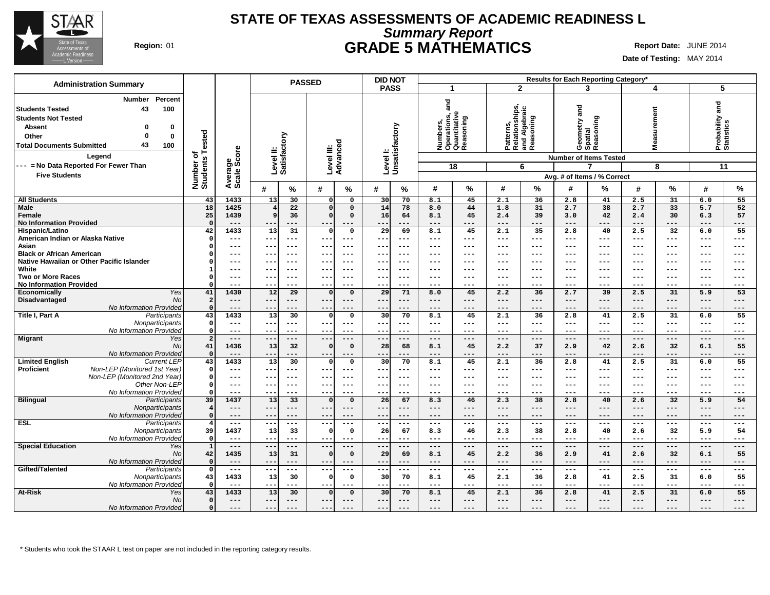

# **Summary Report STATE OF TEXAS ASSESSMENTS OF ACADEMIC READINESS L Region:** 01 **GRADE 5 MATHEMATICS Report Date:** JUNE 2014

**Date of Testing:** MAY 2014

| <b>Administration Summary</b>                                                                                                                                                                             |                              |                                                         | <b>PASSED</b>                          |                                                                  | <b>DID NOT</b>                       |                                                               |                                         |                                                           | Results for Each Reporting Category*                          |                 |                            |                           |                               |                                                   |
|-----------------------------------------------------------------------------------------------------------------------------------------------------------------------------------------------------------|------------------------------|---------------------------------------------------------|----------------------------------------|------------------------------------------------------------------|--------------------------------------|---------------------------------------------------------------|-----------------------------------------|-----------------------------------------------------------|---------------------------------------------------------------|-----------------|----------------------------|---------------------------|-------------------------------|---------------------------------------------------|
|                                                                                                                                                                                                           |                              |                                                         |                                        |                                                                  | <b>PASS</b>                          | -1                                                            |                                         | $\mathbf{2}$                                              | 3                                                             |                 | 4                          |                           | 5                             |                                                   |
| Percent<br>Number<br>100<br><b>Students Tested</b><br>43<br><b>Students Not Tested</b><br><b>Absent</b><br>0<br>0<br>$\mathbf 0$<br>Other<br>0<br>43<br>100<br><b>Total Documents Submitted</b><br>Legend | Number of<br>Students Tested | ge<br>Score                                             | Level II:<br>Satisfactory              | ъ<br>Level III:<br>Advanceo                                      | Levell:<br>Unsatisfactory            | and<br>Numbers,<br>Operations, a<br>Quantitative<br>Reasoning | oning                                   | Patterns,<br>Relationships,<br>and Algebraic<br>Reasoning | and<br>Geometry a<br>Spatial<br><b>Number of Items Tested</b> | Reasoning       | surement<br>Ñ<br>Mea       |                           | Probability and<br>Statistics |                                                   |
| --- = No Data Reported For Fewer Than                                                                                                                                                                     |                              |                                                         |                                        |                                                                  |                                      | 18                                                            |                                         | 6                                                         | 7                                                             |                 |                            | 8                         | 11                            |                                                   |
| <b>Five Students</b>                                                                                                                                                                                      |                              |                                                         |                                        |                                                                  |                                      |                                                               |                                         |                                                           | Avg. # of Items / % Correct                                   |                 |                            |                           |                               |                                                   |
|                                                                                                                                                                                                           |                              | Average<br>Scale                                        | $\%$<br>#                              | $\%$<br>#                                                        | #<br>%                               | #                                                             | %<br>#                                  | %                                                         | #                                                             | ℅               | #                          | %                         | #                             | $\%$                                              |
| <b>All Students</b>                                                                                                                                                                                       | 43                           | 1433                                                    | 13<br>30                               | $\mathsf{o}\,$<br>$\mathbf{0}$                                   | 30<br>70                             | 8.1                                                           | 45<br>2.1                               | 36                                                        | 2.8                                                           | 41              | 2.5                        | 31                        | 6.0                           | 55                                                |
| Male<br>Female<br><b>No Information Provided</b>                                                                                                                                                          | 18<br>25<br>$\Omega$         | 1425<br>1439<br>$---$                                   | 22<br>4<br>9<br>36<br>$---$<br>$--$    | $\mathbf 0$<br>$\mathbf{0}$<br>$\mathbf 0$<br>$\mathbf 0$<br>--- | 14<br>78<br>16<br>64<br>$---$<br>--- | 8.0<br>8.1<br>$---$                                           | 44<br>1.8<br>45<br>2.4<br>---<br>$---$  | 31<br>39<br>---                                           | 2.7<br>3.0<br>$---$                                           | 38<br>42<br>--- | 2.7<br>2.4<br>$---$        | 33<br>30<br>---           | 5.7<br>6.3<br>---             | 52<br>57<br>---                                   |
| Hispanic/Latino                                                                                                                                                                                           | 42<br>$\Omega$               | 1433<br>$---$                                           | $\overline{13}$<br>31<br>$- -$         | $\mathbf 0$<br>$\Omega$<br>$---$                                 | $\overline{29}$<br>69<br>$---$       | 8.1<br>$\qquad \qquad - -$                                    | 2.1<br>45<br>---<br>$\qquad \qquad - -$ | 35<br>$---$                                               | 2.8<br>$---$                                                  | 40<br>$---$     | 2.5<br>$\qquad \qquad - -$ | 32<br>$\qquad \qquad - -$ | 6.0<br>$---$                  | 55<br>$---$                                       |
| American Indian or Alaska Native<br>Asian                                                                                                                                                                 | $\Omega$                     | ---                                                     | $---$<br>--<br>$---$                   | $- -$<br>---                                                     | $--$<br>--                           | $---$                                                         | ---<br>$---$                            | ---                                                       | ---                                                           | ---             | ---                        | ---                       | ---                           | ---                                               |
| <b>Black or African American</b>                                                                                                                                                                          |                              | ---                                                     | $---$<br>--                            | $---$<br>--                                                      | $---$<br>$--$                        | $---$                                                         | ---<br>$---$                            | ---                                                       | $--$                                                          | $---$           | $---$                      | $---$                     | ---                           | $---$                                             |
| Native Hawaiian or Other Pacific Islander                                                                                                                                                                 |                              | ---                                                     | --<br>$- - -$                          | $- -$<br>$- - -$                                                 | $- -$<br>$--$                        | $---$                                                         | ---<br>$---$                            | ---                                                       | $- - -$                                                       | $--$            | $---$                      | $--$                      | ---                           | $---$                                             |
| White                                                                                                                                                                                                     | -1                           | $--$                                                    | $---$<br>--                            | $---$<br>--                                                      | $- -$<br>$- - -$                     | $---$                                                         | ---<br>$\qquad \qquad - \qquad -$       | ---                                                       | $---$                                                         | $- - -$         | $---$                      | $---$                     | ---                           | $---$                                             |
| <b>Two or More Races</b><br><b>No Information Provided</b>                                                                                                                                                | $\Omega$<br>$\Omega$         | ---<br>---                                              | --<br>---<br>--<br>---                 | $---$<br>$- -$<br>---                                            | --<br>$--$<br>$- -$<br>---           | $---$<br>$--$                                                 | $---$<br>---<br>$---$<br>---            | ---<br>---                                                | $---$<br>$--$                                                 | ---<br>---      | ---<br>$---$               | $---$<br>---              | ---<br>---                    | ---<br>$---$                                      |
| Yes<br>Economically                                                                                                                                                                                       | 41                           | 1430                                                    | 29<br>12                               | ol<br>$\mathbf{0}$                                               | 29<br>71                             | 8.0                                                           | 45<br>2.2                               | 36                                                        | 2.7                                                           | 39              | 2.5                        | 31                        | 5.9                           | 53                                                |
| Disadvantaged<br>No                                                                                                                                                                                       | $\overline{a}$               | $---$                                                   | $- -$<br>$---$                         | ---<br>$---$                                                     | $---$<br>$---$                       | $---$                                                         | ---<br>$---$                            | $---$                                                     | $---$                                                         | $---$           | $---$                      | $---$                     | $---$                         | $---$                                             |
| No Information Provided                                                                                                                                                                                   | $\Omega$                     | ---                                                     | $- -$<br>---                           | $--$<br>---                                                      | $\qquad \qquad -$<br>---             | $---$                                                         | ---<br>$---$                            | ---                                                       | $---$                                                         | ---             | $---$                      | $---$                     | ---                           | $---$                                             |
| Title I, Part A<br>Participants<br>Nonparticipants                                                                                                                                                        | 43<br>$\mathbf 0$            | 1433<br>$--$                                            | 30<br>13<br>$- - -$<br>--              | $\mathbf{0}$<br>$\mathbf 0$<br>---<br>$---$                      | 30<br>70<br>$---$<br>$---$           | 8.1<br>$\qquad \qquad - -$                                    | 45<br>2.1<br>---<br>$\qquad \qquad - -$ | 36<br>$---$                                               | 2.8<br>$\qquad \qquad - -$                                    | 41<br>$- - -$   | 2.5<br>$---$               | 31<br>$---$               | 6.0<br>$---$                  | 55<br>$---$                                       |
| No Information Provided                                                                                                                                                                                   | $\Omega$                     | $---$                                                   | --<br>---                              | ---<br>$-- -$                                                    | $--$<br>---                          | $---$                                                         | ---<br>$---$                            | $---$                                                     | $---$                                                         | ---             | $---$                      | $---$                     | ---                           | $---$                                             |
| <b>Migrant</b><br>Yes                                                                                                                                                                                     | $\overline{a}$               | $---$                                                   | $\qquad \qquad - -$<br>$---$           | $---$<br>$---$                                                   | $---$<br>---                         | $\qquad \qquad - -$                                           | ---<br>$\qquad \qquad - -$              | $---$                                                     | $---$                                                         | ---             | $---$                      | $---$                     | $---$                         | $---$                                             |
| No                                                                                                                                                                                                        | 41<br>$\Omega$               | 1436<br>$---$                                           | 32<br>13<br>$- -$<br>$---$             | $\mathbf 0$<br>$\Omega$<br>$- -$<br>$---$                        | 28<br>68<br>$---$<br>---             | 8.1<br>$---$                                                  | 45<br>2.2<br>---<br>$---$               | 37<br>$---$                                               | 2.9<br>$---$                                                  | 42<br>$---$     | 2.6<br>$---$               | 32<br>$---$               | 6.1<br>$---$                  | 55<br>---                                         |
| No Information Provided<br><b>Limited English</b><br><b>Current LEP</b>                                                                                                                                   | 43                           | 1433                                                    | 30<br>13                               | $\mathbf 0$<br>0                                                 | 30<br>70                             | 8.1                                                           | 2.1<br>45                               | 36                                                        | 2.8                                                           | 41              | 2.5                        | 31                        | 6.0                           | 55                                                |
| Proficient<br>Non-LEP (Monitored 1st Year)                                                                                                                                                                | $\mathbf{0}$                 | $---$                                                   | --<br>$---$                            | $---$<br>$- - \cdot$                                             | $- - -$<br>$--$                      | $\qquad \qquad - -$                                           | ---<br>$- - -$                          | $---$                                                     | $---$                                                         | $---$           | $\qquad \qquad - -$        | $---$                     | ---                           | $---$                                             |
| Non-LEP (Monitored 2nd Year)                                                                                                                                                                              | $\Omega$                     | $---$                                                   | --<br>$---$                            | $- -$<br>$---$                                                   | $- -$<br>$- - -$                     | $---$                                                         | ---<br>$\qquad \qquad - \qquad -$       | $---$                                                     | $- - -$                                                       | $- - -$         | $---$                      | $---$                     | ---                           | $---$                                             |
| Other Non-LEP<br>No Information Provided                                                                                                                                                                  | $\mathbf 0$<br>$\Omega$      | $---$<br>---                                            | $---$<br>--<br>--<br>$--$              | $---$<br>---<br>---<br>$- - \cdot$                               | $---$<br>--<br>$- -$<br>---          | $---$<br>$--$                                                 | ---<br>$---$<br>---<br>$---$            | ---<br>---                                                | $---$<br>$--$                                                 | ---<br>---      | $---$<br>$---$             | $---$<br>---              | ---<br>---                    | ---<br>$---$                                      |
| <b>Bilingual</b><br>Participants                                                                                                                                                                          | 39                           | 1437                                                    | 33<br>13                               | $\Omega$<br>$\mathbf{0}$                                         | 26<br>67                             | 8.3                                                           | 46<br>2.3                               | 38                                                        | 2.8                                                           | 40              | 2.6                        | 32                        | 5.9                           | 54                                                |
| Nonparticipants                                                                                                                                                                                           | $\overline{4}$               | $---$                                                   | ---<br>$---$                           | $---$<br>$---$                                                   | $---$<br>$---$                       | $---$                                                         | ---<br>$---$                            | $---$                                                     | $---$                                                         | ---             | $---$                      | $---$                     | $---$                         | ---                                               |
| No Information Provided                                                                                                                                                                                   | $\Omega$                     | $---$                                                   | --<br>---                              | $- -$<br>$---$                                                   | ---<br>$\qquad \qquad -$             | $---$                                                         | ---<br>$---$                            | ---                                                       | $---$                                                         | $---$           | $---$                      | $---$                     | ---                           | $---$                                             |
| <b>ESL</b><br>Participants<br>Nonparticipants                                                                                                                                                             | $\overline{4}$<br>39         | $\qquad \qquad - -$<br>1437                             | $\qquad \qquad - -$<br>---<br>13<br>33 | $---$<br>$---$<br>$\mathbf 0$<br>$\mathbf 0$                     | $--$<br>$\frac{1}{2}$<br>26<br>67    | $\qquad \qquad - -$<br>8.3                                    | ---<br>$---$<br>46<br>2.3               | $---$<br>38                                               | $\qquad \qquad - -$<br>2.8                                    | $---$<br>40     | $---$<br>2.6               | $\qquad \qquad - -$<br>32 | $---$<br>5.9                  | $\scriptstyle \cdots$ $\scriptstyle \cdots$<br>54 |
| No Information Provided                                                                                                                                                                                   | $\mathbf{0}$                 | $---$                                                   | --<br>---                              | $---$<br>---                                                     | $--$<br>---                          | $---$                                                         | ---<br>$---$                            | ---                                                       | $---$                                                         | ---             | $---$                      | ---                       | ---                           | ---                                               |
| <b>Special Education</b><br>Yes                                                                                                                                                                           | $\mathbf{1}$                 | $\hspace{0.05cm} - \hspace{0.05cm} - \hspace{0.05cm} -$ | $---$<br>---                           | $---$<br>$---$                                                   | $---$<br>---                         | $---$                                                         | ---<br>$---$                            | $---$                                                     | $---$                                                         | $---$           | $---$                      | $---$                     | $---$                         | $---$                                             |
| N <sub>O</sub>                                                                                                                                                                                            | 42                           | 1435                                                    | 13<br>31                               | $\mathbf 0$<br>$\mathbf 0$                                       | 29<br>69                             | 8.1                                                           | 45<br>2.2                               | 36                                                        | 2.9                                                           | 41              | 2.6                        | 32                        | 6.1                           | 55                                                |
| No Information Provided                                                                                                                                                                                   | $\Omega$<br>$\mathbf{o}$     | $---$                                                   | $- -$<br>$---$                         | $- - -$<br>$---$<br>$---$<br>$--$                                | $---$<br>---                         | $---$                                                         | ---<br>$---$<br>$\sim$ $\sim$ $\sim$    | $---$                                                     | $---$                                                         | $---$<br>---    | $---$                      | $---$                     | $---$                         | $---$                                             |
| Gifted/Talented<br>Participants<br>Nonparticipants                                                                                                                                                        | 43                           | $---$<br>1433                                           | $---$<br>---<br>13<br>30               | $\mathbf 0$<br>$\Omega$                                          | ---<br>---<br>30<br>70               | $\qquad \qquad - -$<br>8.1                                    | ---<br>45<br>2.1                        | $---$<br>36                                               | $\qquad \qquad - -$<br>2.8                                    | 41              | $---$<br>2.5               | $---$<br>31               | $---$<br>6.0                  | $---$<br>55                                       |
| No Information Provided                                                                                                                                                                                   | $\Omega$                     | $---$                                                   | ---<br>$---$                           | $---$<br>$- - -$                                                 | $---$<br>$--$                        | $- - -$                                                       | $\qquad \qquad - -$<br>---              | $---$                                                     | $---$                                                         | $--$            | $---$                      | $---$                     | ---                           | $---$                                             |
| <b>At-Risk</b><br>Yes                                                                                                                                                                                     | 43                           | 1433                                                    | 13<br>30                               | $\mathbf 0$<br>$\Omega$                                          | 30<br>70                             | 8.1                                                           | 45<br>2.1                               | 36                                                        | 2.8                                                           | 41              | 2.5                        | 31                        | 6.0                           | 55                                                |
| N <sub>O</sub>                                                                                                                                                                                            | $\Omega$                     | $---$                                                   | $- -$<br>$---$                         | $---$<br>--                                                      | $--$<br>$---$                        | $---$                                                         | ---<br>$---$                            | ---                                                       | $---$                                                         | ---             | $---$                      | $---$                     | ---                           | ---                                               |
| No Information Provided                                                                                                                                                                                   | $\Omega$                     | $---$                                                   | $--$<br>$---$                          | $--$<br>$---$                                                    | $---$<br>$--$                        | $---$                                                         | $---$<br>$---$                          | $---$                                                     | $---$                                                         | $---$           | $---$                      | $---$                     | ---                           | $---$                                             |

\* Students who took the STAAR L test on paper are not included in the reporting category results.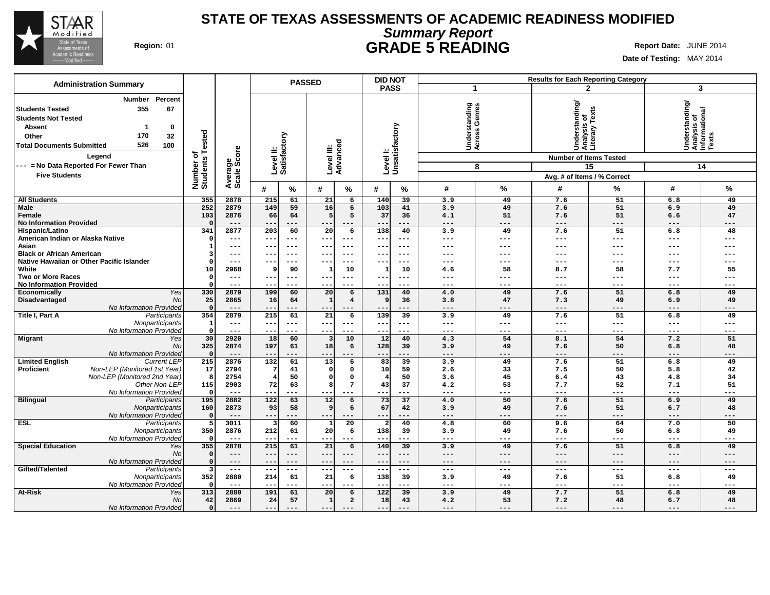

# **Summary Report STATE OF TEXAS ASSESSMENTS OF ACADEMIC READINESS MODIFIED Region:** 01 **GRADE 5 READING Report Date:** JUNE 2014

| <b>Administration Summary</b>                                                                                                                                                                                                                                         |                              |                             |                           | <b>PASSED</b>   |                         |                         | <b>DID NOT</b>        |                            |                                             |                   |                                                                                                                 | <b>Results for Each Reporting Category</b> |                                                              |                 |
|-----------------------------------------------------------------------------------------------------------------------------------------------------------------------------------------------------------------------------------------------------------------------|------------------------------|-----------------------------|---------------------------|-----------------|-------------------------|-------------------------|-----------------------|----------------------------|---------------------------------------------|-------------------|-----------------------------------------------------------------------------------------------------------------|--------------------------------------------|--------------------------------------------------------------|-----------------|
|                                                                                                                                                                                                                                                                       |                              |                             |                           |                 |                         |                         | <b>PASS</b>           |                            |                                             | -1                |                                                                                                                 | $\mathbf{2}$                               | 3                                                            |                 |
| Percent<br>Number<br>67<br>355<br><b>Students Tested</b><br><b>Students Not Tested</b><br><b>Absent</b><br>-1<br>0<br>170<br>32<br>Other<br>526<br>100<br><b>Total Documents Submitted</b><br>Legend<br>--- = No Data Reported For Fewer Than<br><b>Five Students</b> | Number of<br>Students Tested | Average<br>Scale Score      | Level II:<br>Satisfactory |                 | Level III:<br>Advanced  |                         |                       | Level I:<br>Unsatisfactory | rstanding<br>is Genres<br>Underst<br>Across | 8                 | Understanding/<br>Analysis of<br>Literary Texts<br><b>Number of Items Tested</b><br>Avg. # of Items / % Correct | 15                                         | Understanding/<br> Analysis of<br>  Informational<br>  Texts | 14              |
|                                                                                                                                                                                                                                                                       |                              |                             | #                         | %               | #                       | %                       | #                     | %                          | #                                           | %                 | #                                                                                                               | %                                          | #                                                            | $\%$            |
| <b>All Students</b>                                                                                                                                                                                                                                                   | 355                          | 2878                        | 215                       | 61              | 21                      | 6                       | 140                   | 39                         | 3.9                                         | 49                | 7.6                                                                                                             | 51                                         | 6.8                                                          | 49              |
| <b>Male</b><br>Female<br><b>No Information Provided</b>                                                                                                                                                                                                               | 252<br>103                   | 2879<br>2876<br>$---$       | 149<br>66<br>--           | 59<br>64<br>--- | 16<br>5<br>---          | 6<br>5<br>$---$         | 103<br>37<br>--       | 41<br>36<br>---            | 3.9<br>4.1<br>$---$                         | 49<br>51<br>$---$ | 7.6<br>7.6<br>$---$                                                                                             | 51<br>51<br>$---$                          | 6.9<br>6.6<br>$---$                                          | 49<br>47<br>--- |
| Hispanic/Latino<br>American Indian or Alaska Native                                                                                                                                                                                                                   | 341<br>$\Omega$              | 2877<br>$\qquad \qquad - -$ | 203<br>---                | 60<br>$---$     | $\overline{20}$<br>$--$ | 6<br>$---$              | 138<br>$--$           | 40<br>$\qquad \qquad - -$  | 3.9<br>$\qquad \qquad - -$                  | 49<br>$---$       | 7.6<br>$---$                                                                                                    | 51<br>---                                  | 6.8<br>$\qquad \qquad - -$                                   | 48<br>---       |
| Asian                                                                                                                                                                                                                                                                 |                              | $---$                       | $- -$                     | $---$           | $--$                    | $--$                    | $--$                  | $---$                      | $---$                                       | $---$             | ---                                                                                                             | ---                                        | $---$                                                        |                 |
| <b>Black or African American</b>                                                                                                                                                                                                                                      |                              | $---$                       | $- -$                     | $---$           | $- -$                   |                         | $\qquad \qquad -$     | $---$                      | ---                                         | ---               | ---                                                                                                             |                                            | ---                                                          |                 |
| Native Hawaiian or Other Pacific Islander<br>White                                                                                                                                                                                                                    | 10                           | $---$<br>2968               | ---<br>9                  | $---$<br>90     | $- -$<br>-1             | $- - -$<br>10           | $- -$<br>$\mathbf{1}$ | $---$<br>10                | $---$<br>4.6                                | $---$<br>58       | ---<br>8.7                                                                                                      | ---<br>58                                  | $-- -$<br>7.7                                                | ---<br>55       |
| <b>Two or More Races</b>                                                                                                                                                                                                                                              | $\Omega$                     | $---$                       | --                        | $---$           |                         | $---$                   | ---                   | $---$                      | $---$                                       | $---$             | ---                                                                                                             | ---                                        | $---$                                                        | ---             |
| <b>No Information Provided</b>                                                                                                                                                                                                                                        |                              | $---$                       | $- -$                     | $---$           | $- -$                   |                         | --                    | ---                        | $--$                                        | $---$             | ---                                                                                                             | ---                                        | $---$                                                        | ---             |
| Yes<br>Economically                                                                                                                                                                                                                                                   | 330                          | 2879                        | 199                       | 60              | 20                      | 6                       | 131                   | 40                         | 4.0                                         | 49                | 7.6                                                                                                             | 51                                         | 6.8                                                          | 49              |
| Disadvantaged<br>No                                                                                                                                                                                                                                                   | 25                           | 2865                        | 16                        | 64              | $\mathbf{1}$            | $\overline{\mathbf{4}}$ | 9                     | 36                         | 3.8                                         | 47                | 7.3                                                                                                             | 49                                         | 6.9                                                          | 49              |
| No Information Provided                                                                                                                                                                                                                                               | $\Omega$                     | $---$                       | --                        | ---             | $- -$                   | ---                     |                       | ---                        | $---$                                       | $---$             | ---                                                                                                             | ---                                        | $---$                                                        | ---             |
| Title I, Part A<br>Participants                                                                                                                                                                                                                                       | 354                          | 2879                        | 215                       | 61              | $\overline{21}$         | 6                       | 139                   | 39                         | 3.9                                         | 49                | 7.6                                                                                                             | 51                                         | 6.8                                                          | 49              |
| Nonparticipants                                                                                                                                                                                                                                                       | $\mathbf{1}$                 | $\qquad \qquad - -$         | $---$                     | $---$           | $---$                   | $---$                   | $- - -$               | $---$                      | $---$                                       | $---$             | $---$                                                                                                           | $---$                                      | $---$                                                        | ---             |
| No Information Provided                                                                                                                                                                                                                                               |                              | $---$                       | $- -$                     | $---$           | $- -$                   | ---                     | $- -$                 | $---$                      | $- - -$                                     | $---$             | $---$                                                                                                           | $---$                                      | $---$                                                        | ---             |
| Migrant<br>Yes                                                                                                                                                                                                                                                        | 30                           | 2920                        | 18                        | 60              |                         | 10                      | 12                    | 40                         | 4.3                                         | 54                | 8.1                                                                                                             | 54                                         | 7.2                                                          | 51              |
| No<br>No Information Provided                                                                                                                                                                                                                                         | 325<br>$\Omega$              | 2874<br>$---$               | 197<br>$--$               | 61<br>$---$     | 18<br>$--$              | 6<br>$---$              | 128<br>$- -$          | 39<br>$---$                | 3.9<br>$---$                                | 49<br>$---$       | 7.6<br>$---$                                                                                                    | 50<br>---                                  | 6.8<br>$---$                                                 | 48<br>---       |
| <b>Current LEP</b><br><b>Limited English</b>                                                                                                                                                                                                                          | 215                          | 2876                        | 132                       | 61              | $\overline{13}$         | 6                       | 83                    | $\overline{39}$            | 3.9                                         | 49                | 7.6                                                                                                             | 51                                         | 6.8                                                          | 49              |
| Non-LEP (Monitored 1st Year)<br><b>Proficient</b>                                                                                                                                                                                                                     | 17                           | 2794                        |                           | 41              | $\Omega$                | 0                       | 10                    | 59                         | 2.6                                         | 33                | 7.5                                                                                                             | 50                                         | 5.8                                                          | 42              |
| Non-LEP (Monitored 2nd Year)                                                                                                                                                                                                                                          | 8                            | 2754                        | 4                         | 50              | $\Omega$                | 0                       |                       | 50                         | 3.6                                         | 45                | 6.4                                                                                                             | 43                                         | 4.8                                                          | 34              |
| Other Non-LEP                                                                                                                                                                                                                                                         | 115                          | 2903                        | 72                        | 63              | 8                       | $\overline{7}$          | 43                    | 37                         | 4.2                                         | 53                | 7.7                                                                                                             | 52                                         | 7.1                                                          | 51              |
| No Information Provided                                                                                                                                                                                                                                               | $^{\circ}$                   | $---$                       | $- -$                     | ---             | $--$                    |                         | ---                   | ---                        | $\qquad \qquad - -$                         | $---$             | $---$                                                                                                           | ---                                        | $---$                                                        | ---             |
| <b>Bilingual</b><br>Participants                                                                                                                                                                                                                                      | 195                          | 2882                        | 122                       | 63              | 12                      | $6\overline{6}$         | 73                    | $\overline{37}$            | 4.0                                         | 50                | 7.6                                                                                                             | 51                                         | 6.9                                                          | 49              |
| Nonparticipants                                                                                                                                                                                                                                                       | 160                          | 2873                        | 93                        | 58              | $\mathbf{9}$            | 6                       | 67                    | 42                         | 3.9                                         | 49                | 7.6                                                                                                             | 51                                         | 6.7                                                          | 48              |
| No Information Provideo                                                                                                                                                                                                                                               |                              | $---$                       | $- -$                     | ---             | $--$                    | $---$                   | $- -$                 | $---$                      | $\qquad \qquad - -$                         | $---$             | $---$                                                                                                           | $---$                                      | $---$                                                        | ---             |
| <b>ESL</b><br>Participants                                                                                                                                                                                                                                            | 5                            | 3011                        |                           | 60              |                         | $\overline{20}$         | 2                     | 40                         | 4.8                                         | 60                | 9.6                                                                                                             | 64                                         | 7.0                                                          | 50              |
| Nonparticipants<br>No Information Provided                                                                                                                                                                                                                            | 350                          | 2876<br>$---$               | 212<br>$- -$              | 61<br>$- - -$   | 20<br>$- -$             | 6<br>$- - -$            | 138<br>$- -$          | 39<br>$---$                | 3.9<br>$---$                                | 49<br>$---$       | 7.6<br>$---$                                                                                                    | 50<br>$---$                                | 6.8<br>$---$                                                 | 49<br>$- - -$   |
| <b>Special Education</b><br>Yes                                                                                                                                                                                                                                       | 355                          | 2878                        | 215                       | 61              | 21                      | 6                       | 140                   | 39                         | 3.9                                         | 49                | 7.6                                                                                                             | 51                                         | 6.8                                                          | 49              |
| <b>No</b>                                                                                                                                                                                                                                                             | $\Omega$                     | $---$                       | $- -$                     | $---$           | $- -$                   | $---$                   | $- -$                 | $---$                      | $\qquad \qquad - -$                         | $---$             | $---$                                                                                                           | $---$                                      | $---$                                                        | ---             |
| No Information Provided                                                                                                                                                                                                                                               | $\Omega$                     | $---$                       | $- -$                     | $---$           | $- -$                   | $---$                   | $- -$                 | $---$                      | $---$                                       | $---$             | $---$                                                                                                           | $---$                                      | $---$                                                        | ---             |
| Gifted/Talented<br>Participants                                                                                                                                                                                                                                       | $\overline{3}$               | $\frac{1}{2}$               | $\sim$ $\sim$             | $- - -$         | $- -$                   | $---$                   | $---$                 | $\frac{1}{2}$              | $\qquad \qquad - -$                         | $---$             | $---$                                                                                                           | ---                                        | $\qquad \qquad - -$                                          | ---             |
| Nonparticipants                                                                                                                                                                                                                                                       | 352                          | 2880                        | 214                       | 61              | 21                      | 6                       | 138                   | 39                         | 3.9                                         | 49                | 7.6                                                                                                             | 51                                         | 6.8                                                          | 49              |
| No Information Provided                                                                                                                                                                                                                                               |                              | $---$                       | $- -$                     | ---             | $- -$                   | ---                     |                       | $---$                      | $---$                                       | $---$             | $---$                                                                                                           | $---$                                      | $\qquad \qquad - -$                                          | ---             |
| <b>At-Risk</b><br>Yes                                                                                                                                                                                                                                                 | 313                          | 2880                        | 191                       | 61              | 20                      | 6                       | 122                   | 39                         | 3.9                                         | 49                | 7.7                                                                                                             | 51                                         | 6.8                                                          | 49              |
| <b>No</b>                                                                                                                                                                                                                                                             | 42                           | 2869                        | 24                        | 57              | $\vert$ 1               | $\overline{a}$          | 18                    | 43                         | 4.2                                         | 53                | 7.2                                                                                                             | 48                                         | 6.7                                                          | 48              |
| No Information Provided                                                                                                                                                                                                                                               | $\Omega$                     | $---$                       | $---$                     | $---$           | $---$                   | $---$                   | $- -$                 |                            | $---$                                       | $---$             | $---$                                                                                                           | ---                                        | $---$                                                        | ---             |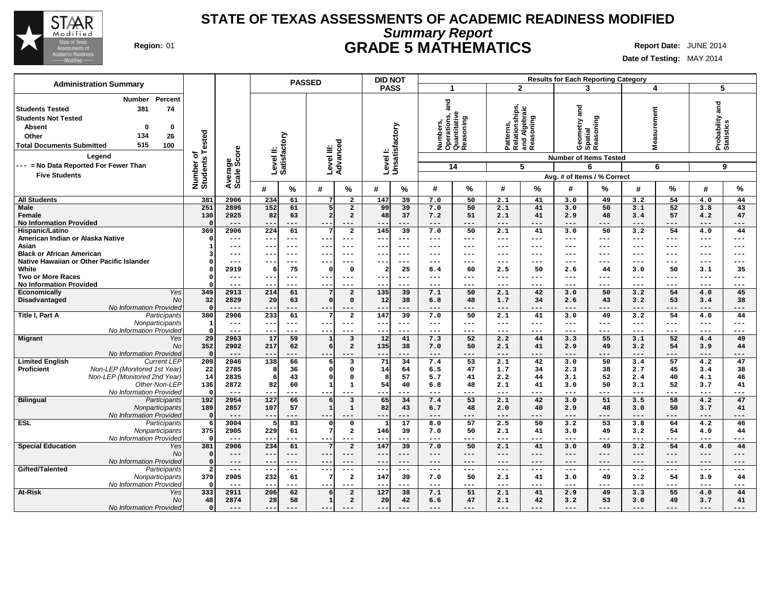

# **Summary Report STATE OF TEXAS ASSESSMENTS OF ACADEMIC READINESS MODIFIED Region:** 01 **GRADE 5 MATHEMATICS Report Date:** JUNE 2014

| <b>Administration Summary</b>                                                                                                                                                                                  |                              |                |                           | <b>PASSED</b>                           | <b>DID NOT</b>            |                                                               |           |                                                           | <b>Results for Each Reporting Category</b> |                                           |                               |                     |
|----------------------------------------------------------------------------------------------------------------------------------------------------------------------------------------------------------------|------------------------------|----------------|---------------------------|-----------------------------------------|---------------------------|---------------------------------------------------------------|-----------|-----------------------------------------------------------|--------------------------------------------|-------------------------------------------|-------------------------------|---------------------|
|                                                                                                                                                                                                                |                              |                |                           |                                         | <b>PASS</b>               | -1                                                            |           | $\overline{2}$                                            | 3                                          | 4                                         | 5                             |                     |
| Percent<br><b>Number</b><br><b>Students Tested</b><br>381<br>74<br><b>Students Not Tested</b><br><b>Absent</b><br>$\bf{0}$<br>$\Omega$<br>134<br>Other<br>26<br>515<br>100<br><b>Total Documents Submitted</b> | Number of<br>Students Tested | ige<br>Score   | Level II:<br>Satisfactory | Level III:<br>Advancec                  | Levell:<br>Unsatisfactory | ក្ត<br>Numbers,<br>Operations, a<br>Quantitative<br>Reasoning | oning     | Patterns,<br>Relationships,<br>and Algebraic<br>Reasoning | and<br>Geometry ar<br>Spatial<br>Reasoning | surement<br>Mea                           | Probability and<br>Statistics |                     |
| Legend                                                                                                                                                                                                         |                              |                |                           |                                         |                           |                                                               |           |                                                           | <b>Number of Items Tested</b>              |                                           |                               |                     |
| --- = No Data Reported For Fewer Than                                                                                                                                                                          |                              |                |                           |                                         |                           | 14                                                            |           | 5                                                         | 6                                          | 6                                         | 9                             |                     |
| <b>Five Students</b>                                                                                                                                                                                           |                              | Avera<br>Scale |                           |                                         |                           |                                                               |           |                                                           | Avg. # of Items / % Correct                |                                           |                               |                     |
|                                                                                                                                                                                                                |                              |                | #<br>$\%$                 | #<br>%                                  | #<br>℅                    | #                                                             | %         | %<br>#                                                    | %<br>#                                     | #<br>%                                    | #                             | %                   |
| <b>All Students</b>                                                                                                                                                                                            | 381                          | 2906           | 234<br>61                 | $\overline{a}$<br>7                     | 147<br>39                 | 7.0                                                           | 50        | 2.1<br>41                                                 | 3.0<br>49                                  | 3.2<br>54                                 | 4.0                           | 44                  |
| Male                                                                                                                                                                                                           | 251                          | 2896           | 152<br>61                 | 5<br>$\overline{a}$                     | 39<br>99                  | 7.0                                                           | 50        | 2.1<br>41                                                 | 3.0<br>50                                  | 52<br>3.1                                 | 3.8                           | 43                  |
| Female                                                                                                                                                                                                         | 130                          | 2925           | 82<br>63                  | $\overline{a}$<br>$\overline{a}$        | 48<br>37                  | 7.2                                                           | 51        | 41<br>2.1                                                 | 2.9<br>48                                  | 57<br>3.4                                 | 4.2                           | 47                  |
| <b>No Information Provided</b>                                                                                                                                                                                 | $\Omega$                     | $---$          | $- -$<br>$---$            | ---<br>$- -$                            | $- -$<br>---              | $---$                                                         | ---       | $---$<br>---                                              | $---$<br>---                               | $---$<br>$---$                            | $---$                         | ---                 |
| Hispanic/Latino                                                                                                                                                                                                | 369                          | 2906           | 224<br>61                 | $\overline{2}$                          | 145<br>39                 | 7.0                                                           | 50        | 2.1<br>41                                                 | 50<br>3.0                                  | 3.2<br>54                                 | 4.0                           | 44                  |
| American Indian or Alaska Native                                                                                                                                                                               | $\Omega$                     | $---$          | $---$<br>--               | $---$<br>---                            | $---$<br>---              | $---$                                                         | ---       | $---$<br>---                                              | $---$<br>---                               | $---$<br>---                              | ---                           | ---                 |
| Asian                                                                                                                                                                                                          | $\mathbf{1}$                 | ---            | --<br>$---$               | $---$<br>--                             | $- -$<br>$--$             | $---$                                                         | ---       | $---$<br>---                                              | $--$<br>$--$                               | $---$<br>$---$                            | ---                           | $---$               |
| <b>Black or African American</b>                                                                                                                                                                               | 3                            | $--$           | --<br>$- - -$             | $- - -$<br>--                           | $--$<br>$- - -$           | $---$                                                         | ---       | $---$<br>---                                              | $---$<br>$---$                             | $---$<br>$---$                            | ---                           | $---$               |
| Native Hawaiian or Other Pacific Islander                                                                                                                                                                      |                              | ---            | --<br>$---$               | $---$<br>---                            | ---<br>---                | $---$                                                         | ---       | $---$<br>---                                              | $---$<br>---                               | ---<br>---                                | ---                           | ---                 |
| White                                                                                                                                                                                                          | 8<br>$\Omega$                | 2919<br>$---$  | 75<br>6<br>$---$          | $\mathbf 0$<br>$\Omega$<br>$---$        | 25<br>2<br>$---$<br>$--$  | 8.4<br>$\qquad \qquad - -$                                    | 60<br>--- | 50<br>2.5<br>---<br>$---$                                 | 2.6<br>44<br>$---$<br>$---$                | 50<br>3.0<br>$---$<br>$\qquad \qquad - -$ | 3.1<br>---                    | 35<br>$---$         |
| <b>Two or More Races</b><br><b>No Information Provided</b>                                                                                                                                                     | $\Omega$                     | $---$          | ---<br>--<br>$- - -$      | --<br>---<br>$---$                      | $- -$<br>---              | $- - -$                                                       | ---       | ---<br>$---$                                              | $- - -$<br>---                             | ---<br>$---$                              | ---                           | $---$               |
| Yes<br>Economically                                                                                                                                                                                            | 349                          | 2913           | 214<br>61                 | $\overline{a}$<br>7                     | 135<br>39                 | 7.1                                                           | 50        | 42<br>2.1                                                 | 50<br>3.0                                  | 3.2<br>54                                 | 4.0                           | 45                  |
| <b>Disadvantaged</b><br>N <sub>O</sub>                                                                                                                                                                         | 32                           | 2829           | 20<br>63                  | $\Omega$<br>$\mathbf{0}$                | 12<br>38                  | 6.8                                                           | 48        | 34<br>1.7                                                 | 2.6<br>43                                  | 53<br>3.2                                 | 3.4                           | 38                  |
| No Information Provided                                                                                                                                                                                        | $\Omega$                     | $- - -$        | ---                       |                                         | $- -$<br>---              | $- - -$                                                       | ---       | ---<br>$- - -$                                            | $- - -$<br>---                             | $- - -$<br>$- - -$                        | $- - -$                       | ---                 |
| Title I, Part A<br>Participants                                                                                                                                                                                | 380                          | 2906           | 61<br>233                 | $\overline{a}$<br>7                     | 147<br>39                 | 7.0                                                           | 50        | 41<br>2.1                                                 | 49<br>3.0                                  | 3.2<br>54                                 | 4.0                           | 44                  |
| Nonparticipants                                                                                                                                                                                                | $\mathbf{1}$                 | $---$          | ---<br>$---$              | $- - -$<br>$---$                        | $---$<br>$---$            | $\frac{1}{2}$                                                 | ---       | $\qquad \qquad - -$<br>$---$                              | $---$<br>$---$                             | $---$<br>$\frac{1}{2}$                    | $---$                         | $\qquad \qquad - -$ |
| No Information Provided                                                                                                                                                                                        | $\Omega$                     | $- - -$        | ---<br>---                | $- -$<br>---                            | $- -$<br>---              | $- - -$                                                       | ---       | ---<br>$- - -$                                            | $- - -$<br>---                             | $- - -$<br>---                            | ---                           | $- - -$             |
| <b>Migrant</b><br>Yes                                                                                                                                                                                          | 29                           | 2963           | 59<br>17                  | $\overline{\mathbf{3}}$<br>$\mathbf{1}$ | $\overline{12}$<br>41     | 7.3                                                           | 52        | 44<br>2.2                                                 | 55<br>3.3                                  | 52<br>3.1                                 | 4.4                           | 49                  |
| N <sub>O</sub>                                                                                                                                                                                                 | 352                          | 2902           | 217<br>62                 | 6<br>$\overline{\mathbf{2}}$            | 135<br>38                 | 7.0                                                           | 50        | 41<br>2.1                                                 | 2.9<br>49                                  | 3.2<br>54                                 | 3.9                           | 44                  |
| No Information Provided                                                                                                                                                                                        | $\Omega$                     | $---$          | $-$<br>---                | $- -$<br>---                            | $- -$<br>---              | $---$                                                         | ---       | $---$<br>---                                              | $---$<br>---                               | $---$<br>$---$                            | $---$                         | ---                 |
| <b>Limited English</b><br><b>Current LEP</b>                                                                                                                                                                   | 209                          | 2946           | 138<br>66                 | 3<br>6                                  | 71<br>34                  | 7.4                                                           | 53        | 42<br>2.1                                                 | 3.0<br>50                                  | 57<br>3.4                                 | 4.2                           | 47                  |
| Non-LEP (Monitored 1st Year)<br><b>Proficient</b>                                                                                                                                                              | 22                           | 2785           | 8<br>36                   | $\Omega$<br>$\mathbf 0$                 | 64<br>14                  | 6.5                                                           | 47        | 1.7<br>34                                                 | 2.3<br>38                                  | 2.7<br>45                                 | 3.4                           | 38                  |
| Non-LEP (Monitored 2nd Year)                                                                                                                                                                                   | 14                           | 2835           | 43<br>6                   | $\mathbf 0$<br>$\Omega$                 | 57<br>8                   | 5.7                                                           | 41        | 44<br>2.2                                                 | 3.1<br>52                                  | 40<br>2.4                                 | 4.1                           | 46                  |
| Other Non-LEP                                                                                                                                                                                                  | 136<br>$\Omega$              | 2872<br>$---$  | 82<br>60<br>$- -$<br>---  | $\mathbf 1$<br>$\mathbf{1}$<br>---      | 54<br>40<br>--<br>---     | 6.8<br>$---$                                                  | 48<br>--- | 41<br>2.1<br>$---$<br>---                                 | 3.0<br>50<br>$- - -$<br>---                | 52<br>3.1<br>$---$<br>---                 | 3.7<br>---                    | 41<br>---           |
| No Information Provided<br><b>Bilingual</b><br>Participants                                                                                                                                                    | 192                          | 2954           | 127<br>66                 | $\overline{\mathbf{3}}$<br>6            | 65<br>34                  | 7.4                                                           | 53        | 2.1<br>42                                                 | 51<br>3.0                                  | 58<br>3.5                                 | 4.2                           | 47                  |
| Nonparticipants                                                                                                                                                                                                | 189                          | 2857           | 107<br>57                 | $\mathbf{1}$<br>$\mathbf 1$             | 82<br>43                  | 6.7                                                           | 48        | 2.0<br>40                                                 | 48<br>2.9                                  | 3.0<br>50                                 | 3.7                           | 41                  |
| No Information Provided                                                                                                                                                                                        | $\Omega$                     | $---$          | $---$<br>$- - -$          | ---<br>$- - -$                          | $---$<br>---              | $---$                                                         | ---       | $---$<br>---                                              | $---$<br>---                               | $---$<br>$---$                            | $---$                         | ---                 |
| <b>ESL</b><br>Participants                                                                                                                                                                                     | 6                            | 3004           | 83<br>5                   | $\mathbf 0$<br>$\mathbf 0$              | $\overline{17}$           | 8.0                                                           | 57        | 50<br>2.5                                                 | $\overline{53}$<br>3.2                     | 3.8<br>64                                 | 4.2                           | 46                  |
| Nonparticipants                                                                                                                                                                                                | 375                          | 2905           | 229<br>61                 | $\overline{7}$<br>$\overline{a}$        | 146<br>39                 | 7.0                                                           | 50        | 41<br>2.1                                                 | 49<br>3.0                                  | 3.2<br>54                                 | 4.0                           | 44                  |
| No Information Provided                                                                                                                                                                                        | $\Omega$                     | $---$          | $- -$<br>$---$            | $- -$<br>$- - -$                        | $- -$<br>---              | $---$                                                         | ---       | $---$<br>---                                              | $---$<br>$---$                             | $---$<br>$---$                            | $---$                         | $---$               |
| <b>Special Education</b><br>Yes                                                                                                                                                                                | 381                          | 2906           | 234<br>61                 | $7\phantom{.0}$<br>$\overline{a}$       | 39<br>147                 | 7.0                                                           | 50        | 2.1<br>41                                                 | 3.0<br>49                                  | 3.2<br>54                                 | 4.0                           | 44                  |
| No                                                                                                                                                                                                             | $\Omega$                     | $---$          | ---<br>$---$              | $---$<br>---                            | $--$<br>---               | $---$                                                         | ---       | ---<br>$---$                                              | $---$<br>---                               | $---$<br>$---$                            | ---                           | ---                 |
| No Information Provided                                                                                                                                                                                        | $\Omega$                     | $---$          | --<br>$---$               | ---<br>$- -$                            | $---$<br>$- -$            | $---$                                                         | ---       | $---$<br>---                                              | $---$<br>---                               | $---$<br>$---$                            | ---                           | $---$               |
| Gifted/Talented<br>Participants                                                                                                                                                                                | $\overline{2}$               | $---$          | $---$<br>$- - -$          | $---$<br>$- - -$                        | $---$<br>$\frac{1}{2}$    | $---$                                                         | $---$     | $\frac{1}{2}$<br>$---$                                    | $---$<br>$---$                             | $\frac{1}{2}$<br>$---$                    | $\qquad \qquad - -$           | $\frac{1}{2}$       |
| Nonparticipants                                                                                                                                                                                                | 379                          | 2905           | 232<br>61                 | 7<br>$\overline{\mathbf{2}}$            | 147<br>39                 | 7.0                                                           | 50        | 41<br>2.1                                                 | 3.0<br>49                                  | 3.2<br>54                                 | 3.9                           | 44                  |
| No Information Provided                                                                                                                                                                                        | - 0                          | $---$          | ---                       |                                         | $ -$                      | $---$                                                         | ---       | ---<br>$---$                                              | $--$<br>---                                | $---$<br>---                              | ---                           | ---                 |
| <b>At-Risk</b><br>Yes                                                                                                                                                                                          | 333                          | 2911           | 206<br>62                 | $\overline{a}$<br>6                     | 127<br>38                 | 7.1                                                           | 51        | 2.1<br>41                                                 | 2.9<br>49                                  | 3.3<br>55                                 | 4.0                           | 44                  |
| No                                                                                                                                                                                                             | 48                           | 2874           | 28<br>58                  | $\overline{a}$<br>$\mathbf{1}$          | 20<br>42                  | 6.6                                                           | 47        | 42<br>2.1                                                 | 3.2<br>53                                  | 49<br>3.0                                 | 3.7                           | 41                  |
| No Information Provided                                                                                                                                                                                        | $\Omega$                     |                | $- -$                     |                                         | --                        | $---$                                                         | ---       | $---$                                                     | $---$                                      | $---$<br>---                              | ---                           |                     |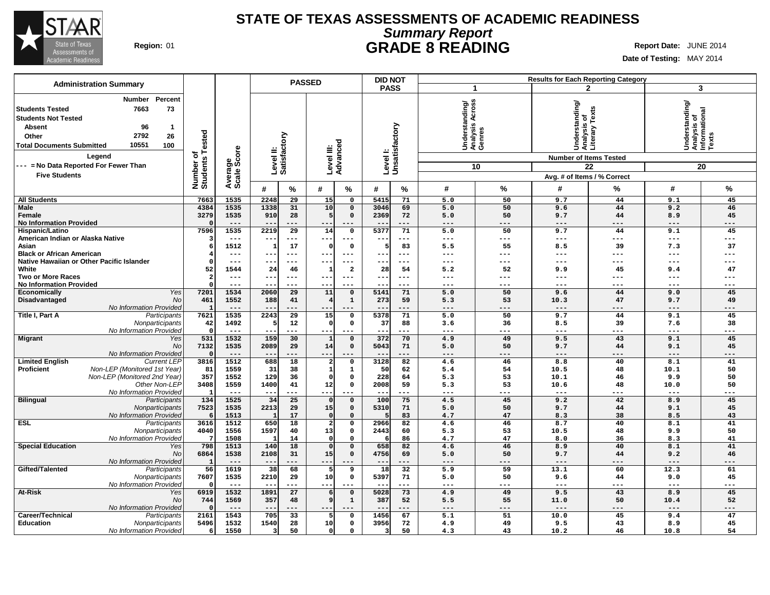

# **Summary Report STATE OF TEXAS ASSESSMENTS OF ACADEMIC READINESS Region:** 01 **GRADE 8 READING Report Date:** JUNE 2014

T.

|                                                                                                                                                                                                                                                                            |                                          |                        |                           | <b>PASSED</b>   |                        |                          | <b>DID NOT</b> |                            |                                                       |                 |                                                                                                                 | <b>Results for Each Reporting Category</b> |                                                         |            |
|----------------------------------------------------------------------------------------------------------------------------------------------------------------------------------------------------------------------------------------------------------------------------|------------------------------------------|------------------------|---------------------------|-----------------|------------------------|--------------------------|----------------|----------------------------|-------------------------------------------------------|-----------------|-----------------------------------------------------------------------------------------------------------------|--------------------------------------------|---------------------------------------------------------|------------|
| <b>Administration Summary</b>                                                                                                                                                                                                                                              |                                          |                        |                           |                 |                        |                          | <b>PASS</b>    |                            | $\mathbf 1$                                           |                 |                                                                                                                 | $\mathbf{2}$                               | 3                                                       |            |
| Percent<br>Number<br>73<br><b>Students Tested</b><br>7663<br><b>Students Not Tested</b><br>96<br><b>Absent</b><br>-1<br>2792<br>26<br>Other<br>10551<br>100<br><b>Total Documents Submitted</b><br>Legend<br>--- = No Data Reported For Fewer Than<br><b>Five Students</b> | ested<br>⊢<br>৳<br>Number o'<br>Students | Average<br>Scale Score | Level II:<br>Satisfactory |                 | Level III:<br>Advanced |                          |                | Level I:<br>Unsatisfactory | Across<br>Understanding/<br>Analysis Across<br>Genres | 10              | Understanding/<br>Analysis of<br>Literary Texts<br><b>Number of Items Tested</b><br>Avg. # of Items / % Correct | 22                                         | Understanding/<br>Analysis of<br>Informational<br>Texts | 20         |
|                                                                                                                                                                                                                                                                            |                                          |                        | #                         | %               | #                      | %                        | #              | %                          | #                                                     | %               | #                                                                                                               | %                                          | #                                                       | %          |
| <b>All Students</b>                                                                                                                                                                                                                                                        | 7663                                     | 1535                   | 2248                      | 29              | 15                     | $\mathbf 0$              | 5415           | 71                         | 5.0                                                   | 50              | 9.7                                                                                                             | 44                                         | 9.1                                                     | 45         |
| <b>Male</b>                                                                                                                                                                                                                                                                | 4384                                     | 1535                   | 1338                      | 31              | 10                     | $\mathbf 0$              | 3046           | 69                         | 5.0                                                   | 50              | 9.6                                                                                                             | 44                                         | 9.2                                                     | 46         |
| Female<br><b>No Information Provided</b>                                                                                                                                                                                                                                   | 3279                                     | 1535<br>$---$          | 910                       | 28<br>---       | 5                      | $\mathbf 0$              | 2369           | 72<br>---                  | 5.0<br>$---$                                          | 50<br>---       | 9.7<br>---                                                                                                      | 44<br>---                                  | 8.9<br>$---$                                            | 45<br>---  |
| Hispanic/Latino                                                                                                                                                                                                                                                            | 7596                                     | 1535                   | 2219                      | 29              | 14                     | $\mathbf 0$              | 5377           | 71                         | 5.0                                                   | 50              | 9.7                                                                                                             | 44                                         | 9.1                                                     | 45         |
| American Indian or Alaska Native                                                                                                                                                                                                                                           |                                          | $---$                  |                           |                 | --                     | $\overline{\phantom{a}}$ |                | ---                        | $- - -$                                               | $---$           | ---                                                                                                             | ---                                        | $---$                                                   | ---        |
| Asian                                                                                                                                                                                                                                                                      |                                          | 1512                   |                           | 17              | n                      | $\mathbf 0$              | -5             | 83                         | 5.5                                                   | 55              | 8.5                                                                                                             | 39                                         | 7.3                                                     | 37         |
| <b>Black or African American</b><br>Native Hawaiian or Other Pacific Islander                                                                                                                                                                                              |                                          | $---$<br>$---$         | $- -$<br>$--$             | ---<br>$---$    |                        | $---$                    |                | ---<br>$- - -$             | ---<br>$---$                                          | ---<br>$---$    | ---<br>---                                                                                                      | ---<br>---                                 | $---$<br>$---$                                          | ---<br>--- |
| White                                                                                                                                                                                                                                                                      | 52                                       | 1544                   | 24                        | 46              | $- -$<br>-1            | $---$<br>$\overline{a}$  | --<br>28       | 54                         | 5.2                                                   | 52              | 9.9                                                                                                             | 45                                         | 9.4                                                     | 47         |
| <b>Two or More Races</b>                                                                                                                                                                                                                                                   |                                          | $---$                  | --                        | ---             | --                     | $---$                    | --             | $--$                       | $---$                                                 | ---             | ---                                                                                                             | ---                                        | $---$                                                   | ---        |
| <b>No Information Provided</b>                                                                                                                                                                                                                                             |                                          | $---$                  |                           | ---             | $-$                    | $---$                    |                | ---                        | $\qquad \qquad - -$                                   | $---$           | ---                                                                                                             | ---                                        | $- - -$                                                 | ---        |
| Yes<br>Economically                                                                                                                                                                                                                                                        | 7201                                     | 1534                   | 2060                      | $\overline{29}$ | 11                     | $\mathbf 0$              | 5141           | 71                         | 5.0                                                   | 50              | 9.6                                                                                                             | 44                                         | 9.0                                                     | 45         |
| Disadvantaged<br>No                                                                                                                                                                                                                                                        | 461                                      | 1552                   | 188                       | 41              |                        | $\mathbf 1$              | 273            | 59                         | 5.3                                                   | 53              | 10.3                                                                                                            | 47                                         | 9.7                                                     | 49         |
| No Information Provided<br>Title I, Part A<br>Participants                                                                                                                                                                                                                 | 7621                                     | $---$<br>1535          | 2243                      | 29              | 15                     | $\mathbf 0$              | 5378           | ---<br>71                  | $---$<br>5.0                                          | ---<br>50       | ---<br>9.7                                                                                                      | ---<br>44                                  | $---$<br>9.1                                            | ---<br>45  |
| Nonparticipants                                                                                                                                                                                                                                                            | 42                                       | 1492                   |                           | 12              | $\Omega$               | $\mathbf 0$              | 37             | 88                         | 3.6                                                   | 36              | 8.5                                                                                                             | 39                                         | 7.6                                                     | 38         |
| No Information Provided                                                                                                                                                                                                                                                    | $\Omega$                                 | $---$                  | $- -$                     | ---             | $\sim$ $\sim$          | $---$                    | $- -$          | ---                        | $- - -$                                               | $- - -$         | ---                                                                                                             | ---                                        | $---$                                                   | ---        |
| <b>Migrant</b><br>Yes                                                                                                                                                                                                                                                      | 531                                      | 1532                   | 159                       | 30              |                        | $\mathbf 0$              | 372            | 70                         | 4.9                                                   | 49              | 9.5                                                                                                             | 43                                         | 9.1                                                     | 45         |
| No                                                                                                                                                                                                                                                                         | 7132                                     | 1535                   | 2089                      | 29              | 14                     | $\mathbf 0$              | 5043           | 71                         | 5.0                                                   | 50              | 9.7                                                                                                             | 44                                         | 9.1                                                     | 45         |
| No Information Provided<br><b>Limited English</b><br><b>Current LEP</b>                                                                                                                                                                                                    | $\Omega$<br>3816                         | $---$<br>1512          | 688                       | 18              | --<br>$\overline{a}$   | $\mathbf 0$              | 3128           | 82                         | $---$<br>4.6                                          | $--$<br>46      | ---<br>8.8                                                                                                      | ---<br>40                                  | $---$<br>8.1                                            | ---<br>41  |
| Non-LEP (Monitored 1st Year)<br><b>Proficient</b>                                                                                                                                                                                                                          | 81                                       | 1559                   | 31                        | 38              | 1                      | $\mathbf{1}$             | 50             | 62                         | 5.4                                                   | 54              | 10.5                                                                                                            | 48                                         | 10.1                                                    | 50         |
| Non-LEP (Monitored 2nd Year)                                                                                                                                                                                                                                               | 357                                      | 1552                   | 129                       | 36              | $\Omega$               | $\mathbf 0$              | 228            | 64                         | 5.3                                                   | 53              | 10.1                                                                                                            | 46                                         | 9.9                                                     | 50         |
| Other Non-LEP                                                                                                                                                                                                                                                              | 3408                                     | 1559                   | 1400                      | 41              | 12                     | $\mathsf{o}$             | 2008           | 59                         | 5.3                                                   | 53              | 10.6                                                                                                            | 48                                         | 10.0                                                    | 50         |
| No Information Provideo                                                                                                                                                                                                                                                    | $\mathbf{1}$                             | $---$                  | $- -$                     | ---             | $- -$                  | $---$                    | --             | ---                        | $---$                                                 | ---             | ---                                                                                                             | ---                                        | $- - -$                                                 | ---        |
| <b>Bilingual</b><br>Participants                                                                                                                                                                                                                                           | 134                                      | 1525                   | 34                        | 25              | $\Omega$               | $\mathbf 0$              | 100            | 75                         | 4.5                                                   | 45              | 9.2                                                                                                             | 42                                         | 8.9                                                     | 45         |
| Nonparticipants<br>No Information Provideo                                                                                                                                                                                                                                 | 7523<br>6                                | 1535<br>1513           | 2213<br>-1                | 29<br>17        | 15<br>$\Omega$         | $\mathbf 0$<br>$\Omega$  | 5310<br>5      | 71<br>83                   | 5.0<br>4.7                                            | 50<br>47        | 9.7<br>8.3                                                                                                      | 44<br>38                                   | 9.1<br>8.5                                              | 45<br>43   |
| <b>ESL</b><br>Participants                                                                                                                                                                                                                                                 | 3616                                     | 1512                   | 650                       | $\overline{18}$ | $\overline{2}$         | 0                        | 2966           | $\overline{82}$            | 4.6                                                   | $\overline{46}$ | 8.7                                                                                                             | 40                                         | 8.1                                                     | 41         |
| Nonparticipants                                                                                                                                                                                                                                                            | 4040                                     | 1556                   | 1597                      | 40              | 13                     | $\mathbf 0$              | 2443           | 60                         | 5.3                                                   | 53              | 10.5                                                                                                            | 48                                         | 9.9                                                     | 50         |
| No Information Provided                                                                                                                                                                                                                                                    |                                          | 1508                   |                           | 14              | $\Omega$               | $\Omega$                 | -6             | 86                         | 4.7                                                   | 47              | 8.0                                                                                                             | 36                                         | 8.3                                                     | 41         |
| <b>Special Education</b><br>Yes                                                                                                                                                                                                                                            | 798                                      | 1513                   | 140                       | 18              | $\Omega$               | $\Omega$                 | 658            | 82                         | 4.6                                                   | 46              | 8.9                                                                                                             | 40                                         | 8.1                                                     | 41         |
| No<br>No Information Provided                                                                                                                                                                                                                                              | 6864                                     | 1538<br>$---$          | 2108<br>$- -$             | 31<br>$- -$     | 15<br>$- -$            | $\mathsf{o}\,$           | 4756<br>$- -$  | 69<br>---                  | 5.0<br>$---$                                          | 50<br>---       | 9.7<br>---                                                                                                      | 44<br>---                                  | 9.2<br>$---$                                            | 46<br>---  |
| Gifted/Talented<br>Participants                                                                                                                                                                                                                                            | 56                                       | 1619                   | 38                        | 68              | 5                      | 9                        | 18             | 32                         | 5.9                                                   | 59              | 13.1                                                                                                            | 60                                         | 12.3                                                    | 61         |
| Nonparticipants                                                                                                                                                                                                                                                            | 7607                                     | 1535                   | 2210                      | 29              | 10                     | $\mathbf 0$              | 5397           | 71                         | 5.0                                                   | 50              | 9.6                                                                                                             | 44                                         | 9.0                                                     | 45         |
| No Information Provided                                                                                                                                                                                                                                                    | $\Omega$                                 | $---$                  |                           | ---             | $- -$                  | $- - -$                  |                | ---                        | $---$                                                 | ---             | ---                                                                                                             | ---                                        | $---$                                                   | ---        |
| At-Risk<br>Yes                                                                                                                                                                                                                                                             | 6919                                     | 1532                   | 1891                      | 27              | 6                      | $\mathbf 0$              | 5028           | 73                         | 4.9                                                   | 49              | 9.5                                                                                                             | 43                                         | 8.9                                                     | 45         |
| No                                                                                                                                                                                                                                                                         | 744                                      | 1569                   | 357                       | 48              | 9                      | $\mathbf 1$              | 387            | 52                         | 5.5                                                   | 55              | 11.0                                                                                                            | 50                                         | 10.4                                                    | 52         |
| No Information Provided<br>Career/Technical<br>Participants                                                                                                                                                                                                                | 2161                                     | $---$<br>1543          | $-$<br>705                | ---<br>33       | $- -$<br>5             | $---$<br>$\mathbf 0$     | 1456           | ---<br>67                  | $---$<br>5.1                                          | $---$<br>51     | $---$<br>10.0                                                                                                   | ---<br>45                                  | $---$<br>9.4                                            | ---<br>47  |
| <b>Education</b><br>Nonparticipants                                                                                                                                                                                                                                        | 5496                                     | 1532                   | 1540                      | 28              | 10                     | $\mathbf 0$              | 3956           | 72                         | 4.9                                                   | 49              | 9.5                                                                                                             | 43                                         | 8.9                                                     | 45         |
| No Information Provided                                                                                                                                                                                                                                                    | 6                                        | 1550                   | 3                         | 50              | 0                      | $\Omega$                 | 3              | 50                         | 4.3                                                   | 43              | 10.2                                                                                                            | 46                                         | 10.8                                                    | 54         |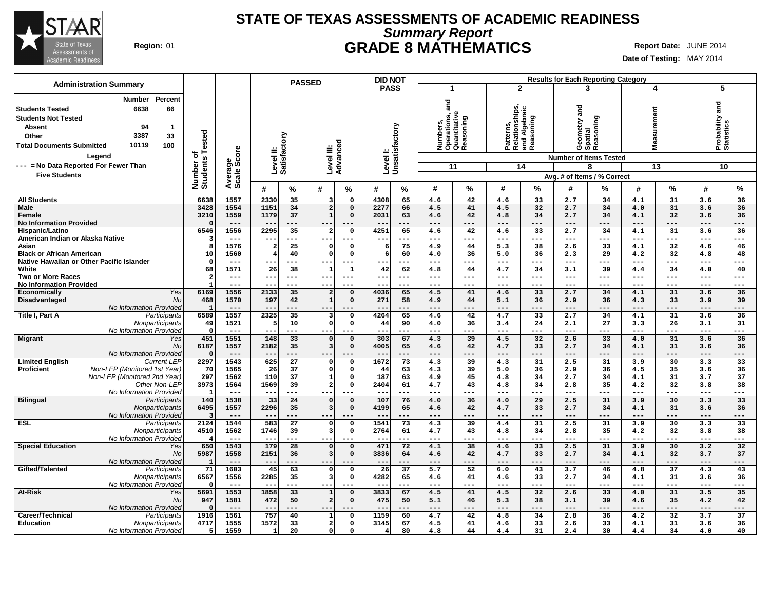

# **Summary Report STATE OF TEXAS ASSESSMENTS OF ACADEMIC READINESS Region:** 01 **GRADE 8 MATHEMATICS Report Date:** JUNE 2014

|                                                                                                                                                                                                                  |                              |                     | <b>PASSED</b>                            |                                                             | <b>DID NOT</b>                |                                                               |           |                                                           |                        |                | <b>Results for Each Reporting Category</b>                          |                      |               |                                    |                        |
|------------------------------------------------------------------------------------------------------------------------------------------------------------------------------------------------------------------|------------------------------|---------------------|------------------------------------------|-------------------------------------------------------------|-------------------------------|---------------------------------------------------------------|-----------|-----------------------------------------------------------|------------------------|----------------|---------------------------------------------------------------------|----------------------|---------------|------------------------------------|------------------------|
| <b>Administration Summary</b>                                                                                                                                                                                    |                              |                     |                                          |                                                             | <b>PASS</b>                   | $\mathbf{1}$                                                  |           | $\overline{2}$                                            |                        | 3              |                                                                     | 4                    |               | 5                                  |                        |
| Percent<br><b>Number</b><br>6638<br>66<br><b>Students Tested</b><br><b>Students Not Tested</b><br>94<br><b>Absent</b><br>-1<br>3387<br>33<br>Other<br>10119<br>100<br><b>Total Documents Submitted</b><br>Legend | Number of<br>Students Tested | ige<br>Score        | Level II:<br>Satisfactory                | ರ<br>Level III:<br>Advance                                  | Level I:<br>Unsatisfactory    | and<br>Numbers,<br>Operations, a<br>Quantitative<br>Reasoning |           | Patterns,<br>Relationships,<br>and Algebraic<br>Reasoning |                        | and            | Geometry a<br>Spatial<br>Reasoning<br><b>Number of Items Tested</b> | urement<br>eası<br>Ξ |               | and<br>Probability a<br>Statistics |                        |
| --- = No Data Reported For Fewer Than                                                                                                                                                                            |                              |                     |                                          |                                                             |                               | 11                                                            |           | 14                                                        |                        |                | 8                                                                   |                      | 13            | 10                                 |                        |
| <b>Five Students</b>                                                                                                                                                                                             |                              | Average             |                                          |                                                             |                               |                                                               |           |                                                           |                        |                | Avg. # of Items / % Correct                                         |                      |               |                                    |                        |
|                                                                                                                                                                                                                  |                              |                     | %<br>#                                   | #<br>%                                                      | #<br>%                        | #                                                             | %         | #                                                         | %                      | #              | ℅                                                                   | #                    | %             | #                                  | $\%$                   |
| <b>All Students</b>                                                                                                                                                                                              | 6638                         | 1557                | 2330<br>35                               | $\overline{0}$<br>3                                         | 4308<br>65                    | 4.6                                                           | 42        | 4.6                                                       | 33                     | 2.7            | 34                                                                  | 4.1                  | 31            | 3.6                                | 36                     |
| Male                                                                                                                                                                                                             | 3428                         | 1554                | 1151<br>34                               | $\overline{\mathbf{2}}$<br>$\mathbf 0$                      | 2277<br>66                    | 4.5                                                           | 41        | 4.5                                                       | 32                     | 2.7            | 34                                                                  | 4.0                  | 31            | 3.6                                | 36                     |
| Female                                                                                                                                                                                                           | 3210                         | 1559                | 1179<br>37                               | 1<br>$\mathbf 0$                                            | 2031<br>63                    | 4.6                                                           | 42        | 4.8                                                       | 34                     | 2.7            | 34                                                                  | 4.1                  | 32            | 3.6                                | 36                     |
| <b>No Information Provided</b><br>Hispanic/Latino                                                                                                                                                                | $\Omega$<br>6546             | $---$<br>1556       | $- -$<br>$---$<br>35<br>2295             | $- -$<br>$---$<br>$\overline{a}$<br>$\Omega$                | $- -$<br>---<br>4251<br>65    | $---$<br>4.6                                                  | ---<br>42 | $---$<br>4.6                                              | ---<br>$\overline{33}$ | $---$<br>2.7   | $---$<br>34                                                         | $---$<br>4.1         | $---$<br>31   | $---$<br>3.6                       | ---<br>36              |
| American Indian or Alaska Native                                                                                                                                                                                 |                              | $- - -$             | $- -$<br>$- - -$                         | $---$                                                       | $- - -$<br>---                | $---$                                                         | ---       | $---$                                                     | ---                    | $---$          | $- - -$                                                             | $---$                | $\frac{1}{2}$ | $---$                              | $---$                  |
| Asian                                                                                                                                                                                                            | 8                            | 1576                | 25                                       | $\mathsf{o}$<br>$\Omega$                                    | 75<br>6                       | 4.9                                                           | 44        | 5.3                                                       | 38                     | 2.6            | 33                                                                  | 4.1                  | 32            | 4.6                                | 46                     |
| <b>Black or African American</b>                                                                                                                                                                                 | 10                           | 1560                | 40                                       | $\Omega$<br>$\mathbf 0$                                     | 6<br>60                       | 4.0                                                           | 36        | 5.0                                                       | 36                     | 2.3            | 29                                                                  | 4.2                  | 32            | 4.8                                | 48                     |
| Native Hawaiian or Other Pacific Islander                                                                                                                                                                        | $\Omega$                     | $---$               | $- - -$                                  | $- - -$                                                     | $- -$<br>---                  | $---$                                                         | ---       | $---$                                                     | ---                    | $- - -$        | $- - -$                                                             | $---$                | ---           | ---                                | $---$                  |
| White                                                                                                                                                                                                            | 68                           | 1571                | 26<br>38                                 | 1<br>1                                                      | 62<br>42                      | 4.8                                                           | 44        | 4.7                                                       | 34                     | 3.1            | 39                                                                  | 4.4                  | 34            | 4.0                                | 40                     |
| <b>Two or More Races</b>                                                                                                                                                                                         |                              | $---$               | --<br>$---$                              | $- -$<br>$---$                                              | $- - -$<br>$--$               | $--$                                                          | ---       | $---$                                                     | ---                    | $---$          | $--$                                                                | $---$                | $---$         | ---                                | $---$                  |
| <b>No Information Provided</b>                                                                                                                                                                                   |                              | $---$               | $\qquad \qquad -$<br>$---$               | $---$<br>$- -$                                              | $- - -$<br>$--$               | $---$                                                         | ---       | $---$                                                     | ---                    | $---$          | $---$                                                               | $---$                | $---$         | ---                                | $---$                  |
| Yes<br><b>Economically</b>                                                                                                                                                                                       | 6169<br>468                  | 1556<br>1570        | 2133<br>35<br>197<br>42                  | $\overline{a}$<br>$\Omega$<br>1<br>$\mathbf 0$              | 4036<br>65<br>271<br>58       | 4.5<br>4.9                                                    | 41<br>44  | 4.6<br>5.1                                                | 33<br>36               | 2.7<br>2.9     | 34<br>36                                                            | 4.1                  | 31<br>33      | 3.6<br>3.9                         | 36<br>39               |
| Disadvantaged<br>No<br>No Information Provided                                                                                                                                                                   | $\overline{1}$               | $---$               | $- -$                                    |                                                             |                               | $- - -$                                                       | ---       | $---$                                                     | ---                    | $- -$          |                                                                     | 4.3<br>$---$         | ---           | $---$                              | ---                    |
| Title I, Part A<br>Participants                                                                                                                                                                                  | 6589                         | 1557                | 2325<br>35                               | $\mathbf 0$<br>3                                            | 4264<br>65                    | 4.6                                                           | 42        | 4.7                                                       | 33                     | 2.7            | 34                                                                  | 4.1                  | 31            | 3.6                                | 36                     |
| Nonparticipants                                                                                                                                                                                                  | 49                           | 1521                | 10                                       | $\Omega$<br>$\mathbf 0$                                     | 44<br>90                      | 4.0                                                           | 36        | 3.4                                                       | 24                     | 2.1            | 27                                                                  | 3.3                  | 26            | 3.1                                | 31                     |
| No Information Provided                                                                                                                                                                                          | $\Omega$                     | $\qquad \qquad - -$ | $\qquad \qquad -$<br>$---$               | $- -$<br>$---$                                              | $---$<br>---                  | $\qquad \qquad - -$                                           | ---       | $---$                                                     | ---                    | $---$          | ---                                                                 | $\qquad \qquad - -$  | ---           | $---$                              | $\qquad \qquad - -$    |
| <b>Migrant</b><br>Yes                                                                                                                                                                                            | 451                          | 1551                | 148<br>33                                | $\mathbf 0$<br>$\Omega$                                     | 303<br>67                     | 4.3                                                           | 39        | 4.5                                                       | 32                     | 2.6            | 33                                                                  | 4.0                  | 31            | 3.6                                | 36                     |
| <b>No</b>                                                                                                                                                                                                        | 6187                         | 1557                | 2182<br>35                               | $\overline{\mathbf{3}}$<br>$\mathbf 0$                      | 4005<br>65                    | 4.6                                                           | 42        | 4.7                                                       | 33                     | 2.7            | 34                                                                  | 4.1                  | 31            | 3.6                                | 36                     |
| No Information Provided                                                                                                                                                                                          | 2297                         | 1543                | $- -$<br>27                              |                                                             | ---<br>1672                   | $---$                                                         | ---<br>39 | $---$<br>4.3                                              | ---                    | $---$          |                                                                     | $---$<br>3.9         | ---           | $---$<br>3.3                       | ---<br>33              |
| <b>Limited English</b><br><b>Current LEP</b><br>Non-LEP (Monitored 1st Year)<br><b>Proficient</b>                                                                                                                | 70                           | 1565                | 625<br>26<br>37                          | $\Omega$<br>$\mathbf{o}$<br>$\Omega$<br>$\mathbf 0$         | 73<br>44<br>63                | 4.3<br>4.3                                                    | 39        | 5.0                                                       | 31<br>36               | 2.5<br>2.9     | 31<br>36                                                            | 4.5                  | 30<br>35      | 3.6                                | 36                     |
| Non-LEP (Monitored 2nd Year)                                                                                                                                                                                     | 297                          | 1562                | 110<br>37                                | 1<br>$\mathbf 0$                                            | 187<br>63                     | 4.9                                                           | 45        | 4.8                                                       | 34                     | 2.7            | 34                                                                  | 4.1                  | 31            | 3.7                                | 37                     |
| Other Non-LEP                                                                                                                                                                                                    | 3973                         | 1564                | 1569<br>39                               | $\overline{a}$<br>$\mathsf{o}$                              | 61<br>2404                    | 4.7                                                           | 43        | 4.8                                                       | 34                     | 2.8            | 35                                                                  | 4.2                  | 32            | 3.8                                | 38                     |
| No Information Provided                                                                                                                                                                                          | $\mathbf{1}$                 | $- - -$             | $-$<br>$---$                             |                                                             | $- -$<br>---                  | $--$                                                          |           |                                                           | ---                    | $- - -$        |                                                                     | $---$                | ---           | ---                                | $---$                  |
| <b>Bilingual</b><br>Participants                                                                                                                                                                                 | 140                          | 1538                | 33<br>24                                 | $\mathbf 0$<br>$\mathbf 0$                                  | 107<br>76                     | 4.0                                                           | 36        | 4.0                                                       | 29                     | 2.5            | 31                                                                  | 3.9                  | 30            | 3.3                                | 33                     |
| Nonparticipants                                                                                                                                                                                                  | 6495                         | 1557                | 2296<br>35                               | $\overline{\mathbf{3}}$<br>$\mathbf 0$                      | 4199<br>65                    | 4.6                                                           | 42        | 4.7                                                       | 33                     | 2.7            | 34                                                                  | 4.1                  | 31            | 3.6                                | 36                     |
| No Information Provideo                                                                                                                                                                                          | 2124                         | $---$<br>1544       | $- -$<br>$---$<br>583<br>$\overline{27}$ | ---                                                         | ---<br>1541<br>73             | $---$                                                         | ---<br>39 | $---$                                                     | ---<br>31              | $---$          | ---                                                                 | $---$<br>3.9         | ---<br>30     | ---<br>3.3                         | ---<br>$\overline{33}$ |
| <b>ESL</b><br>Participants<br>Nonparticipants                                                                                                                                                                    | 4510                         | 1562                | 1746<br>39                               | $\Omega$<br>0<br>$\overline{\mathbf{3}}$<br>$\mathsf{o}$    | 2764<br>61                    | 4.3<br>4.7                                                    | 43        | 4.4<br>4.8                                                | 34                     | 2.5<br>2.8     | 31<br>35                                                            | 4.2                  | 32            | 3.8                                | 38                     |
| No Information Provided                                                                                                                                                                                          |                              | $---$               | $--$<br>$---$                            | $---$                                                       | ---<br>$\sim$ $\sim$          | $---$                                                         | ---       | ---                                                       | ---                    | $---$          | ---                                                                 | $---$                | ---           | ---                                | ---                    |
| <b>Special Education</b><br>Yes                                                                                                                                                                                  | 650                          | 1543                | 28<br>179                                | $\mathbf 0$<br>$\Omega$                                     | 72<br>471                     | 4.1                                                           | 38        | 4.6                                                       | 33                     | 2.5            | 31                                                                  | 3.9                  | 30            | 3.2                                | 32                     |
| No                                                                                                                                                                                                               | 5987                         | 1558                | 2151<br>36                               | 3<br>$\mathbf 0$                                            | 64<br>3836                    | 4.6                                                           | 42        | 4.7                                                       | 33                     | 2.7            | 34                                                                  | 4.1                  | 32            | 3.7                                | 37                     |
| No Information Provided                                                                                                                                                                                          | $\mathbf{1}$                 | $---$               | $\qquad \qquad -$<br>$---$               | $- - -$<br>$- -$                                            | ---<br>$- -$                  | $---$                                                         | ---       | $---$                                                     | ---                    | $---$          | ---                                                                 | $---$                | $---$         | $---$                              | ---                    |
| Gifted/Talented<br>Participants                                                                                                                                                                                  | 71                           | 1603                | 45<br>63                                 | $\mathbf 0$<br>$\Omega$                                     | 26<br>37                      | 5.7                                                           | 52        | 6.0                                                       | 43                     | 3.7            | 46                                                                  | 4.8                  | 37            | 4.3                                | 43                     |
| Nonparticipants                                                                                                                                                                                                  | 6567<br>$\Omega$             | 1556<br>$---$       | 2285<br>35<br>$- - -$<br>$- -$           | $\overline{\mathbf{3}}$<br>$\mathsf{o}$<br>$- -$<br>$- - -$ | 4282<br>65<br>---<br>$- -$    | 4.6<br>$---$                                                  | 41<br>--- | 4.6<br>$- - -$                                            | 33<br>---              | 2.7<br>$- - -$ | 34<br>---                                                           | 4.1<br>$---$         | 31<br>---     | 3.6<br>---                         | 36<br>$---$            |
| No Information Provided<br><b>At-Risk</b><br>Yes                                                                                                                                                                 | 5691                         | 1553                | 1858<br>33                               | 1<br>$\mathbf 0$                                            | 3833<br>67                    | 4.5                                                           | 41        | 4.5                                                       | 32                     | 2.6            | 33                                                                  | 4.0                  | 31            | 3.5                                | 35                     |
| No                                                                                                                                                                                                               | 947                          | 1581                | 472<br>50                                | $\overline{a}$<br>$\mathbf 0$                               | 475<br>50                     | 5.1                                                           | 46        | 5.3                                                       | 38                     | 3.1            | 39                                                                  | 4.6                  | 35            | 4.2                                | 42                     |
| No Information Provided                                                                                                                                                                                          | $\Omega$                     | $---$               | $- -$                                    | ---<br>$- -$                                                | $- -$<br>---                  | $---$                                                         | ---       | $---$                                                     | ---                    | $---$          | ---                                                                 | $---$                | ---           | $---$                              | ---                    |
| Career/Technical<br>Participants                                                                                                                                                                                 | 1916                         | 1561                | 757<br>40                                | $\mathbf{1}$<br>$\mathsf{o}$                                | 1159<br>60                    | 4.7                                                           | 42        | 4.8                                                       | 34                     | 2.8            | 36                                                                  | 4.2                  | 32            | 3.7                                | 37                     |
| <b>Education</b><br>Nonparticipants                                                                                                                                                                              | 4717                         | 1555                | 1572<br>33                               | $\mathbf{2}$<br>$\mathbf 0$                                 | 3145<br>67                    | 4.5                                                           | 41        | 4.6                                                       | 33                     | 2.6            | 33                                                                  | 4.1                  | 31            | 3.6                                | 36                     |
| No Information Provided                                                                                                                                                                                          | 5                            | 1559                | 20                                       | $\mathbf 0$<br>$\mathbf 0$                                  | 80<br>$\overline{\mathbf{4}}$ | 4.8                                                           | 44        | 4.4                                                       | 31                     | 2.4            | 30                                                                  | 4.4                  | 34            | 4.0                                | 40                     |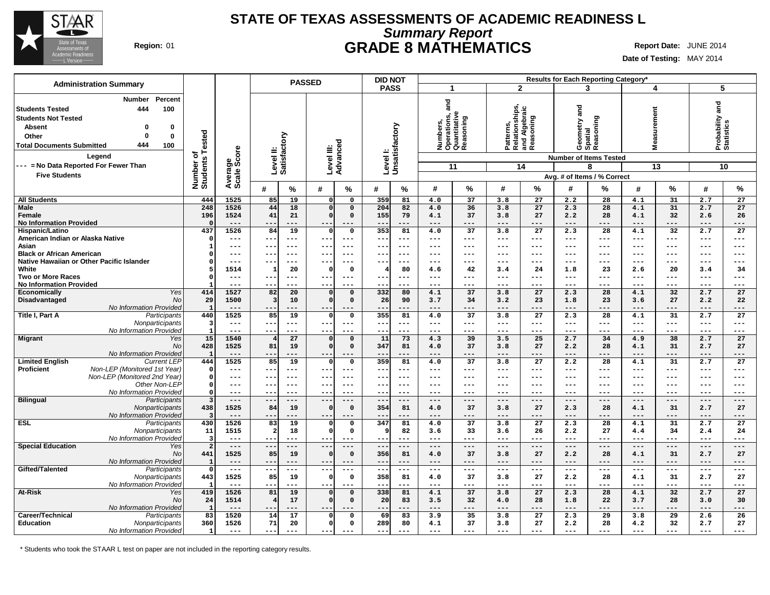

## **Summary Report STATE OF TEXAS ASSESSMENTS OF ACADEMIC READINESS L Region:** 01 **GRADE 8 MATHEMATICS Report Date:** JUNE 2014

**Date of Testing:** MAY 2014

| <b>Administration Summary</b>                                                                                                                                                                            |                              |                        | <b>PASSED</b>                             |                                                     | <b>DID NOT</b>                      |                                                               |                                                           | <b>Results for Each Reporting Category*</b>                           |                                           |                               |
|----------------------------------------------------------------------------------------------------------------------------------------------------------------------------------------------------------|------------------------------|------------------------|-------------------------------------------|-----------------------------------------------------|-------------------------------------|---------------------------------------------------------------|-----------------------------------------------------------|-----------------------------------------------------------------------|-------------------------------------------|-------------------------------|
|                                                                                                                                                                                                          |                              |                        |                                           |                                                     | <b>PASS</b>                         | $\mathbf{1}$                                                  | $\overline{2}$                                            | 3                                                                     | 4                                         | 5                             |
| Percent<br><b>Number</b><br>444<br>100<br><b>Students Tested</b><br><b>Students Not Tested</b><br><b>Absent</b><br>0<br>n<br>Other<br>0<br>0<br>444<br>100<br><b>Total Documents Submitted</b><br>Legend | Number of<br>Students Tested | Average<br>Scale Score | Level II:<br>Satisfactory                 | Level III:<br>Advanced                              | Level I:<br>Unsatisfactory          | and<br>Numbers,<br>Operations, a<br>Quantitative<br>Reasoning | Patterns,<br>Relationships,<br>and Algebraic<br>Reasoning | Geometry and<br>Spatial<br>Reasoning<br><b>Number of Items Tested</b> | surement<br>Ë<br>Ś                        | Probability and<br>Statistics |
| --- = No Data Reported For Fewer Than                                                                                                                                                                    |                              |                        |                                           |                                                     |                                     | 11                                                            | 14                                                        | 8                                                                     | 13                                        | 10                            |
| <b>Five Students</b>                                                                                                                                                                                     |                              |                        |                                           |                                                     |                                     |                                                               |                                                           | Avg. # of Items / % Correct                                           |                                           |                               |
|                                                                                                                                                                                                          |                              |                        | #<br>$\%$                                 | %<br>#                                              | #<br>℅                              | %<br>#                                                        | %<br>#                                                    | #<br>℅                                                                | %<br>#                                    | %<br>#                        |
| <b>All Students</b>                                                                                                                                                                                      | 444                          | 1525                   | 85<br>19                                  | $\mathbf{o}$<br>$\Omega$                            | 359<br>81                           | 37<br>4.0                                                     | 3.8<br>27                                                 | 2.2<br>28                                                             | 31<br>4.1                                 | 2.7<br>27                     |
| <b>Male</b><br>Female                                                                                                                                                                                    | 248<br>196                   | 1526<br>1524           | 44<br>18<br>41<br>21                      | $\Omega$<br>$\Omega$<br>$\Omega$<br>$\mathbf 0$     | 204<br>82<br>155<br>79              | 4.0<br>36<br>37<br>4.1                                        | 3.8<br>27<br>3.8<br>27                                    | 2.3<br>28<br>2.2<br>28                                                | 4.1<br>31<br>4.1<br>32                    | 2.7<br>27<br>2.6<br>26        |
| <b>No Information Provided</b><br>Hispanic/Latino                                                                                                                                                        | $\Omega$<br>437              | $- - -$<br>1526        | ---<br>$- - -$<br>84<br>19                | $- - -$<br>$\mathbf 0$<br>$\mathbf 0$               | $-$<br>$- - -$<br>353<br>81         | $- - -$<br>---<br>37<br>4.0                                   | ---<br>$- - -$<br>27<br>3.8                               | $- - -$<br>$- - -$<br>28<br>2.3                                       | $- - -$<br>---<br>4.1<br>32               | $- - -$<br>---<br>2.7<br>27   |
| American Indian or Alaska Native                                                                                                                                                                         | $\mathbf 0$                  | ---                    | $--$<br>$---$                             | $---$<br>---                                        | ---<br>$--$                         | $\qquad \qquad -$<br>---                                      | ---<br>$---$                                              | $---$<br>---                                                          | $---$<br>$\qquad \qquad - -$              | ---<br>$---$                  |
| Asian                                                                                                                                                                                                    | 1                            | ---                    |                                           | $- -$<br>---                                        | $---$<br>--                         | $\qquad \qquad -$<br>---                                      | ---<br>$---$                                              | $\qquad \qquad -$<br>$---$                                            | ---<br>$---$                              | $---$<br>---                  |
| <b>Black or African American</b><br>Native Hawaiian or Other Pacific Islander                                                                                                                            | 0<br>$\Omega$                | ---<br>---             | --<br>$---$<br>$--$                       | $---$<br>--<br>---                                  | $---$<br>---<br>$--$                | $\qquad \qquad -$<br>---<br>$--$                              | ---<br>$---$                                              | $---$<br>---<br>---                                                   | $---$<br>---<br>---<br>---                | ---<br>---<br>---             |
| White                                                                                                                                                                                                    |                              | 1514                   | 20<br>$\mathbf{1}$                        | $\mathbf 0$<br>$\Omega$                             | --<br>80                            | ---<br>42<br>4.6                                              | ---<br>$---$<br>24<br>3.4                                 | $---$<br>23<br>1.8                                                    | 20<br>2.6                                 | ---<br>3.4<br>34              |
| <b>Two or More Races</b>                                                                                                                                                                                 | $\Omega$                     | $---$                  | $--$<br>$--$                              | $---$<br>$--$                                       | $- -$<br>$--$                       | $---$<br>---                                                  | $\frac{1}{2}$<br>---                                      | $--$<br>$---$                                                         | $---$<br>$---$                            | ---<br>$---$                  |
| <b>No Information Provided</b>                                                                                                                                                                           |                              | $---$                  | --                                        | ---                                                 | ---<br>--                           | $- - -$<br>---                                                | $- - -$<br>---                                            | $- - -$<br>---                                                        | $- - -$<br>$- - -$                        | ---<br>$---$                  |
| Yes<br><b>Economically</b><br>Disadvantaged<br><b>No</b>                                                                                                                                                 | 414<br>29                    | 1527<br>1500           | 82<br>20<br>$\overline{\mathbf{3}}$<br>10 | $\mathbf 0$<br>$\Omega$<br>$\Omega$<br>$\mathbf{o}$ | 332<br>80<br>26<br>90               | 37<br>4.1<br>3.7<br>34                                        | 27<br>3.8<br>23<br>3.2                                    | 2.3<br>28<br>23<br>1.8                                                | 4.1<br>32<br>27<br>3.6                    | 27<br>2.7<br>2.2<br>22        |
| No Information Provided                                                                                                                                                                                  | $\mathbf{1}$                 | ---                    |                                           |                                                     | ---                                 | $---$<br>---                                                  | ---<br>$---$                                              | $---$<br>---                                                          | ---<br>---                                | $--$<br>---                   |
| Title I, Part A<br>Participants                                                                                                                                                                          | 440                          | 1525                   | 19<br>85                                  | $\mathbf 0$<br>$\mathbf 0$                          | 355<br>81                           | 37<br>4.0                                                     | 27<br>3.8                                                 | 2.3<br>28                                                             | 31<br>4.1                                 | 27<br>2.7                     |
| Nonparticipants                                                                                                                                                                                          | $\overline{\mathbf{3}}$      | $---$                  | ---<br>$\qquad \qquad - -$                | $- - -$<br>$---$                                    | ---<br>$---$                        | $\qquad \qquad -$<br>---                                      | $- -$<br>---                                              | $\qquad \qquad -$<br>$---$                                            | $---$<br>$---$                            | $---$<br>---                  |
| No Information Provided                                                                                                                                                                                  | $\overline{1}$<br>15         | $---$<br>1540          | $- -$<br>$---$<br>27                      | $--$<br>---<br>$\mathbf 0$                          | $- -$<br>$---$<br>73<br>11          | $---$<br>---<br>39                                            | ---<br>$\frac{1}{2}$<br>25<br>3.5                         | $\qquad \qquad - -$<br>---<br>2.7<br>34                               | $---$<br>$---$<br>4.9<br>38               | $---$<br>$---$<br>2.7<br>27   |
| <b>Migrant</b><br>Yes<br><b>No</b>                                                                                                                                                                       | 428                          | 1525                   | 4<br>81<br>19                             | $\mathbf 0$<br>$\mathbf 0$<br>$\mathbf 0$           | 347<br>81                           | 4.3<br>37<br>4.0                                              | 27<br>3.8                                                 | 2.2<br>28                                                             | 31<br>4.1                                 | 2.7<br>27                     |
| No Information Provided                                                                                                                                                                                  | $\mathbf{1}$                 | $---$                  | --<br>$---$                               | ---                                                 | $---$<br>$- -$                      | $---$<br>---                                                  | ---<br>$---$                                              | $---$<br>---                                                          | $---$<br>---                              | ---<br>---                    |
| <b>Limited English</b><br><b>Current LEP</b>                                                                                                                                                             | 444                          | 1525                   | 85<br>19                                  | $\mathbf 0$<br>$\Omega$                             | 359<br>81                           | $\overline{37}$<br>4.0                                        | 3.8<br>$\overline{27}$                                    | 2.2<br>$\overline{28}$                                                | 31<br>4.1                                 | 2.7<br>$\overline{27}$        |
| Non-LEP (Monitored 1st Year)<br><b>Proficient</b><br>Non-LEP (Monitored 2nd Year)                                                                                                                        | $\mathbf{o}$<br>$\Omega$     | ---<br>$---$           | $---$<br>$\qquad \qquad -$<br>$---$       | $- -$<br>$---$<br>$- -$<br>$---$                    | $-$<br>$--$<br>$---$<br>---         | $--$<br>---<br>$---$<br>---                                   | ---<br>$---$<br>---<br>$---$                              | $--$<br>---<br>$--$<br>---                                            | $---$<br>$---$<br>$---$<br>$---$          | ---<br>---<br>---<br>---      |
| Other Non-LEP                                                                                                                                                                                            | $\mathbf{o}$                 | ---                    | --<br>$--$                                | $---$                                               | $---$<br>$-$                        | $---$<br>---                                                  | $---$<br>---                                              | $---$<br>---                                                          | ---<br>$---$                              | ---<br>---                    |
| No Information Provided                                                                                                                                                                                  | $\Omega$                     | $---$                  | --<br>$- - -$                             | $- -$<br>$- - -$                                    | $- -$<br>$- - -$                    | $---$<br>---                                                  | $- - -$<br>$---$                                          | $---$<br>---                                                          | $---$<br>$---$                            | $---$<br>$\qquad \qquad - -$  |
| <b>Bilingual</b><br>Participants                                                                                                                                                                         | 3                            | $---$                  | $---$<br>$- -$                            | $- -$<br>---                                        | $\overline{\phantom{a}}$ .<br>$---$ | $\qquad \qquad - -$<br>---                                    | $--$<br>---                                               | $\qquad \qquad - -$<br>$---$                                          | $---$<br>$---$                            | $---$<br>$---$                |
| Nonparticipants<br>No Information Provided                                                                                                                                                               | 438<br>-3                    | 1525<br>$---$          | 84<br>19<br>--<br>$---$                   | $\mathbf 0$<br>$\mathbf 0$<br>---                   | 354<br>81<br>--<br>$---$            | 37<br>4.0<br>$---$<br>---                                     | 27<br>3.8<br>---<br>$---$                                 | 28<br>2.3<br>$---$<br>---                                             | 4.1<br>31<br>$---$<br>---                 | 27<br>2.7<br>---<br>---       |
| <b>ESL</b><br>Participants                                                                                                                                                                               | 430                          | 1526                   | 83<br>19                                  | $\mathbf 0$<br>$\mathbf 0$                          | 347<br>81                           | $\overline{37}$<br>4.0                                        | $\overline{27}$<br>3.8                                    | 2.3<br>$\overline{28}$                                                | 4.1<br>31                                 | 2.7<br>$\overline{27}$        |
| Nonparticipants                                                                                                                                                                                          | 11                           | 1515                   | $\overline{a}$<br>18                      | $\mathbf 0$<br>$\mathbf 0$                          | 82<br>9                             | 33<br>3.6                                                     | 26<br>3.6                                                 | 27<br>2.2                                                             | 34<br>4.4                                 | 2.4<br>24                     |
| No Information Provided                                                                                                                                                                                  | $\overline{3}$               | ---                    | $\qquad \qquad -$                         | ---<br>$- -$                                        | --                                  | $- - -$<br>---                                                | ---<br>---                                                | $- - -$                                                               | ---<br>$---$                              | ---<br>---                    |
| <b>Special Education</b><br>Yes<br><b>No</b>                                                                                                                                                             | $\overline{2}$<br>441        | $---$<br>1525          | $-\,-$<br>$---$<br>85<br>19               | ---<br>$- -$<br>$\mathbf 0$<br>$\Omega$             | $-$<br>$---$<br>81<br>356           | $\frac{1}{2}$<br>---<br>37<br>4.0                             | $---$<br>---<br>27<br>3.8                                 | $---$<br>---<br>2.2<br>28                                             | $---$<br>$---$<br>31<br>4.1               | $---$<br>$---$<br>2.7<br>27   |
| <b>No Information Provided</b>                                                                                                                                                                           | $\mathbf{1}$                 | ---                    | --                                        |                                                     | ---                                 | $---$<br>---                                                  | ---<br>$---$                                              | $---$<br>---                                                          | $---$<br>---                              | ---<br>---                    |
| Gifted/Talented<br>Participants                                                                                                                                                                          | $\Omega$                     | $---$                  | $\frac{1}{2}$<br>$---$                    | $- -$<br>---                                        | $---$<br>$\overline{\phantom{a}}$ . | $\frac{1}{2}$<br>---                                          | $---$<br>$\qquad \qquad - -$                              | $\qquad \qquad - -$<br>---                                            | $---$<br>$---$                            | $---$<br>$---$                |
| Nonparticipants<br>No Information Provided                                                                                                                                                               | 443<br>$\mathbf{1}$          | 1525<br>$---$          | 85<br>19<br>$---$<br>$---$                | $\mathbf 0$<br>$\Omega$<br>$- -$<br>---             | 81<br>358<br>$---$<br>--            | 37<br>4.0<br>$\qquad \qquad - -$<br>---                       | 27<br>3.8<br>$\qquad \qquad - -$<br>---                   | 2.2<br>28<br>$\qquad \qquad - -$                                      | 31<br>4.1<br>$\qquad \qquad - -$<br>$---$ | 2.7<br>27<br>$---$<br>$---$   |
| <b>At-Risk</b><br>Yes<br>No                                                                                                                                                                              | 419<br>24                    | 1526<br>1514           | 19<br>81<br>17<br>4                       | $\Omega$<br>$\Omega$<br>$\Omega$<br>$\mathbf 0$     | 338<br>81<br>83<br>20               | 37<br>4.1<br>3.5<br>32                                        | $\overline{27}$<br>3.8<br>28<br>4.0                       | $\overline{28}$<br>2.3<br>1.8<br>22                                   | 32<br>4.1<br>3.7<br>28                    | 2.7<br>27<br>3.0<br>30        |
| No Information Provided                                                                                                                                                                                  | $\mathbf{1}$                 | $---$                  | ---                                       |                                                     | ---<br>--                           | $---$<br>---                                                  | $---$<br>---                                              | $---$<br>---                                                          | $---$<br>---                              | $---$<br>---                  |
| Career/Technical<br>Participants                                                                                                                                                                         | 83                           | 1520                   | 14<br>17                                  | $\mathbf 0$<br>$\Omega$                             | 69<br>83                            | 3.9<br>35                                                     | $\overline{27}$<br>3.8                                    | 2.3<br>29                                                             | 3.8<br>29                                 | 2.6<br>26                     |
| <b>Education</b><br>Nonparticipants<br>No Information Provided                                                                                                                                           | 360<br>$\mathbf{1}$          | 1526<br>$---$          | 71<br>20<br>$---$                         | $\circ$<br>$\mathbf 0$<br>$--$<br>$---$             | 80<br>289<br>$- -$                  | 37<br>4.1<br>$- - -$<br>---                                   | 27<br>3.8<br>$---$<br>---                                 | 28<br>2.2<br>$---$<br>---                                             | 32<br>4.2<br>$- - -$<br>---               | 27<br>2.7<br>$---$<br>---     |

\* Students who took the STAAR L test on paper are not included in the reporting category results.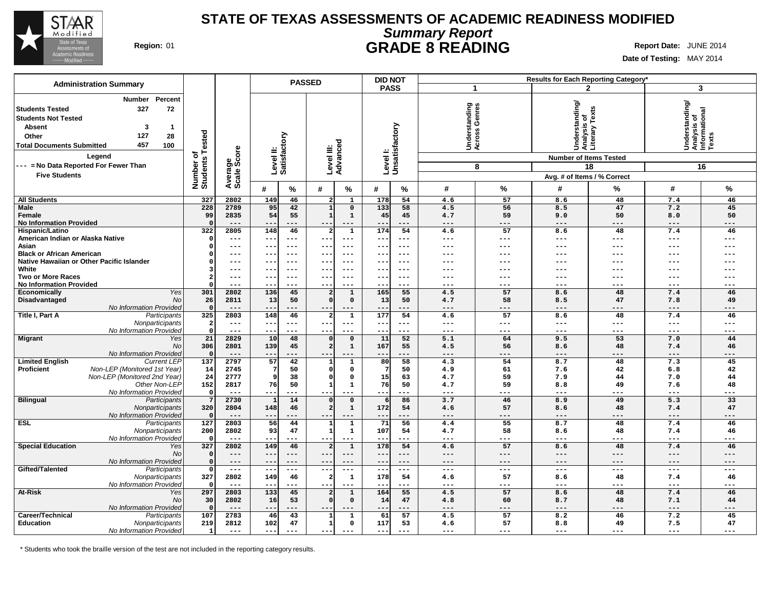

# **Summary Report STATE OF TEXAS ASSESSMENTS OF ACADEMIC READINESS MODIFIED Region:** 01 **GRADE 8 READING Report Date:** JUNE 2014

**Date of Testing:** MAY 2014

|                                                                                                                                                                                                                                          |                                                                         |                        |                                   |                              | <b>PASSED</b>             |                                | <b>DID NOT</b>    |                            |                                           |                |                                                                                                                 | Results for Each Reporting Category*         |                                                            |                              |
|------------------------------------------------------------------------------------------------------------------------------------------------------------------------------------------------------------------------------------------|-------------------------------------------------------------------------|------------------------|-----------------------------------|------------------------------|---------------------------|--------------------------------|-------------------|----------------------------|-------------------------------------------|----------------|-----------------------------------------------------------------------------------------------------------------|----------------------------------------------|------------------------------------------------------------|------------------------------|
| <b>Administration Summary</b>                                                                                                                                                                                                            |                                                                         |                        |                                   |                              |                           |                                |                   | <b>PASS</b>                |                                           | -1             |                                                                                                                 | $\mathbf{2}$                                 |                                                            | 3                            |
| <b>Number</b><br><b>Students Tested</b><br>327<br><b>Students Not Tested</b><br><b>Absent</b><br>3<br>127<br>Other<br>457<br><b>Total Documents Submitted</b><br>Legend<br>--- = No Data Reported For Fewer Than<br><b>Five Students</b> | Percent<br>72<br>-1<br>Tested<br>28<br>100<br>৳<br>Number o<br>Students | Average<br>Scale Score | Level II:<br>Satisfactory         |                              | Level III:<br>Advanced    |                                |                   | Level I:<br>Unsatisfactory | tanding<br>Genres<br>Underst:<br>Across ( | 8              | Understanding/<br>Analysis of<br>Literary Texts<br><b>Number of Items Tested</b><br>Avg. # of Items / % Correct | 18                                           | Understanding/<br> Analysis of<br> Informational<br> Texts | 16                           |
|                                                                                                                                                                                                                                          |                                                                         |                        | #                                 | %                            | #                         | %                              | #                 | %                          | #                                         | %              | #                                                                                                               | %                                            | #                                                          | %                            |
| <b>All Students</b>                                                                                                                                                                                                                      | 327                                                                     | 2802                   | 149                               | 46                           | $\overline{a}$            | $\mathbf{1}$                   | 178               | 54                         | 4.6                                       | 57             | 8.6                                                                                                             | 48                                           | 7.4                                                        | 46                           |
| <b>Male</b>                                                                                                                                                                                                                              | 228                                                                     | 2789                   | 95                                | 42                           | $\mathbf{1}$              | $\mathbf 0$                    | 133               | 58                         | 4.5                                       | 56             | 8.5                                                                                                             | 47                                           | 7.2                                                        | 45                           |
| Female                                                                                                                                                                                                                                   | 99                                                                      | 2835                   | 54                                | 55                           | $\mathbf{1}$              | $\mathbf{1}$                   | 45                | 45                         | 4.7                                       | 59             | 9.0                                                                                                             | 50                                           | 8.0                                                        | 50                           |
| <b>No Information Provided</b>                                                                                                                                                                                                           |                                                                         | $---$<br>2805          | $- -$                             | ---                          | $-$                       | $---$                          | --                | ---                        | $---$                                     | $---$<br>57    | $---$                                                                                                           | ---                                          | $---$<br>7.4                                               | ---                          |
| Hispanic/Latino<br>American Indian or Alaska Native                                                                                                                                                                                      | 322                                                                     | ---                    | 148<br>$--$                       | 46<br>$---$                  | --                        | $\mathbf 1$<br>$---$           | 174<br>--         | 54<br>$\qquad \qquad -$    | 4.6<br>$---$                              | $---$          | 8.6<br>$---$                                                                                                    | 48<br>---                                    | $---$                                                      | 46<br>$---$                  |
| Asian                                                                                                                                                                                                                                    |                                                                         | ---                    | $\qquad \qquad -$                 | $---$                        | --                        | $--$                           | $- -$             | $---$                      | ---                                       | $--$           | ---                                                                                                             | ---                                          | $--$                                                       | ---                          |
| <b>Black or African American</b>                                                                                                                                                                                                         |                                                                         | ---                    | $-$                               | ---                          |                           | $--$                           |                   | $--$                       | ---                                       | $--$           |                                                                                                                 |                                              | $--$                                                       |                              |
| Native Hawaiian or Other Pacific Islander                                                                                                                                                                                                |                                                                         | ---                    | $- -$                             | $\qquad \qquad - -$          |                           | $---$                          | $- -$             | $\qquad \qquad -$          | ---                                       | $---$          | ---                                                                                                             | ---                                          | $---$                                                      |                              |
| White                                                                                                                                                                                                                                    |                                                                         | ---                    | $- -$                             | $---$                        | --                        | $--$                           | --                | $---$                      | $--$                                      | $---$          |                                                                                                                 |                                              | $---$                                                      |                              |
| <b>Two or More Races</b><br><b>No Information Provided</b>                                                                                                                                                                               |                                                                         | ---<br>---             | $- -$<br>$ -$                     | $---$<br>$- - -$             | $\qquad \qquad -$<br>$ -$ | $--$<br>$- - -$                | $- -$<br>$ -$     | $--$<br>$- - -$            | $---$<br>$- - -$                          | $---$<br>$---$ | ---<br>$- - -$                                                                                                  | ---<br>$\frac{1}{2}$                         | $---$<br>$- - -$                                           | ---<br>$- - -$               |
| Economically                                                                                                                                                                                                                             | Yes<br>301                                                              | 2802                   | 136                               | 45                           |                           | $\mathbf{1}$                   | 165               | 55                         | 4.5                                       | 57             | 8.6                                                                                                             | 48                                           | 7.4                                                        | 46                           |
| Disadvantaged                                                                                                                                                                                                                            | No<br>26                                                                | 2811                   | 13                                | 50                           | $\Omega$                  | $\mathsf{o}\,$                 | 13                | 50                         | 4.7                                       | 58             | 8.5                                                                                                             | 47                                           | 7.8                                                        | 49                           |
| No Information Provided                                                                                                                                                                                                                  | $\Omega$                                                                | ---                    | --                                | ---                          | $\qquad \qquad -$         | $---$                          |                   | ---                        |                                           | $---$          | $---$                                                                                                           | ---                                          | $---$                                                      |                              |
| Title I, Part A<br>Participants                                                                                                                                                                                                          | 325                                                                     | 2803                   | 148                               | 46                           | 2                         | $\mathbf{1}$                   | 177               | 54                         | 4.6                                       | 57             | 8.6                                                                                                             | 48                                           | 7.4                                                        | 46                           |
| Nonparticipants<br>No Information Provided                                                                                                                                                                                               | $\overline{\mathbf{2}}$<br>$\Omega$                                     | $---$<br>$---$         | $--$<br>$- -$                     | $- - -$<br>$---$             | $- -$<br>$- -$            | $---$<br>$---$                 | $--$<br>$- -$     | $---$<br>$---$             | $---$<br>$---$                            | $---$<br>$---$ | $---$<br>$---$                                                                                                  | $- - -$<br>$---$                             | $---$<br>$---$                                             | $---$<br>$---$               |
| <b>Migrant</b>                                                                                                                                                                                                                           | 21<br>Yes                                                               | 2829                   | 10                                | 48                           |                           | $\mathbf 0$                    | 11                | 52                         | 5.1                                       | 64             | 9.5                                                                                                             | 53                                           | 7.0                                                        | 44                           |
|                                                                                                                                                                                                                                          | 306<br>No                                                               | 2801                   | 139                               | 45                           |                           | $\mathbf{1}$                   | 167               | 55                         | 4.5                                       | 56             | 8.6                                                                                                             | 48                                           | 7.4                                                        | 46                           |
| No Information Provided                                                                                                                                                                                                                  |                                                                         | $---$                  | $- -$                             | ---                          |                           | $--$                           |                   | ---                        | $---$                                     | $--$           | $---$                                                                                                           | ---                                          | $---$                                                      | ---                          |
| <b>Limited English</b><br><b>Current LEP</b>                                                                                                                                                                                             | 137                                                                     | 2797                   | 57                                | 42                           | $\mathbf{1}$              | $\mathbf{1}$                   | 80                | 58                         | 4.3                                       | 54             | 8.7                                                                                                             | 48                                           | 7.3                                                        | 45                           |
| Non-LEP (Monitored 1st Year)<br><b>Proficient</b><br>Non-LEP (Monitored 2nd Year)                                                                                                                                                        | 14<br>24                                                                | 2745<br>2777           | c                                 | 50<br>38                     | $\Omega$<br>n             | 0<br>0                         | 7<br>15           | 50<br>63                   | 4.9<br>4.7                                | 61<br>59       | 7.6<br>7.9                                                                                                      | 42<br>44                                     | 6.8<br>7.0                                                 | 42<br>44                     |
| Other Non-LEP                                                                                                                                                                                                                            | 152                                                                     | 2817                   | 76                                | 50                           | $\mathbf{1}$              | $\mathbf{1}$                   | 76                | 50                         | 4.7                                       | 59             | 8.8                                                                                                             | 49                                           | 7.6                                                        | 48                           |
| No Information Provideo                                                                                                                                                                                                                  | $\Omega$                                                                | $---$                  | $- -$                             | $---$                        | $- -$                     | $---$                          | $- -$             | ---                        | $---$                                     | $---$          | $---$                                                                                                           | ---                                          | $---$                                                      | ---                          |
| <b>Bilingual</b><br>Participants                                                                                                                                                                                                         | 7                                                                       | 2730                   | -1                                | 14                           |                           | $\mathbf 0$                    | $6 \mid$          | 86                         | 3.7                                       | 46             | 8.9                                                                                                             | 49                                           | 5.3                                                        | 33                           |
| Nonparticipants                                                                                                                                                                                                                          | 320                                                                     | 2804                   | 148                               | 46                           |                           | $\mathbf{1}$                   | 172               | 54                         | 4.6                                       | 57             | 8.6                                                                                                             | 48                                           | 7.4                                                        | 47                           |
| No Information Provided<br><b>ESL</b><br>Participants                                                                                                                                                                                    | 127                                                                     | $---$<br>2803          | $\overline{56}$                   | ---<br>44                    | -1                        | $---$<br>$\overline{1}$        | 71                | ---<br>56                  | $---$<br>4.4                              | $---$<br>55    | ---<br>8.7                                                                                                      | ---<br>48                                    | $---$<br>7.4                                               | ---<br>46                    |
| Nonparticipants                                                                                                                                                                                                                          | 200                                                                     | 2802                   | 93                                | 47                           | 1                         | $\mathbf{1}$                   | 107               | 54                         | 4.7                                       | 58             | 8.6                                                                                                             | 48                                           | 7.4                                                        | 46                           |
| No Information Provideo                                                                                                                                                                                                                  |                                                                         | ---                    | $- -$                             | $---$                        | $- -$                     | $---$                          |                   | $---$                      | $---$                                     | $---$          | $---$                                                                                                           | $- - -$                                      | $---$                                                      | $---$                        |
| <b>Special Education</b>                                                                                                                                                                                                                 | 327<br>Yes                                                              | 2802                   | 149                               | 46                           | 2                         | $\mathbf 1$                    | 178               | 54                         | 4.6                                       | 57             | 8.6                                                                                                             | 48                                           | 7.4                                                        | 46                           |
|                                                                                                                                                                                                                                          | No                                                                      | ---                    | $--$                              | $---$                        | $--$                      | $---$                          | $\qquad \qquad -$ | $---$                      | $---$                                     | $---$          | $---$                                                                                                           | $---$                                        | $---$                                                      | $---$                        |
| No Information Provided                                                                                                                                                                                                                  |                                                                         | ---<br>$\frac{1}{2}$   | $\overline{\phantom{a}}$<br>$- -$ | $---$<br>$\qquad \qquad - -$ | $-$<br>$\frac{1}{2}$      | $---$<br>$\qquad \qquad - -$   | $- -$<br>$- - -$  | $---$<br>$  -$             | $---$<br>$\sim$ $\sim$ $\sim$             | $---$<br>$---$ | $---$<br>$\frac{1}{2}$                                                                                          | $---$                                        | $---$                                                      | $---$<br>$\qquad \qquad - -$ |
| Gifted/Talented<br>Participants<br>Nonparticipants                                                                                                                                                                                       | $\Omega$<br>327                                                         | 2802                   | 149                               | 46                           | -2                        | $\mathbf 1$                    | 178               | 54                         | 4.6                                       | 57             | 8.6                                                                                                             | $\hspace{0.05cm} -  \hspace{0.05cm} -$<br>48 | $---$<br>7.4                                               | 46                           |
| No Information Provided                                                                                                                                                                                                                  |                                                                         | $---$                  | $-$                               | $---$                        | $- -$                     | $---$                          | $- -$             | ---                        | $---$                                     | $---$          | $---$                                                                                                           | ---                                          | $---$                                                      | ---                          |
| At-Risk                                                                                                                                                                                                                                  | 297<br>Yes                                                              | 2803                   | 133                               | 45                           | 2                         | $\mathbf{1}$                   | 164               | 55                         | 4.5                                       | 57             | 8.6                                                                                                             | 48                                           | 7.4                                                        | 46                           |
|                                                                                                                                                                                                                                          | No<br>30                                                                | 2802                   | 16                                | 53                           |                           | $\mathsf{o}\,$                 | 14                | 47                         | 4.8                                       | 60             | 8.7                                                                                                             | 48                                           | 7.1                                                        | 44                           |
| No Information Provided                                                                                                                                                                                                                  |                                                                         | $---$                  | $- -$                             | ---                          | $\qquad \qquad -$         | $---$                          | --                | ---                        | $---$                                     | $---$          | $---$                                                                                                           | ---                                          | $---$                                                      | ---                          |
| Career/Technical<br>Participants<br><b>Education</b><br>Nonparticipants                                                                                                                                                                  | 107<br>219                                                              | 2783<br>2812           | 46<br>102                         | 43<br>47                     | -1                        | $\mathbf{1}$<br>$\mathsf{o}\,$ | 61<br>117         | 57<br>53                   | 4.5<br>4.6                                | 57<br>57       | 8.2<br>8.8                                                                                                      | 46<br>49                                     | 7.2<br>7.5                                                 | 45<br>47                     |
| No Information Provided                                                                                                                                                                                                                  | $\mathbf{1}$                                                            | $---$                  | $- -$                             | $- - -$                      | $- -$                     | $---$                          | $- -$             | $- - -$                    | $- - -$                                   | $---$          | $---$                                                                                                           | ---                                          | $---$                                                      | $---$                        |

\* Students who took the braille version of the test are not included in the reporting category results.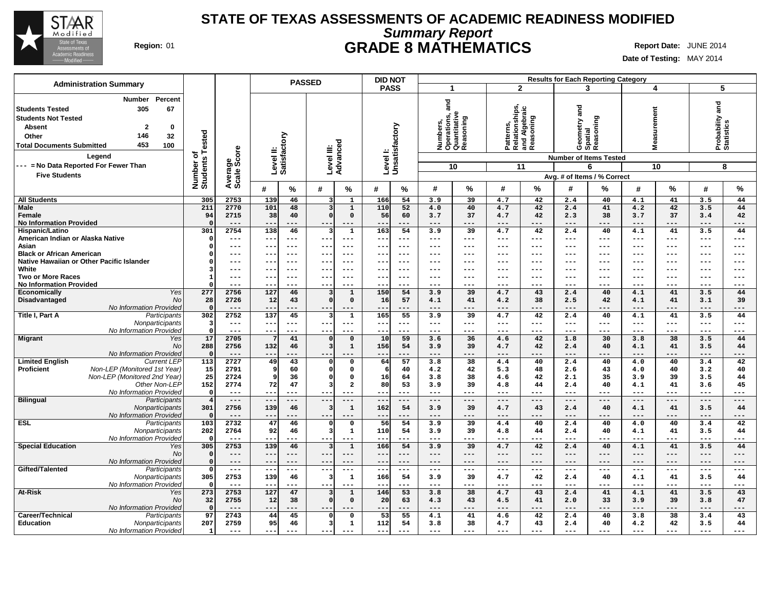

# **Summary Report STATE OF TEXAS ASSESSMENTS OF ACADEMIC READINESS MODIFIED Region:** 01 **GRADE 8 MATHEMATICS Report Date:** JUNE 2014

| <b>Administration Summary</b>                                                                                                                                                                                    |                              |                        |                                   | <b>PASSED</b>                                                      | <b>DID NOT</b>                    |                                                               |                                                           | <b>Results for Each Reporting Category</b>                            |                                    |                                  |  |  |
|------------------------------------------------------------------------------------------------------------------------------------------------------------------------------------------------------------------|------------------------------|------------------------|-----------------------------------|--------------------------------------------------------------------|-----------------------------------|---------------------------------------------------------------|-----------------------------------------------------------|-----------------------------------------------------------------------|------------------------------------|----------------------------------|--|--|
|                                                                                                                                                                                                                  |                              |                        |                                   |                                                                    | <b>PASS</b>                       | $\mathbf{1}$                                                  | $\overline{2}$                                            | 3                                                                     | 4                                  | 5                                |  |  |
| Percent<br><b>Number</b><br>305<br>67<br>l Students Tested<br><b>Students Not Tested</b><br><b>Absent</b><br>$\mathbf{2}$<br>0<br>146<br>32<br>Other<br>453<br><b>Total Documents Submitted</b><br>100<br>Legend | Number of<br>Students Tested | Average<br>Scale Score | Level II:<br>Satisfactory         | Level III:<br>Advanced                                             | Levell:<br>Unsatisfactory         | and<br>Numbers,<br>Operations, a<br>Quantitative<br>Reasoning | Patterns,<br>Relationships,<br>and Algebraic<br>Reasoning | Geometry and<br>Spatial<br>Reasoning<br><b>Number of Items Tested</b> | surement<br>Ë<br>ź                 | Probability and<br>Statistics    |  |  |
| --- = No Data Reported For Fewer Than                                                                                                                                                                            |                              |                        |                                   |                                                                    |                                   | 10                                                            | 11                                                        | 6                                                                     | 10                                 | 8                                |  |  |
| <b>Five Students</b>                                                                                                                                                                                             |                              |                        |                                   |                                                                    |                                   |                                                               |                                                           | Avg. # of Items / % Correct                                           |                                    |                                  |  |  |
|                                                                                                                                                                                                                  |                              |                        | #<br>%                            | #<br>%                                                             | #<br>℅                            | #<br>%                                                        | %<br>#                                                    | #<br>℅                                                                | $\frac{0}{0}$<br>#                 | $\%$<br>#                        |  |  |
| <b>All Students</b>                                                                                                                                                                                              | 305                          | 2753                   | 139<br>46                         | 1<br>3                                                             | 166<br>54                         | 3.9<br>39                                                     | 42<br>4.7                                                 | 40<br>2.4                                                             | 41<br>4.1                          | 44<br>3.5                        |  |  |
| Male                                                                                                                                                                                                             | 211                          | 2770                   | 48<br>101                         | $\mathbf 1$<br>3                                                   | 110<br>52                         | 4.0<br>40                                                     | 4.7<br>42                                                 | 41<br>2.4                                                             | 42<br>4.2                          | 44<br>3.5                        |  |  |
| Female<br><b>No Information Provided</b>                                                                                                                                                                         | 94<br>$\Omega$               | 2715<br>---            | 38<br>40<br>$---$                 | $\mathbf 0$<br>$\mathbf 0$<br>---                                  | 60<br>56<br>$---$<br>--           | 3.7<br>37<br>$---$<br>---                                     | 42<br>4.7<br>---                                          | 2.3<br>38<br>$- - -$                                                  | 37<br>3.7<br>$---$<br>---          | 42<br>3.4<br>---<br>$---$        |  |  |
| Hispanic/Latino                                                                                                                                                                                                  | 301                          | 2754                   | 138<br>46                         | $\mathbf 1$<br>3                                                   | 54<br>163                         | 3.9<br>39                                                     | 42<br>4.7                                                 | 40<br>2.4                                                             | 4.1<br>41                          | 3.5<br>44                        |  |  |
| American Indian or Alaska Native                                                                                                                                                                                 | $\Omega$                     | ---                    | $\overline{\phantom{m}}$<br>$---$ | --<br>---                                                          | ---<br>---                        | $\qquad \qquad -$<br>---                                      | ---<br>$---$                                              | $---$<br>$---$                                                        | $---$<br>$---$                     | ---<br>---                       |  |  |
| Asian                                                                                                                                                                                                            | $\Omega$                     | ---                    | $--$                              | $---$<br>$- -$                                                     | $---$<br>$- -$                    | $---$<br>---                                                  | $- - -$<br>---                                            | $- - -$<br>$---$                                                      | $---$<br>$---$                     | $---$<br>$---$                   |  |  |
| <b>Black or African American</b>                                                                                                                                                                                 | $\Omega$                     | ---                    | $---$<br>$\qquad \qquad -$        | $\frac{1}{2}$<br>$- -$                                             | $---$<br>$--$                     | $- - -$<br>---                                                | ---<br>$---$                                              | $---$<br>---                                                          | $---$<br>$---$                     | ---<br>$---$                     |  |  |
| Native Hawaiian or Other Pacific Islander                                                                                                                                                                        | $\Omega$                     | ---                    | $--$                              | $---$<br>$- -$                                                     | $- -$<br>$--$                     | $--$<br>---                                                   | $---$<br>---                                              | $\qquad \qquad -$<br>---                                              | $---$<br>$---$                     | ---<br>$---$                     |  |  |
| White                                                                                                                                                                                                            | 3<br>$\mathbf{1}$            | ---<br>---             | $\qquad \qquad -$<br>$---$        | $---$<br>$- -$<br>$---$                                            | $---$<br>$--$<br>$- -$<br>$- - -$ | $- - -$<br>---<br>$---$<br>---                                | $- - -$<br>$---$<br>$---$<br>---                          | $---$<br>---<br>$- - -$<br>$--$                                       | $---$<br>$---$<br>$---$<br>$---$   | $---$<br>$---$<br>$---$<br>$---$ |  |  |
| <b>Two or More Races</b><br><b>No Information Provided</b>                                                                                                                                                       | $\Omega$                     | ---                    | $--$                              | $- -$<br>$- -$<br>---                                              | $-1$                              | $--$<br>---                                                   | ---                                                       | ---                                                                   | $---$<br>---                       | ---<br>---                       |  |  |
| Yes<br>Economically                                                                                                                                                                                              | 277                          | 2756                   | 127<br>46                         | $\mathbf{1}$<br>3                                                  | 150<br>54                         | 39<br>3.9                                                     | 43<br>4.7                                                 | 2.4<br>40                                                             | 41<br>4.1                          | 3.5<br>44                        |  |  |
| Disadvantaged<br>No                                                                                                                                                                                              | 28                           | 2726                   | 12<br>43                          | $\Omega$<br>$\mathbf 0$                                            | 57<br>16                          | 4.1<br>41                                                     | 38<br>4.2                                                 | 2.5<br>42                                                             | 41<br>4.1                          | 3.1<br>39                        |  |  |
| No Information Provided                                                                                                                                                                                          | $\Omega$                     | $---$                  | $- -$                             | ---                                                                | --<br>$---$                       | $---$<br>---                                                  | ---<br>$---$                                              | $- - -$<br>---                                                        | $---$<br>---                       | $---$<br>---                     |  |  |
| Title I, Part A<br>Participants                                                                                                                                                                                  | 302                          | 2752                   | 45<br>137                         | $\mathbf{1}$<br>$\overline{\mathbf{3}}$                            | 55<br>165                         | 3.9<br>39                                                     | 42<br>4.7                                                 | 2.4<br>40                                                             | 41<br>4.1                          | 44<br>3.5                        |  |  |
| Nonparticipants                                                                                                                                                                                                  | $\overline{\mathbf{3}}$      | $---$                  | $---$<br>$- -$                    | $--$<br>$---$                                                      | $--$<br>$ -$                      | $- - -$<br>---                                                | $\qquad \qquad -$<br>$---$                                | $\qquad \qquad - -$<br>---                                            | $---$<br>$---$                     | ---<br>$---$                     |  |  |
| No Information Provided                                                                                                                                                                                          | $\Omega$<br>$\overline{17}$  | $---$                  | $--$<br>$---$                     | $--$<br>---                                                        | $---$<br>---<br>59                | $\qquad \qquad - -$<br>---                                    | $\qquad \qquad - -$<br>$\qquad \qquad -$                  | $\qquad \qquad - -$<br>---                                            | $\qquad \qquad - -$<br>$---$<br>38 | $---$<br>$---$                   |  |  |
| <b>Migrant</b><br>Yes<br>No                                                                                                                                                                                      | 288                          | 2705<br>2756           | 41<br>132<br>46                   | $\mathbf 0$<br>$\Omega$<br>$\overline{\mathbf{3}}$<br>$\mathbf{1}$ | 10<br>156<br>54                   | 3.6<br>36<br>3.9<br>39                                        | 4.6<br>42<br>42<br>4.7                                    | 1.8<br>30<br>2.4<br>40                                                | 3.8<br>41<br>4.1                   | 3.5<br>44<br>3.5<br>44           |  |  |
| No Information Provided                                                                                                                                                                                          | $\Omega$                     | $---$                  | $- -$                             |                                                                    | ---                               | $---$<br>---                                                  | ---<br>$---$                                              | $---$<br>---                                                          | $---$<br>---                       | $---$<br>---                     |  |  |
| <b>Limited English</b><br><b>Current LEP</b>                                                                                                                                                                     | 113                          | 2727                   | 49<br>43                          | $\mathbf{o}$<br>$\Omega$                                           | 57<br>64                          | 3.8<br>38                                                     | 40<br>4.4                                                 | 40<br>2.4                                                             | 40<br>4.0                          | 42<br>3.4                        |  |  |
| Non-LEP (Monitored 1st Year)<br><b>Proficient</b>                                                                                                                                                                | 15                           | 2791                   | 9<br>60                           | $\Omega$<br>$\mathbf 0$                                            | 40<br>6                           | 42<br>4.2                                                     | 5.3<br>48                                                 | 2.6<br>43                                                             | 4.0<br>40                          | 3.2<br>40                        |  |  |
| Non-LEP (Monitored 2nd Year)                                                                                                                                                                                     | 25                           | 2724                   | $\mathbf{q}$<br>36                | $\Omega$<br>$\mathbf{o}$                                           | 16<br>64                          | 38<br>3.8                                                     | 42<br>4.6                                                 | 2.1<br>35                                                             | 3.9<br>39                          | 3.5<br>44                        |  |  |
| Other Non-LEP                                                                                                                                                                                                    | 152                          | 2774                   | 72<br>47                          | $\overline{\mathbf{3}}$<br>$\overline{\mathbf{2}}$                 | 80<br>53                          | 3.9<br>39                                                     | 44<br>4.8                                                 | 2.4<br>40                                                             | 4.1<br>41                          | 3.6<br>45                        |  |  |
| No Information Provided                                                                                                                                                                                          | $\Omega$<br>$\overline{4}$   | $---$<br>$---$         | $---$<br>$---$<br>$- -$<br>$---$  | $- -$<br>$---$<br>$- -$<br>$---$                                   | $- -$<br>$---$<br>$---$<br>$-$    | $- - -$<br>---<br>$\cdots$<br>$---$                           | $---$<br>$---$<br>$---$<br>$---$                          | $---$<br>$---$<br>$---$<br>$---$                                      | $---$<br>$---$<br>$---$<br>$---$   | $---$<br>$---$<br>$---$<br>$---$ |  |  |
| <b>Bilingual</b><br>Participants<br>Nonparticipants                                                                                                                                                              | 301                          | 2756                   | 139<br>46                         | $\mathbf{1}$<br>3                                                  | 162<br>54                         | 3.9<br>39                                                     | 4.7<br>43                                                 | 2.4<br>40                                                             | 4.1<br>41                          | 3.5<br>44                        |  |  |
| No Information Provided                                                                                                                                                                                          | $\Omega$                     | $---$                  | $- -$<br>$- - -$                  |                                                                    | $---$<br>$ -$                     | $---$<br>---                                                  | ---<br>$- - -$                                            | $---$                                                                 | $- - -$<br>$---$                   | $---$<br>---                     |  |  |
| <b>ESL</b><br>Participants                                                                                                                                                                                       | 103                          | 2732                   | 47<br>46                          | $\mathbf 0$<br>$\Omega$                                            | 56<br>54                          | 3.9<br>39                                                     | 40<br>4.4                                                 | 40<br>2.4                                                             | 40<br>4.0                          | 42<br>3.4                        |  |  |
| Nonparticipants                                                                                                                                                                                                  | 202                          | 2764                   | 92<br>46                          | 3<br>$\mathbf{1}$                                                  | 110<br>54                         | 3.9<br>39                                                     | 4.8<br>44                                                 | 2.4<br>40                                                             | 4.1<br>41                          | 3.5<br>44                        |  |  |
| No Information Provided                                                                                                                                                                                          | $\Omega$                     | $---$                  | $- -$<br>$---$                    | ---<br>$- - -$                                                     | $\qquad \qquad -$<br>$--$         | $---$<br>---                                                  | ---<br>$\qquad \qquad -$                                  | $--$<br>---                                                           | $---$<br>$---$                     | ---<br>---                       |  |  |
| <b>Special Education</b><br>Yes<br>No                                                                                                                                                                            | 305<br>$\mathbf 0$           | 2753<br>$---$          | 139<br>46<br>$---$<br>$---$       | $\mathbf 1$<br>3<br>$---$<br>$---$                                 | 54<br>166<br>$---$<br>$- -$       | 3.9<br>39<br>$- - -$<br>$---$                                 | 42<br>4.7<br>$---$<br>$---$                               | 2.4<br>40<br>$---$<br>$---$                                           | 4.1<br>41<br>$---$<br>$---$        | 3.5<br>44<br>$---$<br>$---$      |  |  |
| No Information Provided                                                                                                                                                                                          | $\mathbf 0$                  | $---$                  | $- -$<br>$- - -$                  | $- -$<br>$---$                                                     | $---$<br>$-$                      | ---<br>$---$                                                  | ---<br>$---$                                              | $---$<br>---                                                          | $---$<br>$---$                     | $---$<br>$---$                   |  |  |
| Gifted/Talented<br>Participants                                                                                                                                                                                  | $\Omega$                     | $---$                  | $- - -$<br>$- - -$                | ---<br>$- -$                                                       | $\overline{\phantom{m}}$<br>$---$ | $- - -$<br>---                                                | $---$<br>---                                              | $---$<br>---                                                          | $---$<br>$---$                     | ---<br>---                       |  |  |
| Nonparticipants                                                                                                                                                                                                  | 305                          | 2753                   | 139<br>46                         | $\mathbf{1}$<br>3                                                  | 166<br>54                         | 3.9<br>39                                                     | 42<br>4.7                                                 | 2.4<br>40                                                             | 4.1<br>41                          | 3.5<br>44                        |  |  |
| No Information Provided                                                                                                                                                                                          | $\mathbf 0$                  | $---$                  | $---$<br>$- - -$                  | $--$<br>$---$                                                      | $---$<br>$--$                     | $- - -$<br>---                                                | ---<br>$\qquad \qquad -$                                  | $---$<br>---                                                          | $---$<br>$---$                     | $---$<br>$---$                   |  |  |
| At-Risk<br>Yes                                                                                                                                                                                                   | 273                          | 2753                   | 127<br>47                         | $\mathbf{1}$<br>3                                                  | 53<br>146                         | 3.8<br>38                                                     | 43<br>4.7                                                 | 2.4<br>41                                                             | 4.1<br>41                          | 43<br>3.5                        |  |  |
| No                                                                                                                                                                                                               | 32                           | 2755                   | 38<br>12                          | $\mathbf 0$<br>$\mathbf 0$                                         | 20<br>63                          | 43<br>4.3                                                     | 41<br>4.5                                                 | 33<br>2.0                                                             | 39<br>3.9                          | 47<br>3.8                        |  |  |
| No Information Provided<br>Career/Technical                                                                                                                                                                      | $\Omega$<br>97               | $---$                  | $- -$<br>---                      |                                                                    | ---                               | $---$<br>---<br>41                                            | ---<br>$---$                                              | $---$<br>---<br>40                                                    | $---$<br>---                       | $---$<br>---                     |  |  |
| Participants<br><b>Education</b><br>Nonparticipants                                                                                                                                                              | 207                          | 2743<br>2759           | 45<br>44<br>95<br>46              | $\mathbf 0$<br>$\Omega$<br>$\overline{\mathbf{3}}$<br>1            | 53<br>55<br>112<br>54             | 4.1<br>3.8<br>38                                              | 42<br>4.6<br>43<br>4.7                                    | 2.4<br>40<br>2.4                                                      | 38<br>3.8<br>4.2<br>42             | 43<br>3.4<br>3.5<br>44           |  |  |
| No Information Provided                                                                                                                                                                                          | 1                            | $- - -$                | $---$<br>$---$                    | $- - -$<br>$- - -$                                                 | $- -$<br>$---$                    | $---$<br>---                                                  | $---$<br>---                                              | $---$<br>---                                                          | $---$<br>$---$                     | ---<br>---                       |  |  |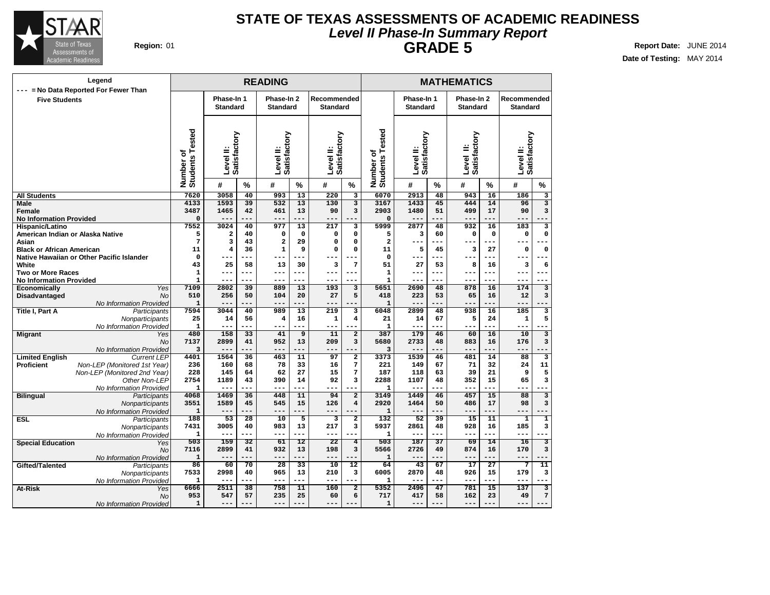

### **Level II Phase-In Summary Report STATE OF TEXAS ASSESSMENTS OF ACADEMIC READINESS GRADE 5 Region:** 01 **Report Date:** JUNE 2014

| Legend                                                                     |                              |                           |                        | <b>READING</b>          |                 |                       |                                            |                          |                           |           | <b>MATHEMATICS</b>        |             |                                |                         |
|----------------------------------------------------------------------------|------------------------------|---------------------------|------------------------|-------------------------|-----------------|-----------------------|--------------------------------------------|--------------------------|---------------------------|-----------|---------------------------|-------------|--------------------------------|-------------------------|
| --- = No Data Reported For Fewer Than                                      |                              | Phase-In 1                |                        | Phase-In 2              |                 | Recommended           |                                            |                          | Phase-In 1                |           | Phase-In 2                |             |                                |                         |
| <b>Five Students</b>                                                       |                              | <b>Standard</b>           |                        | <b>Standard</b>         |                 | <b>Standard</b>       |                                            |                          | <b>Standard</b>           |           | <b>Standard</b>           |             | Recommended<br><b>Standard</b> |                         |
|                                                                            |                              |                           |                        |                         |                 |                       |                                            |                          |                           |           |                           |             |                                |                         |
|                                                                            |                              |                           |                        |                         |                 |                       |                                            |                          |                           |           |                           |             |                                |                         |
|                                                                            |                              | Level II:<br>Satisfactory |                        | Satisfactory            |                 | Satisfactory          |                                            | ested                    | Level II:<br>Satisfactory |           | Level II:<br>Satisfactory |             | Level II:<br>Satisfactory      |                         |
|                                                                            |                              |                           |                        |                         |                 |                       |                                            | ۴                        |                           |           |                           |             |                                |                         |
|                                                                            |                              |                           |                        |                         |                 |                       |                                            |                          |                           |           |                           |             |                                |                         |
|                                                                            |                              |                           |                        | Level II:               |                 | Level II:             |                                            |                          |                           |           |                           |             |                                |                         |
|                                                                            | Number of<br>Students Tested | #                         | %                      | #                       | $\frac{0}{0}$   | #                     | $\%$                                       | Number of<br>Students To | #                         | %         | #                         | %           | #                              | $\frac{0}{0}$           |
| <b>All Students</b>                                                        | 7620                         | 3058                      | 40                     | 993                     | $\overline{13}$ | 220                   | $\overline{\mathbf{3}}$                    | 6070                     | 2913                      | 48        | 943                       | 16          | 186                            | 3                       |
| <b>Male</b>                                                                | 4133                         | 1593                      | 39                     | 532                     | 13              | 130                   | $\overline{\mathbf{3}}$                    | 3167                     | 1433                      | 45        | 444                       | 14          | 96                             | $\overline{\mathbf{3}}$ |
| Female<br><b>No Information Provided</b>                                   | 3487<br>0                    | 1465<br>$---$             | 42<br>---              | 461<br>$---$            | 13<br>---       | 90<br>$---$           | 3<br>--                                    | 2903<br>$\mathbf 0$      | 1480<br>$---$             | 51<br>--- | 499<br>$---$              | 17<br>---   | 90<br>$---$                    | 3                       |
| Hispanic/Latino                                                            | 7552                         | 3024                      | 40                     | 977                     | 13              | 217                   | 3                                          | 5999                     | 2877                      | 48        | 932                       | 16          | 183                            | 3                       |
| American Indian or Alaska Native                                           | 5                            | $\mathbf{2}$              | 40                     | 0                       | $\mathbf 0$     | 0                     | $\mathbf 0$                                | 5                        | 3                         | 60        | $\mathbf 0$               | $\mathbf 0$ | $\mathbf 0$                    | $\mathbf 0$             |
| Asian                                                                      | 7                            | 3                         | 43                     | $\overline{\mathbf{2}}$ | 29              | 0                     | $\Omega$                                   | $\overline{\mathbf{2}}$  | $---$                     | ---       | ---                       | ---         | ---                            |                         |
| <b>Black or African American</b>                                           | 11                           | 4                         | 36                     | $\mathbf 1$             | 9               | 0                     | $\mathbf 0$                                | 11                       | 5                         | 45        | 3                         | 27          | $\mathbf 0$                    | 0                       |
| Native Hawaiian or Other Pacific Islander                                  | 0                            |                           | ---<br>58              |                         |                 | --                    | $\overline{7}$                             | $\mathbf 0$              | ---                       | ---       |                           | ---         | ---                            | 6                       |
| White<br><b>Two or More Races</b>                                          | 43<br>1                      | 25<br>---                 | $---$                  | 13<br>$---$             | 30<br>---       | 3<br>---              | $---$                                      | 51<br>$\mathbf{1}$       | 27<br>---                 | 53<br>--- | 8<br>---                  | 16<br>---   | з<br>---                       | $--$                    |
| <b>No Information Provided</b>                                             | $\mathbf{1}$                 | --                        | ---                    |                         |                 | --                    |                                            | $\mathbf{1}$             | $- -$                     | ---       | $--$                      | ---         | --                             |                         |
| Yes<br><b>Economically</b>                                                 | 7109                         | 2802                      | 39                     | 889                     | 13              | 193                   | 3                                          | 5651                     | 2690                      | 48        | 878                       | 16          | 174                            | 3                       |
| <b>Disadvantaged</b><br><b>No</b>                                          | 510                          | 256                       | 50                     | 104                     | 20              | 27                    | 5                                          | 418                      | 223                       | 53        | 65                        | 16          | 12                             | 3                       |
| No Information Provided                                                    | $\mathbf{1}$                 | ---                       | ---                    | $---$                   | ---             | ---                   | --                                         | $\mathbf{1}$             | $---$                     | ---       | $---$                     | ---         | ---                            |                         |
| <b>Title I, Part A</b><br>Participants                                     | 7594                         | 3044                      | 40                     | 989                     | 13              | 219                   | $\overline{\mathbf{3}}$                    | 6048                     | 2899                      | 48        | 938                       | 16          | 185                            | 3                       |
| Nonparticipants<br>No Information Provided                                 | 25<br>$\mathbf{1}$           | 14<br>$---$               | 56<br>---              | 4<br>$---$              | 16<br>---       | $\mathbf{1}$<br>$---$ | $\overline{\mathbf{4}}$<br>$---$           | 21<br>$\mathbf{1}$       | 14<br>$---$               | 67<br>--- | 5<br>$---$                | 24<br>---   | $\mathbf 1$<br>---             | 5                       |
| <b>Migrant</b><br>Yes                                                      | 480                          | 158                       | 33                     | 41                      | $\overline{9}$  | 11                    | $\overline{2}$                             | 387                      | 179                       | 46        | 60                        | 16          | 10                             | $\overline{\mathbf{3}}$ |
| No                                                                         | 7137                         | 2899                      | 41                     | 952                     | 13              | 209                   | 3                                          | 5680                     | 2733                      | 48        | 883                       | 16          | 176                            | 3                       |
| No Information Provided                                                    | 3                            | $---$                     | ---                    | $---$                   | ---             | ---                   | $-$                                        | 3                        | $---$                     | ---       | $---$                     | .           | ---                            |                         |
| <b>Current LEP</b><br><b>Limited English</b>                               | 4401                         | 1564                      | 36                     | 463                     | $\overline{11}$ | 97                    | $\overline{2}$                             | 3373                     | 1539                      | 46        | 481                       | 14          | 88                             | $\overline{\mathbf{3}}$ |
| Proficient<br>Non-LEP (Monitored 1st Year)<br>Non-LEP (Monitored 2nd Year) | 236<br>228                   | 160<br>145                | 68<br>64               | 78<br>62                | 33<br>27        | 16<br>15              | 7<br>7                                     | 221<br>187               | 149<br>118                | 67<br>63  | 71<br>39                  | 32<br>21    | 24<br>9                        | 11<br>5                 |
| Other Non-LEP                                                              | 2754                         | 1189                      | 43                     | 390                     | 14              | 92                    | $\overline{\mathbf{3}}$                    | 2288                     | 1107                      | 48        | 352                       | 15          | 65                             | $\overline{\mathbf{3}}$ |
| No Information Provided                                                    | 1                            | $---$                     | ---                    | $---$                   | ---             | ---                   | $-$                                        | $\mathbf{1}$             | $---$                     | ---       | $---$                     | ---         | ---                            |                         |
| <b>Bilingual</b><br>Participants                                           | 4068                         | 1469                      | 36                     | 448                     | 11              | 94                    | $\overline{2}$                             | 3149                     | 1449                      | 46        | 457                       | 15          | 88                             | $\overline{\mathbf{3}}$ |
| Nonparticipants                                                            | 3551                         | 1589                      | 45                     | 545                     | 15              | 126                   | $\overline{4}$                             | 2920                     | 1464                      | 50        | 486                       | 17          | 98                             | 3                       |
| No Information Provided<br><b>ESL</b>                                      | $\mathbf{1}$<br>188          | $---$<br>53               | ---<br>$\overline{28}$ | $- - -$<br>10           | ---<br>5        | ---<br>3              | $-$<br>$\overline{2}$                      | $\mathbf{1}$<br>132      | $- -$<br>52               | ---<br>39 | $- - -$<br>15             | ---<br>11   | ---<br>$\overline{\mathbf{1}}$ | $\overline{\mathbf{1}}$ |
| Participants<br>Nonparticipants                                            | 7431                         | 3005                      | 40                     | 983                     | 13              | 217                   | $\overline{\mathbf{3}}$                    | 5937                     | 2861                      | 48        | 928                       | 16          | 185                            | 3                       |
| No Information Provided                                                    | 1                            | $---$                     | ---                    | $---$                   | ---             | ---                   | $-$                                        | $\mathbf{1}$             | $---$                     | ---       | $---$                     | ---         | ---                            |                         |
| <b>Special Education</b><br>Yes                                            | 503                          | 159                       | 32                     | 61                      | 12              | $\overline{22}$       | $\overline{4}$                             | 503                      | 187                       | 37        | 69                        | 14          | 16                             | 3                       |
| No                                                                         | 7116                         | 2899                      | 41                     | 932                     | 13              | 198                   | 3                                          | 5566                     | 2726                      | 49        | 874                       | 16          | 170                            | 3                       |
| No Information Provided                                                    | $\mathbf{1}$                 | $- -$                     |                        |                         |                 | ---                   |                                            | $\mathbf{1}$             | $---$                     |           | $---$                     | ---         | ---                            |                         |
| Gifted/Talented<br>Participants                                            | 86                           | 60                        | 70                     | 28<br>965               | 33              | 10                    | $\overline{12}$<br>$\overline{\mathbf{3}}$ | 64                       | 43                        | 67        | 17                        | 27<br>15    | 7                              | $\overline{11}$<br>3    |
| Nonparticipants<br>No Information Provided                                 | 7533<br>1                    | 2998<br>$- -$             | 40<br>---              | $---$                   | 13<br>---       | 210<br>---            | $---$                                      | 6005<br>$\mathbf{1}$     | 2870<br>$---$             | 48<br>--- | 926<br>$---$              | ---         | 179<br>---                     |                         |
| At-Risk<br>Yes                                                             | 6666                         | 2511                      | 38                     | 758                     | 11              | 160                   | $\overline{2}$                             | 5352                     | 2496                      | 47        | 781                       | 15          | 137                            | $\overline{\mathbf{3}}$ |
| No                                                                         | 953                          | 547                       | 57                     | 235                     | 25              | 60                    | 6                                          | 717                      | 417                       | 58        | 162                       | 23          | 49                             | 7                       |
| No Information Provided                                                    | 1                            | ---                       | ---                    | $-$                     |                 |                       |                                            | $\mathbf{1}$             | $---$                     |           | ---                       | ---         | --                             |                         |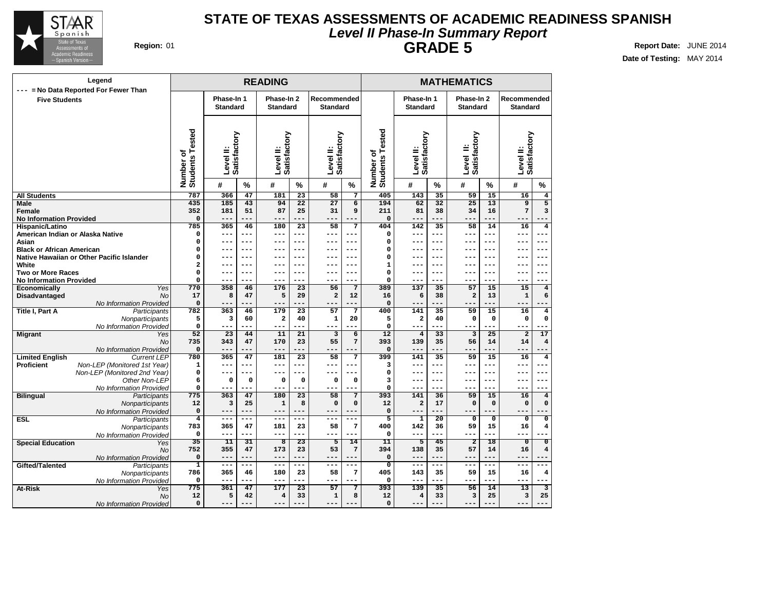

# **Level II Phase-In Summary Report STATE OF TEXAS ASSESSMENTS OF ACADEMIC READINESS SPANISH GRADE 5 Region:** 01 **Report Date:** JUNE 2014

| Legend                                                                      |                              |                               |             | <b>READING</b>                |                        |                                |                        |                                            |                               |                        | <b>MATHEMATICS</b>            |                |                                |                           |
|-----------------------------------------------------------------------------|------------------------------|-------------------------------|-------------|-------------------------------|------------------------|--------------------------------|------------------------|--------------------------------------------|-------------------------------|------------------------|-------------------------------|----------------|--------------------------------|---------------------------|
| = No Data Reported For Fewer Than<br>---<br><b>Five Students</b>            |                              | Phase-In 1<br><b>Standard</b> |             | Phase-In 2<br><b>Standard</b> |                        | Recommended<br><b>Standard</b> |                        |                                            | Phase-In 1<br><b>Standard</b> |                        | Phase-In 2<br><b>Standard</b> |                | Recommended<br><b>Standard</b> |                           |
|                                                                             | Number of<br>Students Tested | Satisfactory<br>Level II:     |             | Satisfactory<br>Level II:     |                        | Satisfactory<br>Level II:      |                        | ested<br>⊢<br>Number of<br><b>Students</b> | Satisfactory<br>Level II:     |                        | Satisfactory<br>≝<br>Level    |                | Level II:<br>Satisfactory      |                           |
|                                                                             |                              | #                             | $\%$        | #                             | $\%$                   | #                              | $\%$                   |                                            | #                             | $\%$                   | #                             | $\%$           | #                              | $\%$                      |
| <b>All Students</b>                                                         | 787                          | 366                           | 47          | 181                           | 23                     | 58                             | $\overline{7}$         | 405                                        | 143                           | 35                     | 59                            | 15             | 16                             | $\overline{\mathbf{4}}$   |
| Male                                                                        | 435                          | 185                           | 43          | 94                            | 22                     | 27                             | 6                      | 194                                        | 62                            | 32                     | 25                            | 13             | $\overline{9}$                 | $\overline{5}$            |
| <b>Female</b>                                                               | 352                          | 181                           | 51          | 87                            | 25                     | 31                             | 9                      | 211                                        | 81                            | 38                     | 34                            | 16             | 7                              | 3                         |
| <b>No Information Provided</b>                                              | 0                            | $---$                         | ---         | ---                           | ---                    | $- - -$                        | ---                    | $\Omega$                                   | $---$                         | ---                    | $---$                         | ---            | ---                            | ---                       |
| Hispanic/Latino                                                             | 785                          | 365<br>$---$                  | 46<br>---   | 180                           | $\overline{23}$<br>--- | 58                             | $\overline{7}$<br>---  | 404                                        | $\overline{142}$              | $\overline{35}$<br>--- | 58<br>$- -$                   | 14             | 16                             | $\overline{4}$<br>$---$   |
| American Indian or Alaska Native<br>Asian                                   | 0<br>0                       | ---                           | ---         | ---<br>---                    | $- - -$                | ---<br>---                     | $---$                  | $\mathbf 0$<br>$\Omega$                    | $---$                         | ---                    | $--$                          | ---            | ---<br>---                     | ---                       |
| <b>Black or African American</b>                                            | 0                            | $- -$                         | ---         | ---                           | ---                    |                                | ---                    | $\mathbf 0$                                | ---<br>--                     | ---                    | --                            | ---<br>---     | ---                            | $---$                     |
| Native Hawaiian or Other Pacific Islander                                   | 0                            | $- -$                         | ---         | $- - -$                       | $- - -$                | ---                            | ---                    | $\mathbf 0$                                | ---                           | ---                    | $ -$                          | ---            | --                             | $- - -$                   |
| White                                                                       | 2                            |                               | $---$       |                               | $- - -$                |                                | ---                    | $\mathbf{1}$                               | ---                           | ---                    |                               | ---            |                                | $---$                     |
| <b>Two or More Races</b>                                                    | $\mathsf{o}\,$               | $- -$                         | ---         | ---                           | $- - -$                | ---                            | ---                    | $\mathbf 0$                                | ---                           | ---                    | ---                           | ---            | --                             | $--$                      |
| <b>No Information Provided</b>                                              | 0                            | $- - -$                       | ---         | $- - -$                       | $- - -$                | ---                            | ---                    | $\Omega$                                   | ---                           | ---                    | $- - -$                       | ---            | ---                            | ---                       |
| Yes<br>Economically                                                         | 770                          | 358                           | 46          | 176                           | 23                     | 56                             | $\overline{7}$         | 389                                        | 137                           | 35                     | 57                            | 15             | 15                             | $\bf{4}$                  |
| No<br>Disadvantaged                                                         | 17                           | 8                             | 47          | 5                             | 29                     | 2                              | 12                     | 16                                         | 6                             | 38                     | $\overline{a}$                | 13             | $\mathbf{1}$                   | 6                         |
| No Information Provided                                                     | 0                            | $---$                         |             | $---$                         |                        | ---                            | ---                    | $\Omega$                                   | ---                           | ---                    | $---$                         | ---            | ---                            |                           |
| Title I, Part A<br>Participants                                             | 782                          | 363                           | 46          | 179                           | 23                     | 57                             | $\overline{7}$         | 400                                        | 141                           | 35                     | 59                            | 15             | 16                             | 4                         |
| Nonparticipants                                                             | 5                            | 3                             | 60          | $\mathbf 2$                   | 40                     | 1                              | 20                     | 5                                          | $\overline{\mathbf{2}}$       | 40                     | 0                             | $\mathbf 0$    | $\mathbf 0$                    | $\mathbf 0$               |
| No Information Provided                                                     | 0                            | $---$                         | ---         | $---$                         | ---                    | ---                            | ---                    | $\mathbf 0$                                | ---                           | ---                    | ---                           | ---            | ---                            | ---                       |
| <b>Migrant</b><br>Yes                                                       | 52                           | 23                            | 44          | 11                            | 21                     | 3                              | $6\overline{}$         | 12                                         | $\overline{4}$                | 33                     | 3                             | 25             | $\overline{a}$                 | 17                        |
| No                                                                          | 735                          | 343                           | 47          | 170<br>---                    | 23                     | 55                             | $7\phantom{.0}$        | 393                                        | 139                           | 35                     | 56                            | 14             | 14                             | $\overline{\mathbf{4}}$   |
| No Information Provided<br><b>Current LEP</b>                               | 0<br>780                     | $---$<br>365                  | 47          | 181                           | ---<br>23              | ---<br>58                      | --<br>$\overline{7}$   | $\Omega$<br>399                            | ---                           | ---                    | ---                           | ---            | ---                            | $\bf{4}$                  |
| <b>Limited English</b><br><b>Proficient</b><br>Non-LEP (Monitored 1st Year) | 1                            | ---                           | ---         | ---                           |                        |                                | --                     | 3                                          | 141<br>---                    | 35<br>---              | 59<br>--                      | 15<br>---      | 16<br>---                      | --                        |
| Non-LEP (Monitored 2nd Year)                                                | $\mathbf 0$                  | $---$                         | ---         | $---$                         | $---$                  | ---                            | ---                    | $\mathbf 0$                                | $---$                         | $---$                  | $- - -$                       | $---$          | ---                            | $---$                     |
| Other Non-LEP                                                               | 6                            | $\mathbf 0$                   | $\mathbf 0$ | $\mathsf{o}\,$                | 0                      | 0                              | $\Omega$               | 3                                          | ---                           | ---                    | $- - -$                       | ---            | ---                            | $- -$                     |
| No Information Provided                                                     | 0                            | $---$                         | ---         | $---$                         | $- - -$                | ---                            | $ -$                   | 0                                          | ---                           | ---                    | $- -$                         | ---            | ---                            | ---                       |
| <b>Bilingual</b><br>Participants                                            | 775                          | 363                           | 47          | 180                           | $\overline{23}$        | 58                             | $\overline{7}$         | 393                                        | 141                           | 36                     | 59                            | 15             | 16                             | $\overline{4}$            |
| Nonparticipants                                                             | 12                           | 3                             | 25          | $\mathbf 1$                   | 8                      | $\mathbf 0$                    | $\mathbf 0$            | 12                                         | $\mathbf 2$                   | 17                     | $\mathbf 0$                   | $\mathbf 0$    | $\mathbf 0$                    | 0                         |
| No Information Provided                                                     | 0                            | $---$                         | ---         | $---$                         | $- - -$                | ---                            | $---$                  | $\mathbf 0$                                | $---$                         | ---                    | $---$                         | ---            | $---$                          |                           |
| <b>ESL</b><br>Participants                                                  | $\overline{4}$               | $\frac{1}{2}$                 | ---         | $---$                         | $- - -$                | ---                            | $--$                   | 5                                          | $\overline{\mathbf{1}}$       | $\overline{20}$        | $\overline{\mathbf{0}}$       | $\overline{0}$ | $\overline{\mathbf{0}}$        | $\overline{\mathfrak{o}}$ |
| Nonparticipants                                                             | 783                          | 365                           | 47          | 181                           | 23                     | 58                             | 7                      | 400                                        | 142                           | 36                     | 59                            | 15             | 16                             | 4                         |
| No Information Provided                                                     | $\mathbf 0$                  | $---$                         | ---         | $---$                         | ---                    | ---                            | ---                    | $\mathbf 0$                                | $---$                         | ---                    | $- - -$                       | ---            | ---                            |                           |
| <b>Special Education</b><br>Yes                                             | 35                           | 11                            | 31          | $\overline{\mathbf{8}}$       | $\overline{23}$        | 5                              | 14                     | 11                                         | $\overline{5}$                | 45                     | $\overline{2}$                | 18             | $\overline{\mathbf{0}}$        | $\overline{\mathfrak{o}}$ |
| No                                                                          | 752<br>0                     | 355<br>$---$                  | 47<br>---   | 173<br>$---$                  | 23<br>---              | 53<br>---                      | $7\overline{ }$<br>--- | 394<br>$\Omega$                            | 138<br>$---$                  | 35<br>---              | 57<br>$---$                   | 14<br>---      | 16<br>---                      | 4                         |
| No Information Provided<br>Gifted/Talented<br>Participants                  | $\mathbf{1}$                 | $---$                         | ---         | $---$                         | $---$                  | ---                            | $---$                  | $\overline{0}$                             | $---$                         | ---                    | $---$                         | ---            | ---                            | ---                       |
| Nonparticipants                                                             | 786                          | 365                           | 46          | 180                           | 23                     | 58                             | $\overline{7}$         | 405                                        | 143                           | 35                     | 59                            | 15             | 16                             | $\overline{\bf 4}$        |
| No Information Provided                                                     | 0                            | $---$                         | ---         | $---$                         | ---                    | ---                            | ---                    | 0                                          | ---                           | ---                    | $---$                         | ---            | $---$                          | ---                       |
| At-Risk<br>Yes                                                              | 775                          | 361                           | 47          | 177                           | 23                     | 57                             | $\overline{7}$         | 393                                        | 139                           | 35                     | 56                            | 14             | 13                             | $\overline{3}$            |
| No                                                                          | 12                           | 5                             | 42          | 4                             | 33                     | $\mathbf 1$                    | 8                      | 12                                         | $\overline{4}$                | 33                     | 3                             | 25             | 3                              | 25                        |
| No Information Provided                                                     | 0                            | ---                           | ---         | $---$                         | ---                    | ---                            | ---                    | $\mathbf 0$                                | ---                           | ---                    | ---                           | ---            | ---                            | ---                       |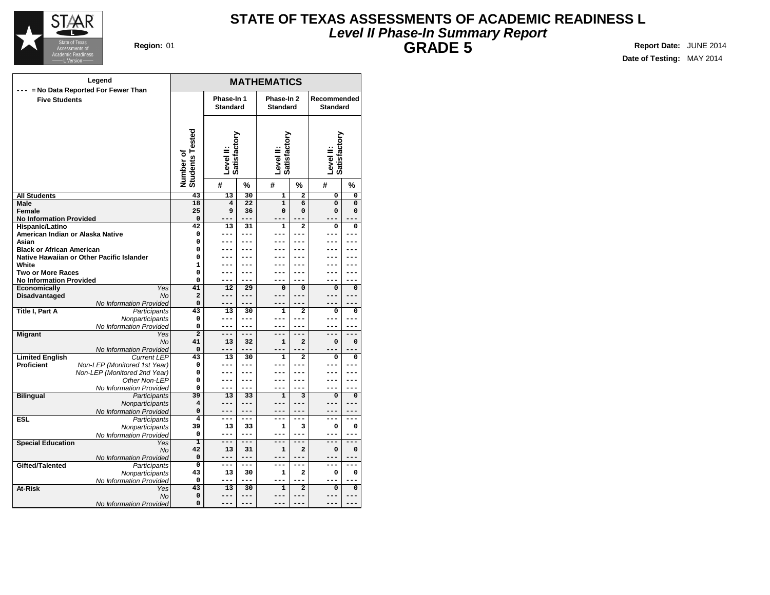

### **Level II Phase-In Summary Report STATE OF TEXAS ASSESSMENTS OF ACADEMIC READINESS L GRADE 5 Region:** 01 **Report Date:** JUNE 2014

| Legend                                              | <b>MATHEMATICS</b>            |                               |                 |                               |                                   |                                |                         |  |  |  |
|-----------------------------------------------------|-------------------------------|-------------------------------|-----------------|-------------------------------|-----------------------------------|--------------------------------|-------------------------|--|--|--|
| --- = No Data Reported For Fewer Than               |                               |                               |                 |                               |                                   |                                |                         |  |  |  |
| <b>Five Students</b>                                |                               | Phase-In 1<br><b>Standard</b> |                 | Phase-In 2<br><b>Standard</b> |                                   | Recommended<br><b>Standard</b> |                         |  |  |  |
|                                                     |                               |                               |                 |                               |                                   |                                |                         |  |  |  |
|                                                     |                               |                               |                 |                               |                                   |                                |                         |  |  |  |
|                                                     |                               |                               |                 |                               |                                   |                                |                         |  |  |  |
|                                                     |                               | Satisfactory                  |                 |                               |                                   |                                |                         |  |  |  |
|                                                     |                               |                               |                 |                               |                                   |                                |                         |  |  |  |
|                                                     |                               |                               |                 |                               |                                   |                                |                         |  |  |  |
|                                                     |                               | Level II:                     |                 | Level II:<br>Satisfactory     |                                   | Level II:<br>Satisfactory      |                         |  |  |  |
|                                                     | Number of<br>Students Tested  | #                             | %               | #                             | %                                 | #                              | %                       |  |  |  |
| <b>All Students</b>                                 | 43                            | 13                            | 30              | $\overline{1}$                | $\overline{2}$                    | $\overline{0}$                 | $\overline{\mathbf{0}}$ |  |  |  |
| Male                                                | 18                            | $\overline{4}$                | $\overline{22}$ | $\overline{1}$                | 6                                 | $\overline{0}$                 | 0                       |  |  |  |
| Female                                              | 25                            | 9                             | 36              | 0                             | $\Omega$                          | 0                              | 0                       |  |  |  |
| <b>No Information Provided</b>                      | $\Omega$                      |                               | ---             |                               |                                   |                                |                         |  |  |  |
| Hispanic/Latino<br>American Indian or Alaska Native | 42<br>0                       | 13<br>---                     | 31<br>$---$     | $\mathbf{1}$<br>---           | $\overline{a}$<br>---             | $\Omega$<br>---                | 0<br>---                |  |  |  |
| Asian                                               | 0                             |                               |                 |                               | ---                               |                                | ---                     |  |  |  |
| <b>Black or African American</b>                    | 0                             | ---                           |                 |                               | ---                               |                                |                         |  |  |  |
| Native Hawaiian or Other Pacific Islander           | 0                             | ---                           | ---             |                               | ---                               | ---                            | ---                     |  |  |  |
| White                                               | $\mathbf{1}$                  |                               |                 |                               |                                   |                                |                         |  |  |  |
| <b>Two or More Races</b>                            | 0                             | ---                           | ---             | ---                           | ---                               | ---                            | ---                     |  |  |  |
| <b>No Information Provided</b>                      | 0                             | ---                           | $---$           |                               |                                   |                                |                         |  |  |  |
| <b>Economically</b><br>Yes                          | 41                            | 12                            | 29              | $\mathbf 0$                   | 0                                 | 0                              | 0                       |  |  |  |
| Disadvantaged<br><b>No</b>                          | $\overline{a}$                | ---                           | ---             | ---                           | ---                               | ---                            | ---                     |  |  |  |
| No Information Provided                             | 0                             |                               | $---$           |                               |                                   |                                |                         |  |  |  |
| Title I, Part A<br>Participants                     | 43<br>0                       | 13<br>---                     | 30<br>---       | $\mathbf{1}$<br>---           | $\mathbf{2}$<br>---               | 0<br>---                       | 0                       |  |  |  |
| Nonparticipants<br>No Information Provided          | 0                             | ---                           | $---$           |                               | $---$                             | ---                            |                         |  |  |  |
| <b>Migrant</b><br>Yes                               | $\overline{2}$                | ---                           | $---$           | ---                           | ---                               | ---                            | $---$                   |  |  |  |
| No                                                  | 41                            | 13                            | 32              | 1                             | $\overline{a}$                    | 0                              | 0                       |  |  |  |
| No Information Provided                             | $\Omega$                      | ---                           | $---$           | ---                           | ---                               | $---$                          |                         |  |  |  |
| <b>Limited English</b><br><b>Current LEP</b>        | 43                            | 13                            | 30              | $\mathbf{1}$                  | $\overline{a}$                    | 0                              | 0                       |  |  |  |
| <b>Proficient</b><br>Non-LEP (Monitored 1st Year)   | $\mathbf 0$                   | ---                           | $---$           | ---                           | ---                               | ---                            | ---                     |  |  |  |
| Non-LEP (Monitored 2nd Year)                        | 0                             | ---                           | $---$           |                               | ---                               | ---                            | ---                     |  |  |  |
| Other Non-LEP                                       | 0                             | ---                           | ---             |                               | ---                               | ---                            | ---                     |  |  |  |
| No Information Provided                             | 0                             | ---                           | ---             | ---                           | ---                               | ---                            | ---                     |  |  |  |
| <b>Bilingual</b><br>Participants                    | 39<br>$\overline{\mathbf{4}}$ | 13                            | 33<br>$---$     | $\mathbf{1}$<br>---           | $\overline{\mathbf{3}}$<br>$-- -$ | $\overline{0}$<br>---          | 0<br>---                |  |  |  |
| Nonparticipants<br>No Information Provided          | $\mathbf 0$                   | ---<br>---                    | ---             |                               | ---                               |                                |                         |  |  |  |
| <b>ESL</b><br>Participants                          | 4                             | ---                           | $---$           | ---                           | ---                               | ---                            | ---                     |  |  |  |
| Nonparticipants                                     | 39                            | 13                            | 33              | 1                             | 3                                 | 0                              | 0                       |  |  |  |
| No Information Provided                             | $\mathbf 0$                   | ---                           | $---$           |                               | ---                               | ---                            | ---                     |  |  |  |
| <b>Special Education</b><br>Yes                     | ī                             | ===                           | $=$             | ---                           | ---                               | ---                            | ---                     |  |  |  |
| No                                                  | 42                            | 13                            | 31              | $\mathbf 1$                   | 2                                 | 0                              | 0                       |  |  |  |
| No Information Provided                             | $\Omega$                      | ---                           | $---$           | ---                           | ---                               | ---                            | ---                     |  |  |  |
| Gifted/Talented<br>Participants                     | $\overline{0}$                | ---                           | $---$           | ---                           | ---                               | ---                            | $---$                   |  |  |  |
| Nonparticipants                                     | 43                            | 13                            | 30              | 1                             | $\mathbf{2}$                      | 0                              | 0                       |  |  |  |
| No Information Provided                             | 0                             | ---                           | ---<br>30       |                               |                                   |                                |                         |  |  |  |
| At-Risk<br><b>Yes</b><br><b>No</b>                  | $\overline{43}$<br>0          | $\overline{13}$<br>---        | ---             | $\overline{1}$<br>---         | $\overline{2}$<br>---             | $\overline{0}$<br>---          | 0<br>---                |  |  |  |
| No Information Provided                             | 0                             |                               |                 |                               |                                   |                                |                         |  |  |  |
|                                                     |                               |                               |                 |                               |                                   |                                |                         |  |  |  |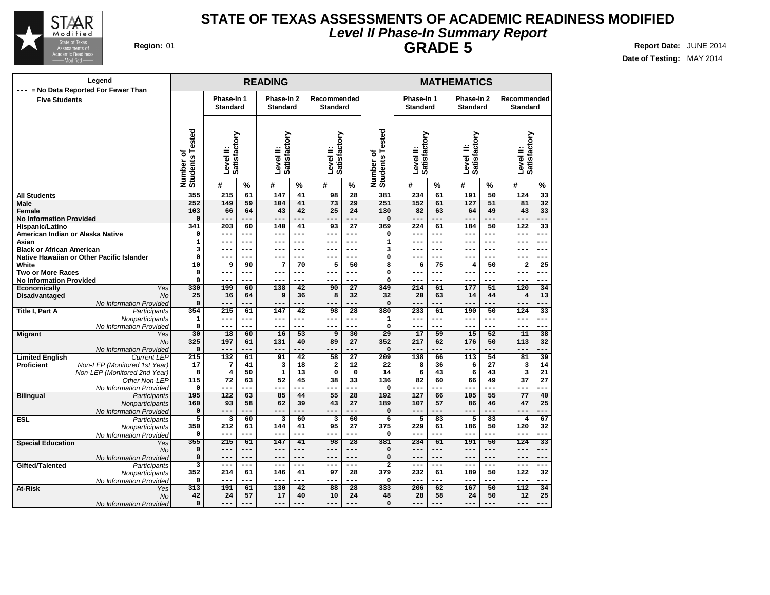

# **Level II Phase-In Summary Report STATE OF TEXAS ASSESSMENTS OF ACADEMIC READINESS MODIFIED GRADE 5 Region:** 01 **Report Date:** JUNE 2014

| Legend                                                        |                              |                               |                 | <b>READING</b>                |               |                                  |                 |                                             | <b>MATHEMATICS</b>            |           |                               |                 |                                |                 |
|---------------------------------------------------------------|------------------------------|-------------------------------|-----------------|-------------------------------|---------------|----------------------------------|-----------------|---------------------------------------------|-------------------------------|-----------|-------------------------------|-----------------|--------------------------------|-----------------|
| --- = No Data Reported For Fewer Than<br><b>Five Students</b> |                              | Phase-In 1<br><b>Standard</b> |                 | Phase-In 2<br><b>Standard</b> |               | Recommended<br><b>Standard</b>   |                 |                                             | Phase-In 1<br><b>Standard</b> |           | Phase-In 2<br><b>Standard</b> |                 | Recommended<br><b>Standard</b> |                 |
|                                                               |                              |                               |                 |                               |               |                                  |                 |                                             |                               |           |                               |                 |                                |                 |
|                                                               | Number of<br>Students Tested | Satisfactory<br>Level II:     |                 | Satisfactory<br>Level II:     |               | <b>Satisfactory</b><br>Level II: |                 | sted<br>قة<br>۳<br>Number of<br>Students To | Level II:<br>Satisfactory     |           | Level II:<br>Satisfactory     |                 | Level II:<br>Satisfactory      |                 |
|                                                               |                              | #                             | $\frac{9}{6}$   | #                             | %             | #                                | %               |                                             | #                             | $\%$      | #                             | %               | #                              | $\frac{0}{0}$   |
| <b>All Students</b>                                           | 355                          | 215                           | $\overline{61}$ | $\overline{147}$              | 41            | 98                               | $\overline{28}$ | 381                                         | 234                           | 61        | 191                           | $\overline{50}$ | 124                            | $\overline{33}$ |
| <b>Male</b>                                                   | 252                          | 149                           | 59              | 104                           | 41            | 73                               | $\overline{29}$ | 251                                         | 152                           | 61        | 127                           | 51              | 81                             | $\overline{32}$ |
| Female                                                        | 103                          | 66                            | 64              | 43                            | 42            | 25                               | 24              | 130                                         | 82                            | 63        | 64                            | 49              | 43                             | 33              |
| <b>No Information Provided</b>                                | $\mathbf 0$                  | $---$                         | ---             | ---                           | ---           | ---                              | ---             | $\Omega$                                    | $---$                         | ---       | $---$                         | ---             | ---                            | ---             |
| Hispanic/Latino<br>American Indian or Alaska Native           | 341<br>$\mathbf 0$           | 203<br>$---$                  | 60<br>$- - -$   | 140<br>$---$                  | 41<br>$- - -$ | 93<br>$---$                      | 27<br>---       | 369<br>0                                    | 224<br>$---$                  | 61<br>--- | 184<br>$- - -$                | 50<br>---       | 122<br>$---$                   | 33<br>$- - -$   |
| Asian                                                         | $\mathbf 1$                  |                               | ---             |                               | ---           | ---                              | ---             | $\mathbf{1}$                                | ---                           |           | ---                           | ---             | ---                            | $---$           |
| <b>Black or African American</b>                              | 3                            | $- -$                         | ---             | ---                           | ---           | ---                              | ---             | 3                                           | ---                           | ---       | ---                           | ---             | --                             | ---             |
| Native Hawaiian or Other Pacific Islander                     | $\mathbf 0$                  | $- -$                         | ---             |                               | ---           | $--$                             | $--$            | 0                                           | ---                           | ---       | $- - -$                       | $---$           | ---                            | ---             |
| White                                                         | 10                           | 9                             | 90              | 7                             | 70            | 5                                | 50              | 8                                           | 6                             | 75        | 4                             | 50              | $\overline{a}$                 | 25              |
| <b>Two or More Races</b>                                      | 0                            | ---                           | ---             | ---                           | ---           | ---                              | ---             | 0                                           | ---                           | ---       | ---                           | ---             | ---                            | $--$            |
| <b>No Information Provided</b>                                | $\Omega$                     | $---$                         | ---             | $--$                          | ---           | $---$                            | ---             | $\mathbf 0$                                 | ---                           | ---       | $- - -$                       | ---             | ---                            | ---             |
| Yes<br>Economically                                           | 330                          | 199                           | 60              | 138                           | 42            | 90                               | 27              | 349                                         | 214                           | 61        | 177                           | 51              | 120                            | 34              |
| <b>No</b><br>Disadvantaged                                    | 25                           | 16                            | 64              | 9                             | 36            | 8                                | 32              | 32                                          | 20                            | 63        | 14                            | 44              | $\overline{4}$                 | 13              |
| No Information Provided                                       | $\Omega$                     | $---$                         | ---             | $---$                         |               | ---                              | ---             | $\Omega$                                    | $---$                         | ---       | $---$                         | ---             | $---$                          | ---             |
| <b>Title I, Part A</b><br>Participants                        | 354                          | 215                           | 61              | 147                           | 42            | 98                               | $\overline{28}$ | 380                                         | 233                           | 61        | 190                           | 50              | 124                            | $\overline{33}$ |
| Nonparticipants                                               | 1                            | $- -$                         | $---$<br>---    | ---<br>$---$                  |               | ---                              | ---             | $\mathbf{1}$                                | ---                           | ---       | $--$                          | ---             | ---                            | ---<br>$---$    |
| No Information Provideo                                       | $\mathbf 0$<br>30            | $---$<br>18                   | 60              | 16                            | ---<br>53     | $---$<br>9                       | 30              | $\Omega$<br>29                              | $---$<br>17                   | ---<br>59 | $---$<br>15                   | ---<br>52       | $---$<br>11                    | 38              |
| <b>Migrant</b><br>Yes<br><b>No</b>                            | 325                          | 197                           | 61              | 131                           | 40            | 89                               | 27              | 352                                         | 217                           | 62        | 176                           | 50              | 113                            | 32              |
| No Information Provideo                                       | $\Omega$                     | $---$                         | ---             | ---                           | ---           | ---                              | --              | $\mathbf 0$                                 | $---$                         | ---       | $---$                         | ---             | ---                            | ---             |
| <b>Limited English</b><br><b>Current LEP</b>                  | 215                          | 132                           | 61              | 91                            | 42            | 58                               | $\overline{27}$ | 209                                         | 138                           | 66        | 113                           | 54              | 81                             | 39              |
| <b>Proficient</b><br>Non-LEP (Monitored 1st Year)             | 17                           | 7                             | 41              | 3                             | 18            | $\overline{\mathbf{2}}$          | 12              | 22                                          | 8                             | 36        | 6                             | 27              | 3                              | 14              |
| Non-LEP (Monitored 2nd Year)                                  | 8                            | $\overline{\mathbf{4}}$       | 50              | ${\bf 1}$                     | 13            | $\mathbf 0$                      | $\mathbf 0$     | 14                                          | 6                             | 43        | 6                             | 43              | 3                              | 21              |
| Other Non-LEP                                                 | 115                          | 72                            | 63              | 52                            | 45            | 38                               | 33              | 136                                         | 82                            | 60        | 66                            | 49              | 37                             | 27              |
| No Information Provided                                       | $\mathbf 0$                  | $---$                         | ---             | ---                           | ---           | ---                              | ---             | $\mathbf 0$                                 | ---                           | ---       | $- - -$                       | ---             | ---                            | ---             |
| <b>Bilingual</b><br>Participants                              | 195                          | 122                           | 63              | 85                            | 44            | 55                               | 28              | 192                                         | 127                           | 66        | 105                           | 55              | 77                             | 40              |
| Nonparticipants                                               | 160                          | 93                            | 58              | 62                            | 39            | 43                               | 27              | 189                                         | 107                           | 57        | 86                            | 46              | 47                             | 25              |
| No Information Provided                                       | $\mathbf 0$                  | $---$                         | ---             | $---$                         | $- - -$       | ---                              | ---             | $\mathbf 0$                                 | $---$                         | ---       | $- - -$                       | ---             | $---$                          | ---             |
| <b>ESL</b><br>Participants                                    | $\overline{5}$<br>350        | 3<br>212                      | 60<br>61        | 3<br>144                      | 60<br>41      | 3<br>95                          | 60<br>27        | $\overline{6}$<br>375                       | 5<br>229                      | 83<br>61  | 5<br>186                      | 83<br>50        | $\overline{4}$<br>120          | 67<br>32        |
| Nonparticipants<br>No Information Provided                    | $\mathbf 0$                  | $---$                         | ---             | $---$                         | $- - -$       | ---                              | ---             | $\Omega$                                    | $---$                         | ---       | $- - -$                       | ---             | ---                            |                 |
| <b>Special Education</b><br>Yes                               | 355                          | 215                           | 61              | 147                           | 41            | 98                               | 28              | 381                                         | 234                           | 61        | 191                           | 50              | 124                            | 33              |
| <b>No</b>                                                     | 0                            | $\qquad \qquad -$             | ---             | ---                           | ---           | ---                              |                 | $\mathbf 0$                                 | ---                           | ---       | $--$                          | ---             | ---                            | --              |
| No Information Provided                                       | $\mathbf 0$                  | $---$                         | ---             | $---$                         | $---$         | ---                              | ---             | $\mathbf 0$                                 | $---$                         | ---       | $---$                         | ---             | $---$                          | $---$           |
| Gifted/Talented<br>Participants                               | 3                            | $---$                         | ---             | $---$                         | $---$         | ---                              | ---             | $\overline{a}$                              | ---                           | ---       | $--$                          | ---             | $---$                          | $---$           |
| Nonparticipants                                               | 352                          | 214                           | 61              | 146                           | 41            | 97                               | 28              | 379                                         | 232                           | 61        | 189                           | 50              | 122                            | 32              |
| No Information Provideo                                       | $\mathbf 0$                  | $---$                         | ---             | $---$                         | ---           | ---                              | ---             | $\Omega$                                    | ---                           | ---       | $--$                          | ---             | ---                            | ---             |
| At-Risk<br>Yes                                                | 313                          | 191                           | 61              | 130                           | 42            | 88                               | $\overline{28}$ | 333                                         | 206                           | 62        | 167                           | 50              | 112                            | 34              |
| No                                                            | 42                           | 24                            | 57              | 17                            | 40            | 10                               | 24              | 48                                          | 28                            | 58        | 24                            | 50              | 12                             | 25              |
| No Information Provided                                       | $\mathbf 0$                  | ---                           | ---             | ---                           | ---           |                                  | ---             | $\mathbf 0$                                 | ---                           | ---       | ---                           | ---             | ---                            | ---             |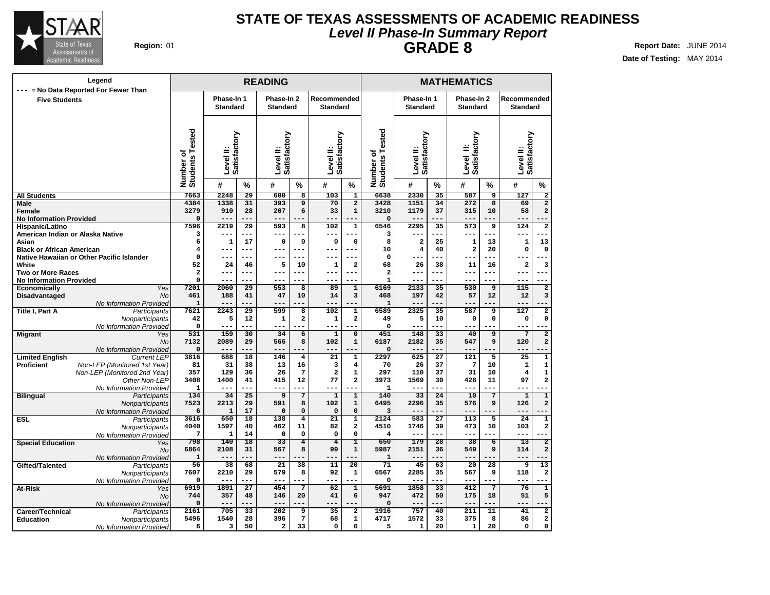

### **Level II Phase-In Summary Report STATE OF TEXAS ASSESSMENTS OF ACADEMIC READINESS GRADE 8 Region:** 01 **Report Date:** JUNE 2014

|                                                     | Legend                                        | <b>READING</b>               |                           |                 |                           |                           |                           |                                     |                                    | <b>MATHEMATICS</b>        |                 |                            |                         |                           |                            |
|-----------------------------------------------------|-----------------------------------------------|------------------------------|---------------------------|-----------------|---------------------------|---------------------------|---------------------------|-------------------------------------|------------------------------------|---------------------------|-----------------|----------------------------|-------------------------|---------------------------|----------------------------|
| <b>Five Students</b>                                | --- = No Data Reported For Fewer Than         |                              | Phase-In 1                |                 | Phase-In 2                |                           | Recommended               |                                     |                                    | Phase-In 1                |                 | Phase-In 2                 |                         | Recommended               |                            |
|                                                     |                                               |                              | <b>Standard</b>           |                 | <b>Standard</b>           |                           | <b>Standard</b>           |                                     |                                    | <b>Standard</b>           |                 | <b>Standard</b>            |                         | <b>Standard</b>           |                            |
|                                                     |                                               | Number of<br>Students Tested | Level II:<br>Satisfactory |                 | Satisfactory<br>Level II: |                           | Satisfactory<br>Level II: |                                     | Tested<br>Number of<br>Students To | Level II:<br>Satisfactory |                 | Satisfactory<br>≐<br>Level |                         | Level II:<br>Satisfactory |                            |
|                                                     |                                               |                              | #                         | $\%$            | #                         | $\%$                      | #                         | $\%$                                |                                    | #                         | $\%$            | #                          | $\%$                    | #                         | $\%$                       |
| <b>All Students</b>                                 |                                               | 7663                         | 2248                      | 29              | 600                       | $\overline{\mathbf{8}}$   | 103                       | $\overline{\mathbf{1}}$             | 6638                               | 2330                      | 35              | 587                        | $\overline{9}$          | 127                       | $\overline{2}$             |
| <b>Male</b>                                         |                                               | 4384                         | 1338                      | 31              | 393                       | $\overline{9}$            | 70                        | $\overline{2}$                      | 3428                               | 1151                      | 34              | 272                        | $\overline{\mathbf{8}}$ | 69                        | $\overline{2}$             |
| Female                                              |                                               | 3279                         | 910                       | 28              | 207                       | 6                         | 33                        | $\mathbf 1$                         | 3210                               | 1179                      | 37              | 315                        | 10                      | 58                        | $\overline{\mathbf{c}}$    |
| <b>No Information Provided</b>                      |                                               | $\Omega$<br>7596             | $- -$<br>2219             | $\overline{29}$ | 593                       | 8                         | 102                       | $\overline{1}$                      | $\mathbf 0$<br>6546                | $---$<br>2295             | ---<br>35       | $- -$<br>573               | 9                       | $\overline{124}$          | $\overline{2}$             |
| Hispanic/Latino<br>American Indian or Alaska Native |                                               | 3                            | ---                       | ---             | ---                       | ---                       | ---                       | ---                                 | 3                                  | ---                       | ---             | $- - -$                    | ---                     | --                        |                            |
| Asian                                               |                                               | 6                            | 1                         | 17              | $\mathbf 0$               | $\mathbf 0$               | 0                         | $\mathbf 0$                         | 8                                  | $\overline{\mathbf{2}}$   | 25              | $\mathbf{1}$               | 13                      | 1                         | 13                         |
| <b>Black or African American</b>                    |                                               | $\overline{\bf 4}$           | ---                       | ---             | $---$                     | ---                       | $---$                     | $- - -$                             | 10                                 | $\overline{4}$            | 40              | $\overline{\mathbf{2}}$    | 20                      | 0                         | $\mathbf 0$                |
|                                                     | Native Hawaiian or Other Pacific Islander     | $\Omega$                     | ---                       | ---             | ---                       | $---$                     | ---                       | $---$                               | $\Omega$                           | ---                       | ---             | $--$                       | ---                     | ---                       |                            |
| White                                               |                                               | 52                           | 24                        | 46              | 5                         | 10                        | 1                         | $\overline{\mathbf{2}}$             | 68                                 | 26                        | 38              | 11                         | 16                      | $\overline{\mathbf{2}}$   | $\overline{\mathbf{3}}$    |
| <b>Two or More Races</b>                            |                                               | $\mathbf{2}$                 | ---                       | ---             | $---$                     | ---                       | $---$                     | $---$                               | $\overline{\mathbf{2}}$            | ---                       | ---             | $- -$                      | $---$                   | $---$                     | $ -$                       |
| <b>No Information Provided</b>                      |                                               | $\mathbf 0$                  | ---                       | ---             | $---$                     | ---                       | ---                       | ---                                 | $\mathbf{1}$                       | $---$                     | ---             | $- - -$                    | ---                     | ---                       |                            |
| Economically                                        | Yes                                           | 7201                         | 2060                      | 29              | 553                       | 8                         | 89                        | $\mathbf 1$                         | 6169                               | 2133                      | 35              | 530                        | 9                       | 115                       | $\mathbf{2}$               |
| Disadvantaged                                       | No                                            | 461                          | 188<br>---                | 41<br>---       | 47<br>$---$               | 10<br>---                 | 14<br>---                 | 3<br>--                             | 468                                | 197                       | 42<br>---       | 57<br>$---$                | 12<br>---               | 12<br>---                 | 3                          |
| Title I, Part A                                     | No Information Provided<br>Participants       | $\mathbf{1}$<br>7621         | 2243                      | 29              | 599                       | 8                         | 102                       | $\mathbf{1}$                        | $\mathbf{1}$<br>6589               | $---$<br>2325             | 35              | 587                        | 9                       | 127                       | $\overline{2}$             |
|                                                     | Nonparticipants                               | 42                           | 5                         | 12              | 1                         | $\overline{\mathbf{2}}$   | 1                         | $\mathbf{2}$                        | 49                                 | 5                         | 10              | $\mathbf 0$                | $\mathbf 0$             | $\mathbf 0$               | 0                          |
|                                                     | No Information Provided                       | $\mathbf 0$                  | ---                       | ---             | $---$                     | --                        | ---                       | --                                  | $\mathbf 0$                        | ---                       | ---             | $---$                      |                         | ---                       |                            |
| <b>Migrant</b>                                      | Yes                                           | 531                          | 159                       | 30              | 34                        | $\overline{6}$            | $\mathbf{1}$              | $\overline{\mathfrak{o}}$           | 451                                | 148                       | 33              | 40                         | $\overline{9}$          | 7                         | $\overline{2}$             |
|                                                     | No                                            | 7132                         | 2089                      | 29              | 566                       | 8                         | 102                       | $\mathbf{1}$                        | 6187                               | 2182                      | 35              | 547                        | 9                       | 120                       | $\overline{\mathbf{2}}$    |
|                                                     | No Information Provided                       | $\mathbf 0$                  | ---                       | ---             |                           |                           |                           |                                     | $\mathbf 0$                        | $---$                     | $ -$            | $--$                       |                         | ---                       |                            |
| <b>Limited English</b>                              | <b>Current LEP</b>                            | 3816                         | 688                       | 18              | 146                       | $\overline{4}$            | $\overline{21}$           | $\overline{1}$                      | 2297                               | 625                       | $\overline{27}$ | 121                        | $\overline{5}$          | 25                        | $\overline{\mathbf{1}}$    |
| <b>Proficient</b>                                   | Non-LEP (Monitored 1st Year)                  | 81<br>357                    | 31<br>129                 | 38<br>36        | 13<br>26                  | 16<br>7                   | 3<br>$\overline{a}$       | $\overline{\bf 4}$<br>1             | 70<br>297                          | 26<br>110                 | 37<br>37        | 7<br>31                    | 10<br>10                | $\mathbf 1$<br>4          | $\mathbf 1$<br>$\mathbf 1$ |
|                                                     | Non-LEP (Monitored 2nd Year)<br>Other Non-LEP | 3408                         | 1400                      | 41              | 415                       | 12                        | 77                        | $\overline{\mathbf{2}}$             | 3973                               | 1569                      | 39              | 428                        | 11                      | 97                        | $\overline{\mathbf{2}}$    |
|                                                     | No Information Provided                       | 1                            | ---                       | ---             | $---$                     | $---$                     | ---                       | --                                  | 1                                  | ---                       | ---             | $- - -$                    | ---                     | ---                       |                            |
| <b>Bilingual</b>                                    | Participants                                  | 134                          | 34                        | $\overline{25}$ | 9                         | $\overline{7}$            | $\mathbf{1}$              | ī                                   | 140                                | 33                        | 24              | 10                         | 7                       | $\mathbf{1}$              | $\overline{1}$             |
|                                                     | Nonparticipants                               | 7523                         | 2213                      | 29              | 591                       | 8                         | 102                       | $\mathbf 1$                         | 6495                               | 2296                      | 35              | 576                        | 9                       | 126                       | $\overline{\mathbf{2}}$    |
|                                                     | No Information Provided                       | 6                            | $\mathbf 1$               | 17              | $\pmb{0}$                 | 0                         | 0                         | $\mathbf 0$                         | 3                                  | $---$                     | ---             | $- - -$                    |                         | ---                       |                            |
| <b>ESL</b>                                          | Participants                                  | 3616                         | 650                       | 18              | 138                       | $\overline{4}$            | $\overline{21}$           | ī                                   | 2124                               | 583                       | 27              | 113                        | 5                       | 24                        | $\overline{1}$             |
|                                                     | Nonparticipants                               | 4040<br>7                    | 1597<br>$\mathbf{1}$      | 40<br>14        | 462<br>$\mathsf{o}\,$     | 11<br>$\mathsf{o}\xspace$ | 82<br>$\mathbf 0$         | $\mathbf{2}$<br>$\mathsf{o}\xspace$ | 4510<br>$\overline{4}$             | 1746<br>$---$             | 39<br>---       | 473<br>$- - -$             | 10<br>---               | 103<br>$- - -$            | 2                          |
|                                                     | No Information Provided                       | 798                          | 140                       | 18              | 33                        | 4                         | 4                         | T                                   | 650                                | 179                       | 28              | 38                         | $\overline{6}$          | $\overline{13}$           | 2                          |
| <b>Special Education</b>                            | Yes<br>No                                     | 6864                         | 2108                      | 31              | 567                       | 8                         | 99                        | $\mathbf 1$                         | 5987                               | 2151                      | 36              | 549                        | 9                       | 114                       | $\overline{a}$             |
|                                                     | No Information Provided                       | $\mathbf{1}$                 | ---                       |                 | ---                       |                           | ---                       | --                                  | $\mathbf{1}$                       | $---$                     | ---             | $- - -$                    |                         | ---                       |                            |
| Gifted/Talented                                     | Participants                                  | 56                           | 38                        | 68              | 21                        | 38                        | 11                        | 20                                  | 71                                 | 45                        | 63              | 20                         | 28                      | 9                         | 13                         |
|                                                     | Nonparticipants                               | 7607                         | 2210                      | 29              | 579                       | 8                         | 92                        | $\mathbf 1$                         | 6567                               | 2285                      | 35              | 567                        | 9                       | 118                       | $\overline{\mathbf{2}}$    |
|                                                     | No Information Provided                       | $\mathbf 0$                  | ---                       | ---             | $---$                     |                           | ---                       | <u>.</u>                            | $\mathbf 0$                        | $---$                     | ---             | $- - -$                    |                         | ---                       |                            |
| At-Risk                                             | Yes                                           | 6919                         | 1891                      | 27              | 454                       | $\overline{7}$            | 62                        | $\overline{1}$                      | 5691                               | 1858                      | 33              | 412                        | 7                       | 76                        | $\overline{1}$             |
|                                                     | No                                            | 744                          | 357<br>---                | 48<br>---       | 146<br>$---$              | 20                        | 41                        | 6<br>--                             | 947                                | 472                       | 50<br>---       | 175<br>$---$               | 18<br>---               | 51<br>---                 | 5                          |
| Career/Technical                                    | No Information Provided<br>Participants       | $\Omega$<br>2161             | 705                       | 33              | 202                       | 9                         | 35                        | $\overline{2}$                      | $\mathbf 0$<br>1916                | $---$<br>757              | 40              | 211                        | 11                      | 41                        | $\overline{2}$             |
| <b>Education</b>                                    | Nonparticipants                               | 5496                         | 1540                      | 28              | 396                       | $7\phantom{.0}$           | 68                        | 1                                   | 4717                               | 1572                      | 33              | 375                        | 8                       | 86                        | 2                          |
|                                                     | No Information Provided                       | 6                            | 3                         | 50              | $\mathbf{2}$              | 33                        | 0                         | $\Omega$                            | 5                                  | $\mathbf{1}$              | 20              | $\mathbf{1}$               | 20                      | 0                         | 0                          |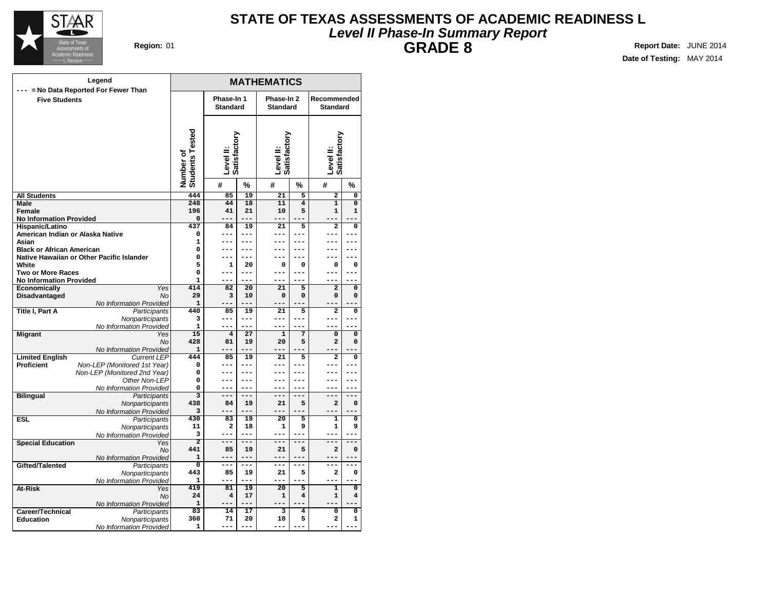

### **Level II Phase-In Summary Report STATE OF TEXAS ASSESSMENTS OF ACADEMIC READINESS L GRADE 8 Region:** 01 **Report Date:** JUNE 2014

**MATHEMATICS Phase-In 1 Standard Phase-In 2 Standard Recommended Standard Level II: Satisfactory Level II: Satisfactory Level II: Satisfactory Number of Students Tested # % # % # % All Students Male Female No Information Provided Hispanic/Latino American Indian or Alaska Native Asian Black or African American Native Hawaiian or Other Pacific Islander White Two or More Races No Information Provided Economically** Yes **Disadvantaged** No No Information Provided **Title I, Part A** Participants **Nonparticipants** No Information Provided **Migrant** Yes No No Information Provided **Limited English Proficient** Non-LEP (Monitored 1st Year) Non-LEP (Monitored 2nd Year) Other Non-LEP No Information Provided **Bilingual** Participants **Nonparticipants** No Information Provided **ESL** Participants **Nonparticipants** No Information Provided **Special Education** Yes No No Information Provided Gifted/Talented **Participants** Nonparticipants No Information Provided **At-Risk** No No Information Provided **Career/Technical** Participants<br> **Education** Monparticipants **Nonparticipants** No Information Provided **Legend --- = No Data Reported For Fewer Than Five Students 444 85 19 21 5 2 0 248 44 18 11 4 1 0 196 41 21 10 5 1 1 0 --- --- --- --- --- --- 437 84 19 21 5 2 0 0 --- --- --- --- --- --- 1 --- --- --- --- --- --- 0 --- --- --- --- --- --- 0 --- --- --- --- --- --- 5 1 20 0 0 0 0 0 --- --- --- --- --- --- 1 --- --- --- --- --- --- 414 82 20 21 5 2 0 29 3 10 0 0 0 0 1 --- --- --- --- --- --- 440 85 19 21 5 2 0 3 --- --- --- --- --- --- 1 --- --- --- --- --- --- 15 4 27 1 7 0 0 428 81 19 20 5 2 0 1 --- --- --- --- --- --- 444 85 19 21 5 2 0 0 --- --- --- --- --- --- 0 --- --- --- --- --- --- 0 --- --- --- --- --- --- 0 --- --- --- --- --- --- 3 --- --- --- --- --- --- 438 84 19 21 5 2 0 3 --- --- --- --- --- --- 430 83 19 20 5 1 0 11 2 18 1 9 1 9 3 --- --- --- --- --- --- 2 --- --- --- --- --- --- 441 85 19 21 5 2 0 1 --- --- --- --- --- --- 0 --- --- --- --- --- --- 443 85 19 21 5 2 0 1 --- --- --- --- --- --- 419 81 19 20 5 1 0 24 4 17 1 4 1 4 1 --- --- --- --- --- --- 83 14 17 3 4 0 0 360 71 20 18 5 2 1 1 --- --- --- --- --- ---**